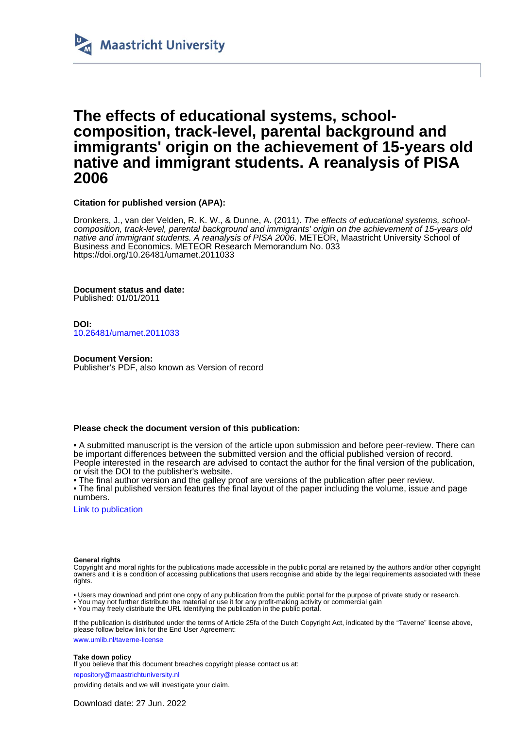

## **The effects of educational systems, schoolcomposition, track-level, parental background and immigrants' origin on the achievement of 15-years old native and immigrant students. A reanalysis of PISA 2006**

**Citation for published version (APA):**

Dronkers, J., van der Velden, R. K. W., & Dunne, A. (2011). The effects of educational systems, schoolcomposition, track-level, parental background and immigrants' origin on the achievement of 15-years old native and immigrant students. A reanalysis of PISA 2006. METEOR, Maastricht University School of Business and Economics. METEOR Research Memorandum No. 033 <https://doi.org/10.26481/umamet.2011033>

**Document status and date:** Published: 01/01/2011

**DOI:** [10.26481/umamet.2011033](https://doi.org/10.26481/umamet.2011033)

#### **Document Version:**

Publisher's PDF, also known as Version of record

#### **Please check the document version of this publication:**

• A submitted manuscript is the version of the article upon submission and before peer-review. There can be important differences between the submitted version and the official published version of record. People interested in the research are advised to contact the author for the final version of the publication, or visit the DOI to the publisher's website.

• The final author version and the galley proof are versions of the publication after peer review.

• The final published version features the final layout of the paper including the volume, issue and page numbers.

[Link to publication](https://cris.maastrichtuniversity.nl/en/publications/9384d293-9044-4df2-91ad-b3b4e4270abf)

#### **General rights**

Copyright and moral rights for the publications made accessible in the public portal are retained by the authors and/or other copyright owners and it is a condition of accessing publications that users recognise and abide by the legal requirements associated with these rights.

• Users may download and print one copy of any publication from the public portal for the purpose of private study or research.

• You may not further distribute the material or use it for any profit-making activity or commercial gain

• You may freely distribute the URL identifying the publication in the public portal.

If the publication is distributed under the terms of Article 25fa of the Dutch Copyright Act, indicated by the "Taverne" license above, please follow below link for the End User Agreement:

www.umlib.nl/taverne-license

**Take down policy**

If you believe that this document breaches copyright please contact us at: repository@maastrichtuniversity.nl

providing details and we will investigate your claim.

Download date: 27 Jun. 2022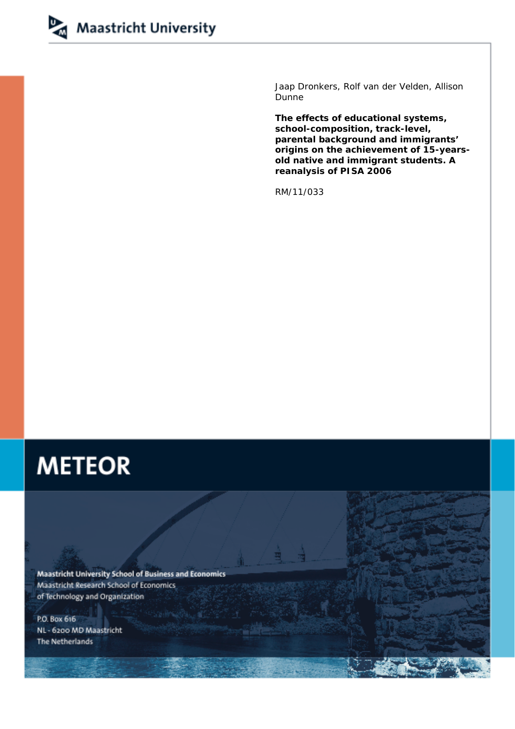

Jaap Dronkers, Rolf van der Velden, Allison Dunne

**The effects of educational systems, school-composition, track-level, parental background and immigrants' origins on the achievement of 15-yearsold native and immigrant students. A reanalysis of PISA 2006** 

RM/11/033

# **METEOR**

**Maastricht University School of Business and Economics** Maastricht Research School of Economics of Technology and Organization

P.O. Box 616 NL - 6200 MD Maastricht **The Netherlands**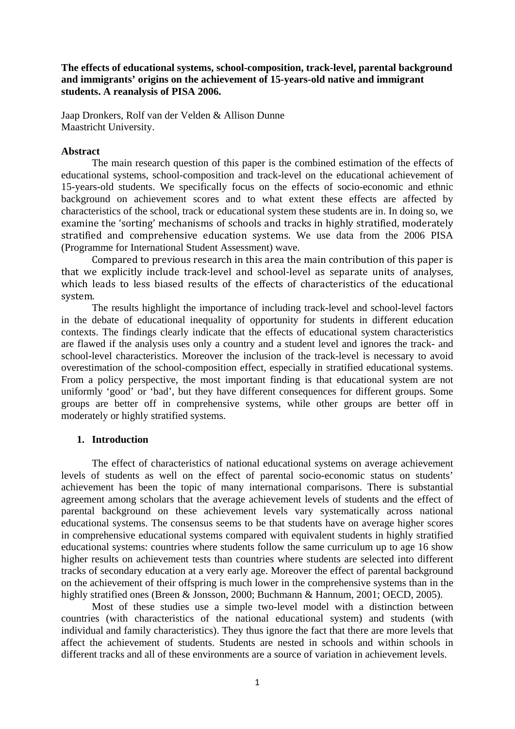**The effects of educational systems, school-composition, track-level, parental background and immigrants' origins on the achievement of 15-years-old native and immigrant students. A reanalysis of PISA 2006.** 

Jaap Dronkers, Rolf van der Velden & Allison Dunne Maastricht University.

## **Abstract**

The main research question of this paper is the combined estimation of the effects of educational systems, school-composition and track-level on the educational achievement of 15-years-old students. We specifically focus on the effects of socio-economic and ethnic background on achievement scores and to what extent these effects are affected by characteristics of the school, track or educational system these students are in. In doing so, we examine the 'sorting' mechanisms of schools and tracks in highly stratified, moderately stratified and comprehensive education systems. We use data from the 2006 PISA (Programme for International Student Assessment) wave.

Compared to previous research in this area the main contribution of this paper is that we explicitly include track‐level and school‐level as separate units of analyses, which leads to less biased results of the effects of characteristics of the educational system.

The results highlight the importance of including track-level and school-level factors in the debate of educational inequality of opportunity for students in different education contexts. The findings clearly indicate that the effects of educational system characteristics are flawed if the analysis uses only a country and a student level and ignores the track- and school-level characteristics. Moreover the inclusion of the track-level is necessary to avoid overestimation of the school-composition effect, especially in stratified educational systems. From a policy perspective, the most important finding is that educational system are not uniformly 'good' or 'bad', but they have different consequences for different groups. Some groups are better off in comprehensive systems, while other groups are better off in moderately or highly stratified systems.

## **1. Introduction**

The effect of characteristics of national educational systems on average achievement levels of students as well on the effect of parental socio-economic status on students' achievement has been the topic of many international comparisons. There is substantial agreement among scholars that the average achievement levels of students and the effect of parental background on these achievement levels vary systematically across national educational systems. The consensus seems to be that students have on average higher scores in comprehensive educational systems compared with equivalent students in highly stratified educational systems: countries where students follow the same curriculum up to age 16 show higher results on achievement tests than countries where students are selected into different tracks of secondary education at a very early age. Moreover the effect of parental background on the achievement of their offspring is much lower in the comprehensive systems than in the highly stratified ones (Breen & Jonsson, 2000; Buchmann & Hannum, 2001; OECD, 2005).

Most of these studies use a simple two-level model with a distinction between countries (with characteristics of the national educational system) and students (with individual and family characteristics). They thus ignore the fact that there are more levels that affect the achievement of students. Students are nested in schools and within schools in different tracks and all of these environments are a source of variation in achievement levels.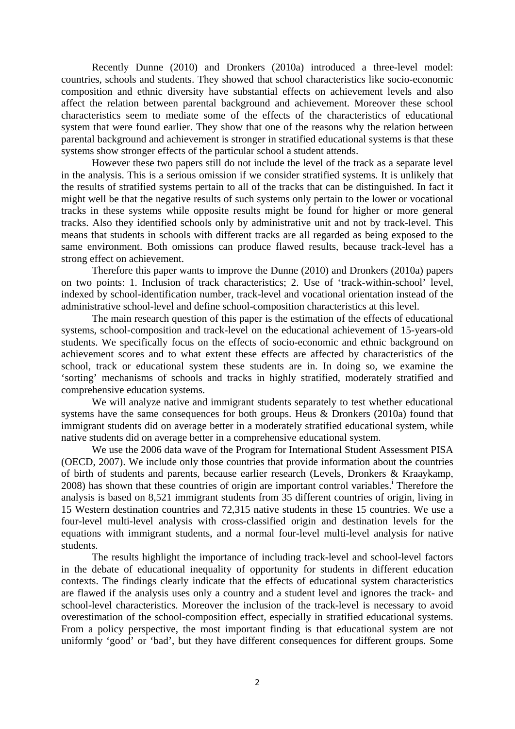Recently Dunne (2010) and Dronkers (2010a) introduced a three-level model: countries, schools and students. They showed that school characteristics like socio-economic composition and ethnic diversity have substantial effects on achievement levels and also affect the relation between parental background and achievement. Moreover these school characteristics seem to mediate some of the effects of the characteristics of educational system that were found earlier. They show that one of the reasons why the relation between parental background and achievement is stronger in stratified educational systems is that these systems show stronger effects of the particular school a student attends.

However these two papers still do not include the level of the track as a separate level in the analysis. This is a serious omission if we consider stratified systems. It is unlikely that the results of stratified systems pertain to all of the tracks that can be distinguished. In fact it might well be that the negative results of such systems only pertain to the lower or vocational tracks in these systems while opposite results might be found for higher or more general tracks. Also they identified schools only by administrative unit and not by track-level. This means that students in schools with different tracks are all regarded as being exposed to the same environment. Both omissions can produce flawed results, because track-level has a strong effect on achievement.

Therefore this paper wants to improve the Dunne (2010) and Dronkers (2010a) papers on two points: 1. Inclusion of track characteristics; 2. Use of 'track-within-school' level, indexed by school-identification number, track-level and vocational orientation instead of the administrative school-level and define school-composition characteristics at this level.

The main research question of this paper is the estimation of the effects of educational systems, school-composition and track-level on the educational achievement of 15-years-old students. We specifically focus on the effects of socio-economic and ethnic background on achievement scores and to what extent these effects are affected by characteristics of the school, track or educational system these students are in. In doing so, we examine the 'sorting' mechanisms of schools and tracks in highly stratified, moderately stratified and comprehensive education systems.

We will analyze native and immigrant students separately to test whether educational systems have the same consequences for both groups. Heus & Dronkers (2010a) found that immigrant students did on average better in a moderately stratified educational system, while native students did on average better in a comprehensive educational system.

We use the 2006 data wave of the Program for International Student Assessment PISA (OECD, 2007). We include only those countries that provide information about the countries of birth of students and parents, because earlier research (Levels, Dronkers & Kraaykamp, 2008) has shown that these countries of origin are important control variables.<sup>i</sup> Therefore the analysis is based on 8,521 immigrant students from 35 different countries of origin, living in 15 Western destination countries and 72,315 native students in these 15 countries. We use a four-level multi-level analysis with cross-classified origin and destination levels for the equations with immigrant students, and a normal four-level multi-level analysis for native students.

The results highlight the importance of including track-level and school-level factors in the debate of educational inequality of opportunity for students in different education contexts. The findings clearly indicate that the effects of educational system characteristics are flawed if the analysis uses only a country and a student level and ignores the track- and school-level characteristics. Moreover the inclusion of the track-level is necessary to avoid overestimation of the school-composition effect, especially in stratified educational systems. From a policy perspective, the most important finding is that educational system are not uniformly 'good' or 'bad', but they have different consequences for different groups. Some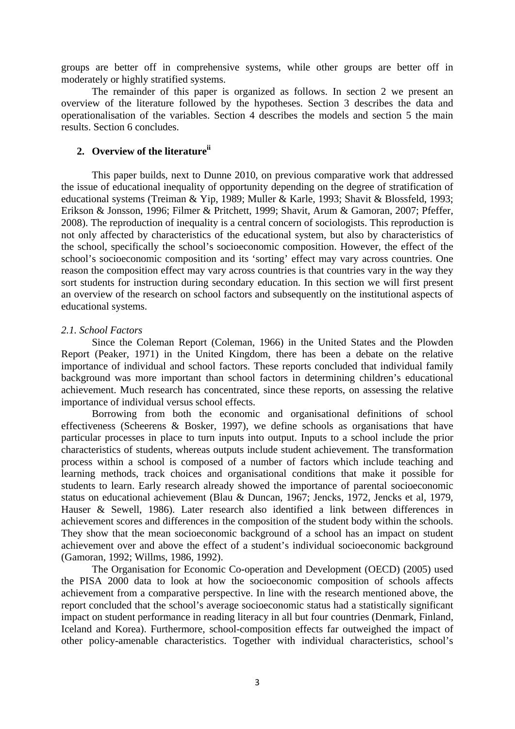groups are better off in comprehensive systems, while other groups are better off in moderately or highly stratified systems.

The remainder of this paper is organized as follows. In section 2 we present an overview of the literature followed by the hypotheses. Section 3 describes the data and operationalisation of the variables. Section 4 describes the models and section 5 the main results. Section 6 concludes.

## **2. Overview of the literatureii**

This paper builds, next to Dunne 2010, on previous comparative work that addressed the issue of educational inequality of opportunity depending on the degree of stratification of educational systems (Treiman & Yip, 1989; Muller & Karle, 1993; Shavit & Blossfeld, 1993; Erikson & Jonsson, 1996; Filmer & Pritchett, 1999; Shavit, Arum & Gamoran, 2007; Pfeffer, 2008). The reproduction of inequality is a central concern of sociologists. This reproduction is not only affected by characteristics of the educational system, but also by characteristics of the school, specifically the school's socioeconomic composition. However, the effect of the school's socioeconomic composition and its 'sorting' effect may vary across countries. One reason the composition effect may vary across countries is that countries vary in the way they sort students for instruction during secondary education. In this section we will first present an overview of the research on school factors and subsequently on the institutional aspects of educational systems.

#### *2.1. School Factors*

Since the Coleman Report (Coleman, 1966) in the United States and the Plowden Report (Peaker, 1971) in the United Kingdom, there has been a debate on the relative importance of individual and school factors. These reports concluded that individual family background was more important than school factors in determining children's educational achievement. Much research has concentrated, since these reports, on assessing the relative importance of individual versus school effects.

Borrowing from both the economic and organisational definitions of school effectiveness (Scheerens & Bosker, 1997), we define schools as organisations that have particular processes in place to turn inputs into output. Inputs to a school include the prior characteristics of students, whereas outputs include student achievement. The transformation process within a school is composed of a number of factors which include teaching and learning methods, track choices and organisational conditions that make it possible for students to learn. Early research already showed the importance of parental socioeconomic status on educational achievement (Blau & Duncan, 1967; Jencks, 1972, Jencks et al, 1979, Hauser & Sewell, 1986). Later research also identified a link between differences in achievement scores and differences in the composition of the student body within the schools. They show that the mean socioeconomic background of a school has an impact on student achievement over and above the effect of a student's individual socioeconomic background (Gamoran, 1992; Willms, 1986, 1992).

The Organisation for Economic Co-operation and Development (OECD) (2005) used the PISA 2000 data to look at how the socioeconomic composition of schools affects achievement from a comparative perspective. In line with the research mentioned above, the report concluded that the school's average socioeconomic status had a statistically significant impact on student performance in reading literacy in all but four countries (Denmark, Finland, Iceland and Korea). Furthermore, school-composition effects far outweighed the impact of other policy-amenable characteristics. Together with individual characteristics, school's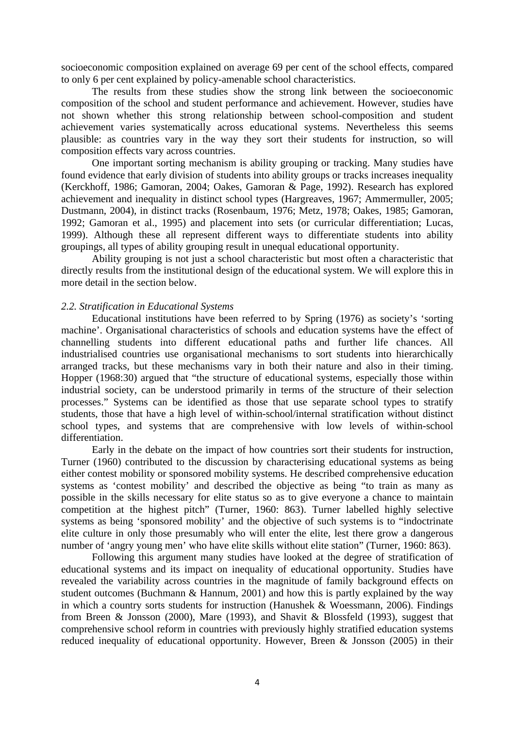socioeconomic composition explained on average 69 per cent of the school effects, compared to only 6 per cent explained by policy-amenable school characteristics.

The results from these studies show the strong link between the socioeconomic composition of the school and student performance and achievement. However, studies have not shown whether this strong relationship between school-composition and student achievement varies systematically across educational systems. Nevertheless this seems plausible: as countries vary in the way they sort their students for instruction, so will composition effects vary across countries.

One important sorting mechanism is ability grouping or tracking. Many studies have found evidence that early division of students into ability groups or tracks increases inequality (Kerckhoff, 1986; Gamoran, 2004; Oakes, Gamoran & Page, 1992). Research has explored achievement and inequality in distinct school types (Hargreaves, 1967; Ammermuller, 2005; Dustmann, 2004), in distinct tracks (Rosenbaum, 1976; Metz, 1978; Oakes, 1985; Gamoran, 1992; Gamoran et al., 1995) and placement into sets (or curricular differentiation; Lucas, 1999). Although these all represent different ways to differentiate students into ability groupings, all types of ability grouping result in unequal educational opportunity.

Ability grouping is not just a school characteristic but most often a characteristic that directly results from the institutional design of the educational system. We will explore this in more detail in the section below.

## *2.2. Stratification in Educational Systems*

Educational institutions have been referred to by Spring (1976) as society's 'sorting machine'. Organisational characteristics of schools and education systems have the effect of channelling students into different educational paths and further life chances. All industrialised countries use organisational mechanisms to sort students into hierarchically arranged tracks, but these mechanisms vary in both their nature and also in their timing. Hopper (1968:30) argued that "the structure of educational systems, especially those within industrial society, can be understood primarily in terms of the structure of their selection processes." Systems can be identified as those that use separate school types to stratify students, those that have a high level of within-school/internal stratification without distinct school types, and systems that are comprehensive with low levels of within-school differentiation.

Early in the debate on the impact of how countries sort their students for instruction, Turner (1960) contributed to the discussion by characterising educational systems as being either contest mobility or sponsored mobility systems. He described comprehensive education systems as 'contest mobility' and described the objective as being "to train as many as possible in the skills necessary for elite status so as to give everyone a chance to maintain competition at the highest pitch" (Turner, 1960: 863). Turner labelled highly selective systems as being 'sponsored mobility' and the objective of such systems is to "indoctrinate elite culture in only those presumably who will enter the elite, lest there grow a dangerous number of 'angry young men' who have elite skills without elite station" (Turner, 1960: 863).

Following this argument many studies have looked at the degree of stratification of educational systems and its impact on inequality of educational opportunity. Studies have revealed the variability across countries in the magnitude of family background effects on student outcomes (Buchmann & Hannum, 2001) and how this is partly explained by the way in which a country sorts students for instruction (Hanushek & Woessmann, 2006). Findings from Breen & Jonsson (2000), Mare (1993), and Shavit & Blossfeld (1993), suggest that comprehensive school reform in countries with previously highly stratified education systems reduced inequality of educational opportunity. However, Breen & Jonsson (2005) in their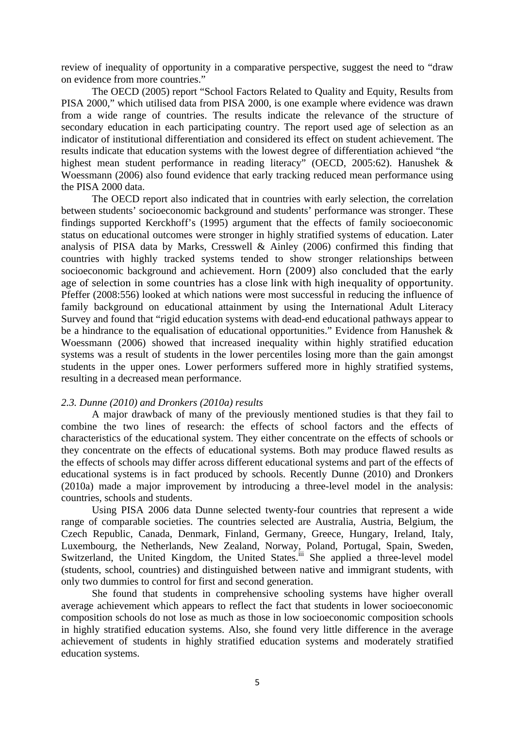review of inequality of opportunity in a comparative perspective, suggest the need to "draw on evidence from more countries."

The OECD (2005) report "School Factors Related to Quality and Equity, Results from PISA 2000," which utilised data from PISA 2000, is one example where evidence was drawn from a wide range of countries. The results indicate the relevance of the structure of secondary education in each participating country. The report used age of selection as an indicator of institutional differentiation and considered its effect on student achievement. The results indicate that education systems with the lowest degree of differentiation achieved "the highest mean student performance in reading literacy" (OECD, 2005:62). Hanushek & Woessmann (2006) also found evidence that early tracking reduced mean performance using the PISA 2000 data.

The OECD report also indicated that in countries with early selection, the correlation between students' socioeconomic background and students' performance was stronger. These findings supported Kerckhoff's (1995) argument that the effects of family socioeconomic status on educational outcomes were stronger in highly stratified systems of education. Later analysis of PISA data by Marks, Cresswell & Ainley (2006) confirmed this finding that countries with highly tracked systems tended to show stronger relationships between socioeconomic background and achievement. Horn (2009) also concluded that the early age of selection in some countries has a close link with high inequality of opportunity. Pfeffer (2008:556) looked at which nations were most successful in reducing the influence of family background on educational attainment by using the International Adult Literacy Survey and found that "rigid education systems with dead-end educational pathways appear to be a hindrance to the equalisation of educational opportunities." Evidence from Hanushek & Woessmann (2006) showed that increased inequality within highly stratified education systems was a result of students in the lower percentiles losing more than the gain amongst students in the upper ones. Lower performers suffered more in highly stratified systems, resulting in a decreased mean performance.

#### *2.3. Dunne (2010) and Dronkers (2010a) results*

A major drawback of many of the previously mentioned studies is that they fail to combine the two lines of research: the effects of school factors and the effects of characteristics of the educational system. They either concentrate on the effects of schools or they concentrate on the effects of educational systems. Both may produce flawed results as the effects of schools may differ across different educational systems and part of the effects of educational systems is in fact produced by schools. Recently Dunne (2010) and Dronkers (2010a) made a major improvement by introducing a three-level model in the analysis: countries, schools and students.

Using PISA 2006 data Dunne selected twenty-four countries that represent a wide range of comparable societies. The countries selected are Australia, Austria, Belgium, the Czech Republic, Canada, Denmark, Finland, Germany, Greece, Hungary, Ireland, Italy, Luxembourg, the Netherlands, New Zealand, Norway, Poland, Portugal, Spain, Sweden, Switzerland, the United Kingdom, the United States.<sup>iii</sup> She applied a three-level model (students, school, countries) and distinguished between native and immigrant students, with only two dummies to control for first and second generation.

She found that students in comprehensive schooling systems have higher overall average achievement which appears to reflect the fact that students in lower socioeconomic composition schools do not lose as much as those in low socioeconomic composition schools in highly stratified education systems. Also, she found very little difference in the average achievement of students in highly stratified education systems and moderately stratified education systems.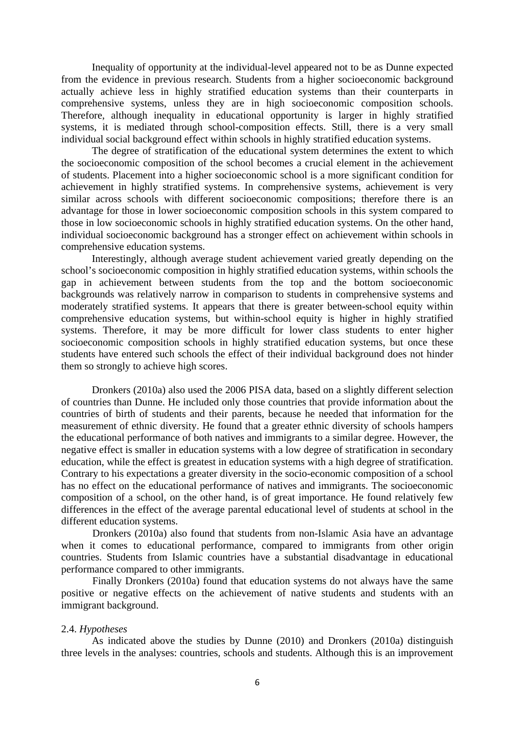Inequality of opportunity at the individual-level appeared not to be as Dunne expected from the evidence in previous research. Students from a higher socioeconomic background actually achieve less in highly stratified education systems than their counterparts in comprehensive systems, unless they are in high socioeconomic composition schools. Therefore, although inequality in educational opportunity is larger in highly stratified systems, it is mediated through school-composition effects. Still, there is a very small individual social background effect within schools in highly stratified education systems.

The degree of stratification of the educational system determines the extent to which the socioeconomic composition of the school becomes a crucial element in the achievement of students. Placement into a higher socioeconomic school is a more significant condition for achievement in highly stratified systems. In comprehensive systems, achievement is very similar across schools with different socioeconomic compositions; therefore there is an advantage for those in lower socioeconomic composition schools in this system compared to those in low socioeconomic schools in highly stratified education systems. On the other hand, individual socioeconomic background has a stronger effect on achievement within schools in comprehensive education systems.

Interestingly, although average student achievement varied greatly depending on the school's socioeconomic composition in highly stratified education systems, within schools the gap in achievement between students from the top and the bottom socioeconomic backgrounds was relatively narrow in comparison to students in comprehensive systems and moderately stratified systems. It appears that there is greater between-school equity within comprehensive education systems, but within-school equity is higher in highly stratified systems. Therefore, it may be more difficult for lower class students to enter higher socioeconomic composition schools in highly stratified education systems, but once these students have entered such schools the effect of their individual background does not hinder them so strongly to achieve high scores.

Dronkers (2010a) also used the 2006 PISA data, based on a slightly different selection of countries than Dunne. He included only those countries that provide information about the countries of birth of students and their parents, because he needed that information for the measurement of ethnic diversity. He found that a greater ethnic diversity of schools hampers the educational performance of both natives and immigrants to a similar degree. However, the negative effect is smaller in education systems with a low degree of stratification in secondary education, while the effect is greatest in education systems with a high degree of stratification. Contrary to his expectations a greater diversity in the socio-economic composition of a school has no effect on the educational performance of natives and immigrants. The socioeconomic composition of a school, on the other hand, is of great importance. He found relatively few differences in the effect of the average parental educational level of students at school in the different education systems.

Dronkers (2010a) also found that students from non-Islamic Asia have an advantage when it comes to educational performance, compared to immigrants from other origin countries. Students from Islamic countries have a substantial disadvantage in educational performance compared to other immigrants.

Finally Dronkers (2010a) found that education systems do not always have the same positive or negative effects on the achievement of native students and students with an immigrant background.

#### 2.4. *Hypotheses*

As indicated above the studies by Dunne (2010) and Dronkers (2010a) distinguish three levels in the analyses: countries, schools and students. Although this is an improvement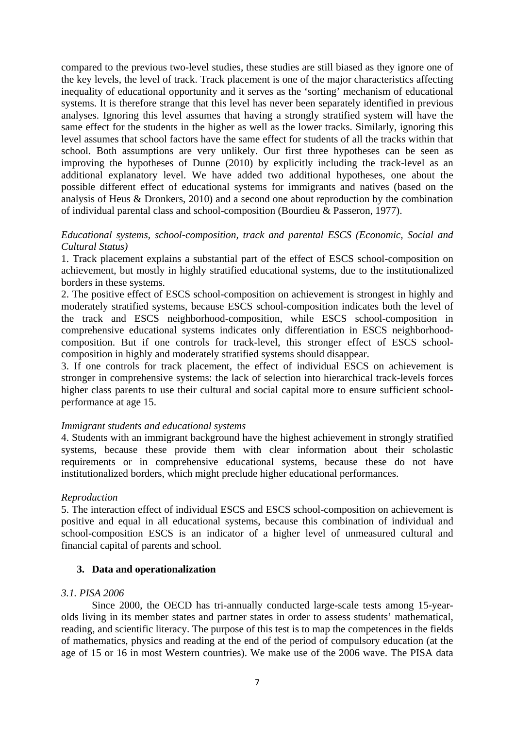compared to the previous two-level studies, these studies are still biased as they ignore one of the key levels, the level of track. Track placement is one of the major characteristics affecting inequality of educational opportunity and it serves as the 'sorting' mechanism of educational systems. It is therefore strange that this level has never been separately identified in previous analyses. Ignoring this level assumes that having a strongly stratified system will have the same effect for the students in the higher as well as the lower tracks. Similarly, ignoring this level assumes that school factors have the same effect for students of all the tracks within that school. Both assumptions are very unlikely. Our first three hypotheses can be seen as improving the hypotheses of Dunne (2010) by explicitly including the track-level as an additional explanatory level. We have added two additional hypotheses, one about the possible different effect of educational systems for immigrants and natives (based on the analysis of Heus & Dronkers, 2010) and a second one about reproduction by the combination of individual parental class and school-composition (Bourdieu & Passeron, 1977).

## *Educational systems, school-composition, track and parental ESCS (Economic, Social and Cultural Status)*

1. Track placement explains a substantial part of the effect of ESCS school-composition on achievement, but mostly in highly stratified educational systems, due to the institutionalized borders in these systems.

2. The positive effect of ESCS school-composition on achievement is strongest in highly and moderately stratified systems, because ESCS school-composition indicates both the level of the track and ESCS neighborhood-composition, while ESCS school-composition in comprehensive educational systems indicates only differentiation in ESCS neighborhoodcomposition. But if one controls for track-level, this stronger effect of ESCS schoolcomposition in highly and moderately stratified systems should disappear.

3. If one controls for track placement, the effect of individual ESCS on achievement is stronger in comprehensive systems: the lack of selection into hierarchical track-levels forces higher class parents to use their cultural and social capital more to ensure sufficient schoolperformance at age 15.

## *Immigrant students and educational systems*

4. Students with an immigrant background have the highest achievement in strongly stratified systems, because these provide them with clear information about their scholastic requirements or in comprehensive educational systems, because these do not have institutionalized borders, which might preclude higher educational performances.

## *Reproduction*

5. The interaction effect of individual ESCS and ESCS school-composition on achievement is positive and equal in all educational systems, because this combination of individual and school-composition ESCS is an indicator of a higher level of unmeasured cultural and financial capital of parents and school.

## **3. Data and operationalization**

## *3.1. PISA 2006*

Since 2000, the OECD has tri-annually conducted large-scale tests among 15-yearolds living in its member states and partner states in order to assess students' mathematical, reading, and scientific literacy. The purpose of this test is to map the competences in the fields of mathematics, physics and reading at the end of the period of compulsory education (at the age of 15 or 16 in most Western countries). We make use of the 2006 wave. The PISA data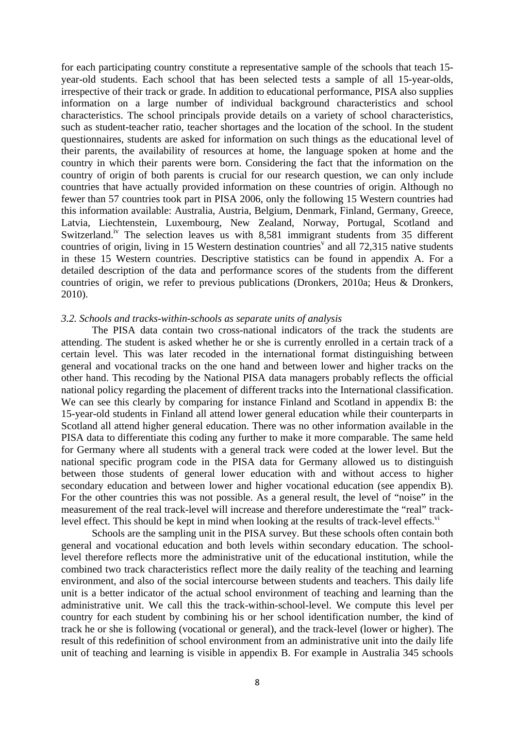for each participating country constitute a representative sample of the schools that teach 15 year-old students. Each school that has been selected tests a sample of all 15-year-olds, irrespective of their track or grade. In addition to educational performance, PISA also supplies information on a large number of individual background characteristics and school characteristics. The school principals provide details on a variety of school characteristics, such as student-teacher ratio, teacher shortages and the location of the school. In the student questionnaires, students are asked for information on such things as the educational level of their parents, the availability of resources at home, the language spoken at home and the country in which their parents were born. Considering the fact that the information on the country of origin of both parents is crucial for our research question, we can only include countries that have actually provided information on these countries of origin. Although no fewer than 57 countries took part in PISA 2006, only the following 15 Western countries had this information available: Australia, Austria, Belgium, Denmark, Finland, Germany, Greece, Latvia, Liechtenstein, Luxembourg, New Zealand, Norway, Portugal, Scotland and Switzerland.<sup>iv</sup> The selection leaves us with 8,581 immigrant students from 35 different countries of origin, living in 15 Western destination countries<sup> $v$ </sup> and all 72,315 native students in these 15 Western countries. Descriptive statistics can be found in appendix A. For a detailed description of the data and performance scores of the students from the different countries of origin, we refer to previous publications (Dronkers, 2010a; Heus & Dronkers, 2010).

#### *3.2. Schools and tracks-within-schools as separate units of analysis*

The PISA data contain two cross-national indicators of the track the students are attending. The student is asked whether he or she is currently enrolled in a certain track of a certain level. This was later recoded in the international format distinguishing between general and vocational tracks on the one hand and between lower and higher tracks on the other hand. This recoding by the National PISA data managers probably reflects the official national policy regarding the placement of different tracks into the International classification. We can see this clearly by comparing for instance Finland and Scotland in appendix B: the 15-year-old students in Finland all attend lower general education while their counterparts in Scotland all attend higher general education. There was no other information available in the PISA data to differentiate this coding any further to make it more comparable. The same held for Germany where all students with a general track were coded at the lower level. But the national specific program code in the PISA data for Germany allowed us to distinguish between those students of general lower education with and without access to higher secondary education and between lower and higher vocational education (see appendix B). For the other countries this was not possible. As a general result, the level of "noise" in the measurement of the real track-level will increase and therefore underestimate the "real" tracklevel effect. This should be kept in mind when looking at the results of track-level effects.<sup>vi</sup>

Schools are the sampling unit in the PISA survey. But these schools often contain both general and vocational education and both levels within secondary education. The schoollevel therefore reflects more the administrative unit of the educational institution, while the combined two track characteristics reflect more the daily reality of the teaching and learning environment, and also of the social intercourse between students and teachers. This daily life unit is a better indicator of the actual school environment of teaching and learning than the administrative unit. We call this the track-within-school-level. We compute this level per country for each student by combining his or her school identification number, the kind of track he or she is following (vocational or general), and the track-level (lower or higher). The result of this redefinition of school environment from an administrative unit into the daily life unit of teaching and learning is visible in appendix B. For example in Australia 345 schools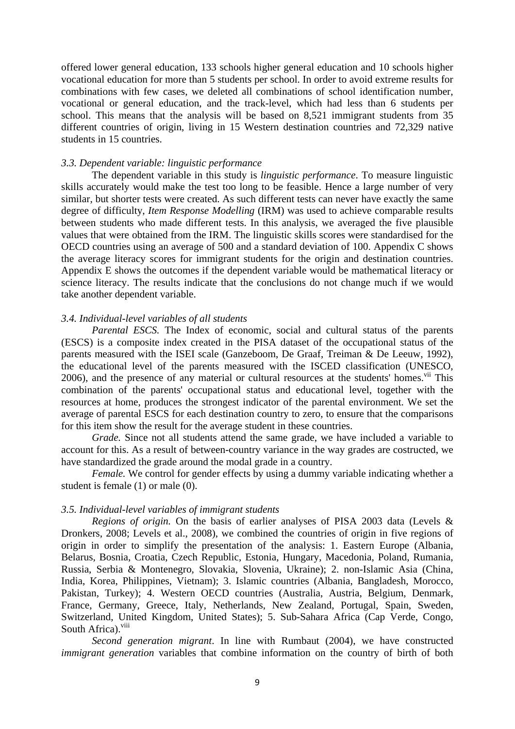offered lower general education, 133 schools higher general education and 10 schools higher vocational education for more than 5 students per school. In order to avoid extreme results for combinations with few cases, we deleted all combinations of school identification number, vocational or general education, and the track-level, which had less than 6 students per school. This means that the analysis will be based on 8,521 immigrant students from 35 different countries of origin, living in 15 Western destination countries and 72,329 native students in 15 countries.

#### *3.3. Dependent variable: linguistic performance*

The dependent variable in this study is *linguistic performance*. To measure linguistic skills accurately would make the test too long to be feasible. Hence a large number of very similar, but shorter tests were created. As such different tests can never have exactly the same degree of difficulty, *Item Response Modelling* (IRM) was used to achieve comparable results between students who made different tests. In this analysis, we averaged the five plausible values that were obtained from the IRM. The linguistic skills scores were standardised for the OECD countries using an average of 500 and a standard deviation of 100. Appendix C shows the average literacy scores for immigrant students for the origin and destination countries. Appendix E shows the outcomes if the dependent variable would be mathematical literacy or science literacy. The results indicate that the conclusions do not change much if we would take another dependent variable.

## *3.4. Individual-level variables of all students*

*Parental ESCS*. The Index of economic, social and cultural status of the parents (ESCS) is a composite index created in the PISA dataset of the occupational status of the parents measured with the ISEI scale (Ganzeboom, De Graaf, Treiman & De Leeuw, 1992), the educational level of the parents measured with the ISCED classification (UNESCO,  $2006$ ), and the presence of any material or cultural resources at the students' homes.<sup>vii</sup> This combination of the parents' occupational status and educational level, together with the resources at home, produces the strongest indicator of the parental environment. We set the average of parental ESCS for each destination country to zero, to ensure that the comparisons for this item show the result for the average student in these countries.

 *Grade.* Since not all students attend the same grade, we have included a variable to account for this. As a result of between-country variance in the way grades are costructed, we have standardized the grade around the modal grade in a country.

 *Female.* We control for gender effects by using a dummy variable indicating whether a student is female (1) or male (0).

#### *3.5. Individual-level variables of immigrant students*

 *Regions of origin.* On the basis of earlier analyses of PISA 2003 data (Levels & Dronkers, 2008; Levels et al., 2008), we combined the countries of origin in five regions of origin in order to simplify the presentation of the analysis: 1. Eastern Europe (Albania, Belarus, Bosnia, Croatia, Czech Republic, Estonia, Hungary, Macedonia, Poland, Rumania, Russia, Serbia & Montenegro, Slovakia, Slovenia, Ukraine); 2. non-Islamic Asia (China, India, Korea, Philippines, Vietnam); 3. Islamic countries (Albania, Bangladesh, Morocco, Pakistan, Turkey); 4. Western OECD countries (Australia, Austria, Belgium, Denmark, France, Germany, Greece, Italy, Netherlands, New Zealand, Portugal, Spain, Sweden, Switzerland, United Kingdom, United States); 5. Sub-Sahara Africa (Cap Verde, Congo, South Africa).<sup>viii</sup>

*Second generation migrant*. In line with Rumbaut (2004), we have constructed *immigrant generation* variables that combine information on the country of birth of both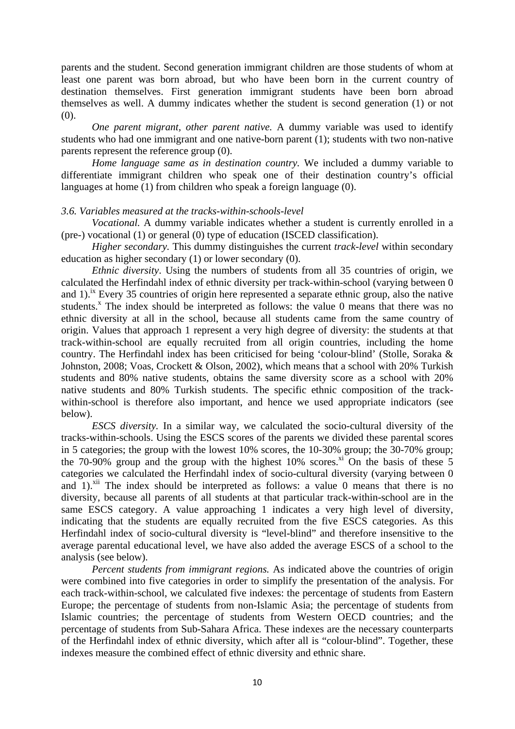parents and the student. Second generation immigrant children are those students of whom at least one parent was born abroad, but who have been born in the current country of destination themselves. First generation immigrant students have been born abroad themselves as well. A dummy indicates whether the student is second generation (1) or not  $(0)$ .

 *One parent migrant, other parent native.* A dummy variable was used to identify students who had one immigrant and one native-born parent (1); students with two non-native parents represent the reference group (0).

 *Home language same as in destination country.* We included a dummy variable to differentiate immigrant children who speak one of their destination country's official languages at home (1) from children who speak a foreign language (0).

## *3.6. Variables measured at the tracks-within-schools-level*

 *Vocational.* A dummy variable indicates whether a student is currently enrolled in a (pre-) vocational (1) or general (0) type of education (ISCED classification).

 *Higher secondary.* This dummy distinguishes the current *track-level* within secondary education as higher secondary (1) or lower secondary (0).

*Ethnic diversity*. Using the numbers of students from all 35 countries of origin, we calculated the Herfindahl index of ethnic diversity per track-within-school (varying between 0 and 1).<sup>ix</sup> Every 35 countries of origin here represented a separate ethnic group, also the native students.<sup>x</sup> The index should be interpreted as follows: the value 0 means that there was no ethnic diversity at all in the school, because all students came from the same country of origin. Values that approach 1 represent a very high degree of diversity: the students at that track-within-school are equally recruited from all origin countries, including the home country. The Herfindahl index has been criticised for being 'colour-blind' (Stolle, Soraka & Johnston, 2008; Voas, Crockett & Olson, 2002), which means that a school with 20% Turkish students and 80% native students, obtains the same diversity score as a school with 20% native students and 80% Turkish students. The specific ethnic composition of the trackwithin-school is therefore also important, and hence we used appropriate indicators (see below).

*ESCS diversity.* In a similar way, we calculated the socio-cultural diversity of the tracks-within-schools. Using the ESCS scores of the parents we divided these parental scores in 5 categories; the group with the lowest 10% scores, the 10-30% group; the 30-70% group; the 70-90% group and the group with the highest 10% scores. $\frac{x}{2}$  On the basis of these 5 categories we calculated the Herfindahl index of socio-cultural diversity (varying between 0 and 1).<sup>xii</sup> The index should be interpreted as follows: a value 0 means that there is no diversity, because all parents of all students at that particular track-within-school are in the same ESCS category. A value approaching 1 indicates a very high level of diversity, indicating that the students are equally recruited from the five ESCS categories. As this Herfindahl index of socio-cultural diversity is "level-blind" and therefore insensitive to the average parental educational level, we have also added the average ESCS of a school to the analysis (see below).

*Percent students from immigrant regions.* As indicated above the countries of origin were combined into five categories in order to simplify the presentation of the analysis. For each track-within-school, we calculated five indexes: the percentage of students from Eastern Europe; the percentage of students from non-Islamic Asia; the percentage of students from Islamic countries; the percentage of students from Western OECD countries; and the percentage of students from Sub-Sahara Africa. These indexes are the necessary counterparts of the Herfindahl index of ethnic diversity, which after all is "colour-blind". Together, these indexes measure the combined effect of ethnic diversity and ethnic share.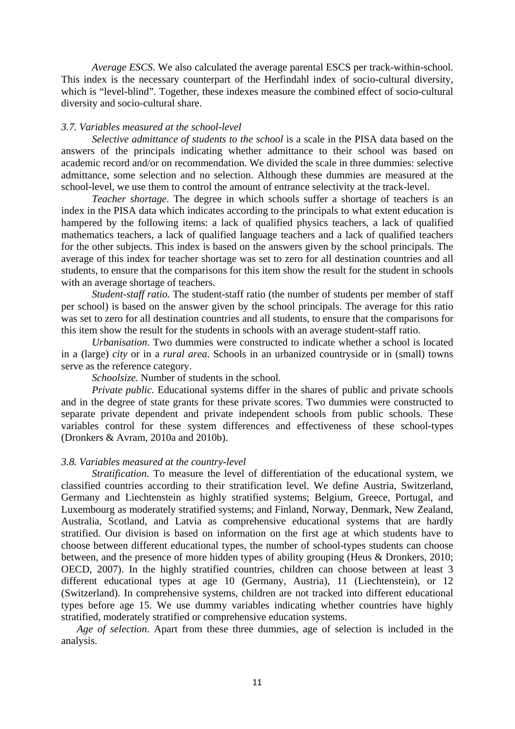*Average ESCS*. We also calculated the average parental ESCS per track-within-school. This index is the necessary counterpart of the Herfindahl index of socio-cultural diversity, which is "level-blind". Together, these indexes measure the combined effect of socio-cultural diversity and socio-cultural share.

#### *3.7. Variables measured at the school-level*

 *Selective admittance of students to the school* is a scale in the PISA data based on the answers of the principals indicating whether admittance to their school was based on academic record and/or on recommendation. We divided the scale in three dummies: selective admittance, some selection and no selection. Although these dummies are measured at the school-level, we use them to control the amount of entrance selectivity at the track-level.

*Teacher shortage*. The degree in which schools suffer a shortage of teachers is an index in the PISA data which indicates according to the principals to what extent education is hampered by the following items: a lack of qualified physics teachers, a lack of qualified mathematics teachers, a lack of qualified language teachers and a lack of qualified teachers for the other subjects. This index is based on the answers given by the school principals. The average of this index for teacher shortage was set to zero for all destination countries and all students, to ensure that the comparisons for this item show the result for the student in schools with an average shortage of teachers.

 *Student-staff ratio.* The student-staff ratio (the number of students per member of staff per school) is based on the answer given by the school principals. The average for this ratio was set to zero for all destination countries and all students, to ensure that the comparisons for this item show the result for the students in schools with an average student-staff ratio.

*Urbanisation*. Two dummies were constructed to indicate whether a school is located in a (large) *city* or in a *rural area*. Schools in an urbanized countryside or in (small) towns serve as the reference category.

 *Schoolsize.* Number of students in the school*.*

*Private public.* Educational systems differ in the shares of public and private schools and in the degree of state grants for these private scores. Two dummies were constructed to separate private dependent and private independent schools from public schools. These variables control for these system differences and effectiveness of these school-types (Dronkers & Avram, 2010a and 2010b).

#### *3.8. Variables measured at the country-level*

*Stratification*. To measure the level of differentiation of the educational system, we classified countries according to their stratification level. We define Austria, Switzerland, Germany and Liechtenstein as highly stratified systems; Belgium, Greece, Portugal, and Luxembourg as moderately stratified systems; and Finland, Norway, Denmark, New Zealand, Australia, Scotland, and Latvia as comprehensive educational systems that are hardly stratified. Our division is based on information on the first age at which students have to choose between different educational types, the number of school-types students can choose between, and the presence of more hidden types of ability grouping (Heus & Dronkers, 2010; OECD, 2007). In the highly stratified countries, children can choose between at least 3 different educational types at age 10 (Germany, Austria), 11 (Liechtenstein), or 12 (Switzerland). In comprehensive systems, children are not tracked into different educational types before age 15. We use dummy variables indicating whether countries have highly stratified, moderately stratified or comprehensive education systems.

*Age of selection*. Apart from these three dummies, age of selection is included in the analysis.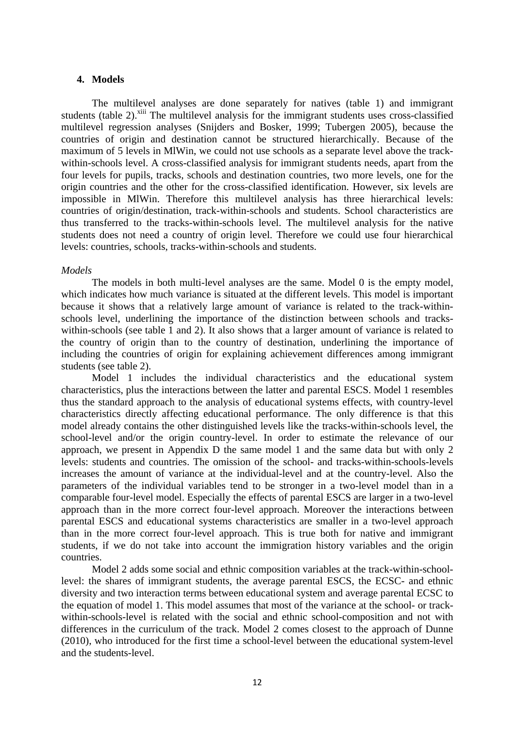#### **4. Models**

The multilevel analyses are done separately for natives (table 1) and immigrant students (table 2).<sup>xiii</sup> The multilevel analysis for the immigrant students uses cross-classified multilevel regression analyses (Snijders and Bosker, 1999; Tubergen 2005), because the countries of origin and destination cannot be structured hierarchically. Because of the maximum of 5 levels in MlWin, we could not use schools as a separate level above the trackwithin-schools level. A cross-classified analysis for immigrant students needs, apart from the four levels for pupils, tracks, schools and destination countries, two more levels, one for the origin countries and the other for the cross-classified identification. However, six levels are impossible in MlWin. Therefore this multilevel analysis has three hierarchical levels: countries of origin/destination, track-within-schools and students. School characteristics are thus transferred to the tracks-within-schools level. The multilevel analysis for the native students does not need a country of origin level. Therefore we could use four hierarchical levels: countries, schools, tracks-within-schools and students.

#### *Models*

 The models in both multi-level analyses are the same. Model 0 is the empty model, which indicates how much variance is situated at the different levels. This model is important because it shows that a relatively large amount of variance is related to the track-withinschools level, underlining the importance of the distinction between schools and trackswithin-schools (see table 1 and 2). It also shows that a larger amount of variance is related to the country of origin than to the country of destination, underlining the importance of including the countries of origin for explaining achievement differences among immigrant students (see table 2).

Model 1 includes the individual characteristics and the educational system characteristics, plus the interactions between the latter and parental ESCS. Model 1 resembles thus the standard approach to the analysis of educational systems effects, with country-level characteristics directly affecting educational performance. The only difference is that this model already contains the other distinguished levels like the tracks-within-schools level, the school-level and/or the origin country-level. In order to estimate the relevance of our approach, we present in Appendix D the same model 1 and the same data but with only 2 levels: students and countries. The omission of the school- and tracks-within-schools-levels increases the amount of variance at the individual-level and at the country-level. Also the parameters of the individual variables tend to be stronger in a two-level model than in a comparable four-level model. Especially the effects of parental ESCS are larger in a two-level approach than in the more correct four-level approach. Moreover the interactions between parental ESCS and educational systems characteristics are smaller in a two-level approach than in the more correct four-level approach. This is true both for native and immigrant students, if we do not take into account the immigration history variables and the origin countries.

Model 2 adds some social and ethnic composition variables at the track-within-schoollevel: the shares of immigrant students, the average parental ESCS, the ECSC- and ethnic diversity and two interaction terms between educational system and average parental ECSC to the equation of model 1. This model assumes that most of the variance at the school- or trackwithin-schools-level is related with the social and ethnic school-composition and not with differences in the curriculum of the track. Model 2 comes closest to the approach of Dunne (2010), who introduced for the first time a school-level between the educational system-level and the students-level.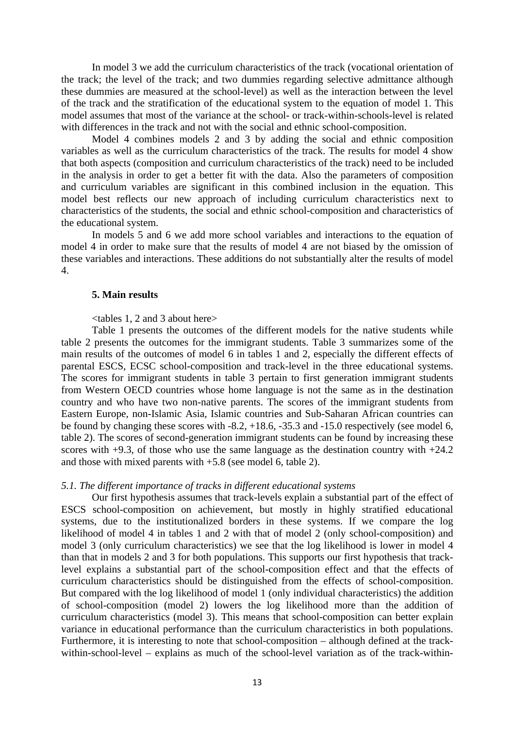In model 3 we add the curriculum characteristics of the track (vocational orientation of the track; the level of the track; and two dummies regarding selective admittance although these dummies are measured at the school-level) as well as the interaction between the level of the track and the stratification of the educational system to the equation of model 1. This model assumes that most of the variance at the school- or track-within-schools-level is related with differences in the track and not with the social and ethnic school-composition.

Model 4 combines models 2 and 3 by adding the social and ethnic composition variables as well as the curriculum characteristics of the track. The results for model 4 show that both aspects (composition and curriculum characteristics of the track) need to be included in the analysis in order to get a better fit with the data. Also the parameters of composition and curriculum variables are significant in this combined inclusion in the equation. This model best reflects our new approach of including curriculum characteristics next to characteristics of the students, the social and ethnic school-composition and characteristics of the educational system.

In models 5 and 6 we add more school variables and interactions to the equation of model 4 in order to make sure that the results of model 4 are not biased by the omission of these variables and interactions. These additions do not substantially alter the results of model 4.

#### **5. Main results**

#### <tables 1, 2 and 3 about here>

Table 1 presents the outcomes of the different models for the native students while table 2 presents the outcomes for the immigrant students. Table 3 summarizes some of the main results of the outcomes of model 6 in tables 1 and 2, especially the different effects of parental ESCS, ECSC school-composition and track-level in the three educational systems. The scores for immigrant students in table 3 pertain to first generation immigrant students from Western OECD countries whose home language is not the same as in the destination country and who have two non-native parents. The scores of the immigrant students from Eastern Europe, non-Islamic Asia, Islamic countries and Sub-Saharan African countries can be found by changing these scores with -8.2, +18.6, -35.3 and -15.0 respectively (see model 6, table 2). The scores of second-generation immigrant students can be found by increasing these scores with  $+9.3$ , of those who use the same language as the destination country with  $+24.2$ and those with mixed parents with +5.8 (see model 6, table 2).

#### *5.1. The different importance of tracks in different educational systems*

Our first hypothesis assumes that track-levels explain a substantial part of the effect of ESCS school-composition on achievement, but mostly in highly stratified educational systems, due to the institutionalized borders in these systems. If we compare the log likelihood of model 4 in tables 1 and 2 with that of model 2 (only school-composition) and model 3 (only curriculum characteristics) we see that the log likelihood is lower in model 4 than that in models 2 and 3 for both populations. This supports our first hypothesis that tracklevel explains a substantial part of the school-composition effect and that the effects of curriculum characteristics should be distinguished from the effects of school-composition. But compared with the log likelihood of model 1 (only individual characteristics) the addition of school-composition (model 2) lowers the log likelihood more than the addition of curriculum characteristics (model 3). This means that school-composition can better explain variance in educational performance than the curriculum characteristics in both populations. Furthermore, it is interesting to note that school-composition – although defined at the trackwithin-school-level – explains as much of the school-level variation as of the track-within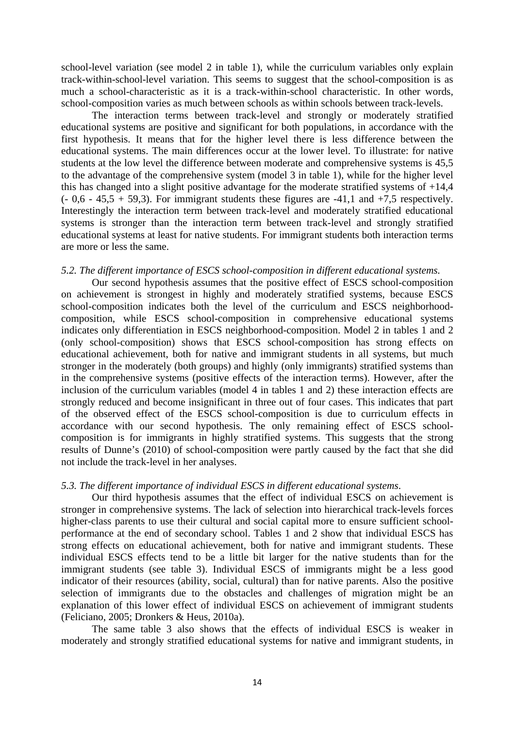school-level variation (see model 2 in table 1), while the curriculum variables only explain track-within-school-level variation. This seems to suggest that the school-composition is as much a school-characteristic as it is a track-within-school characteristic. In other words, school-composition varies as much between schools as within schools between track-levels.

 The interaction terms between track-level and strongly or moderately stratified educational systems are positive and significant for both populations, in accordance with the first hypothesis. It means that for the higher level there is less difference between the educational systems. The main differences occur at the lower level. To illustrate: for native students at the low level the difference between moderate and comprehensive systems is 45,5 to the advantage of the comprehensive system (model 3 in table 1), while for the higher level this has changed into a slight positive advantage for the moderate stratified systems of +14,4  $(-0.6 - 45.5 + 59.3)$ . For immigrant students these figures are -41,1 and +7.5 respectively. Interestingly the interaction term between track-level and moderately stratified educational systems is stronger than the interaction term between track-level and strongly stratified educational systems at least for native students. For immigrant students both interaction terms are more or less the same.

## *5.2. The different importance of ESCS school-composition in different educational systems.*

Our second hypothesis assumes that the positive effect of ESCS school-composition on achievement is strongest in highly and moderately stratified systems, because ESCS school-composition indicates both the level of the curriculum and ESCS neighborhoodcomposition, while ESCS school-composition in comprehensive educational systems indicates only differentiation in ESCS neighborhood-composition. Model 2 in tables 1 and 2 (only school-composition) shows that ESCS school-composition has strong effects on educational achievement, both for native and immigrant students in all systems, but much stronger in the moderately (both groups) and highly (only immigrants) stratified systems than in the comprehensive systems (positive effects of the interaction terms). However, after the inclusion of the curriculum variables (model 4 in tables 1 and 2) these interaction effects are strongly reduced and become insignificant in three out of four cases. This indicates that part of the observed effect of the ESCS school-composition is due to curriculum effects in accordance with our second hypothesis. The only remaining effect of ESCS schoolcomposition is for immigrants in highly stratified systems. This suggests that the strong results of Dunne's (2010) of school-composition were partly caused by the fact that she did not include the track-level in her analyses.

#### *5.3. The different importance of individual ESCS in different educational systems*.

 Our third hypothesis assumes that the effect of individual ESCS on achievement is stronger in comprehensive systems. The lack of selection into hierarchical track-levels forces higher-class parents to use their cultural and social capital more to ensure sufficient schoolperformance at the end of secondary school. Tables 1 and 2 show that individual ESCS has strong effects on educational achievement, both for native and immigrant students. These individual ESCS effects tend to be a little bit larger for the native students than for the immigrant students (see table 3). Individual ESCS of immigrants might be a less good indicator of their resources (ability, social, cultural) than for native parents. Also the positive selection of immigrants due to the obstacles and challenges of migration might be an explanation of this lower effect of individual ESCS on achievement of immigrant students (Feliciano, 2005; Dronkers & Heus, 2010a).

The same table 3 also shows that the effects of individual ESCS is weaker in moderately and strongly stratified educational systems for native and immigrant students, in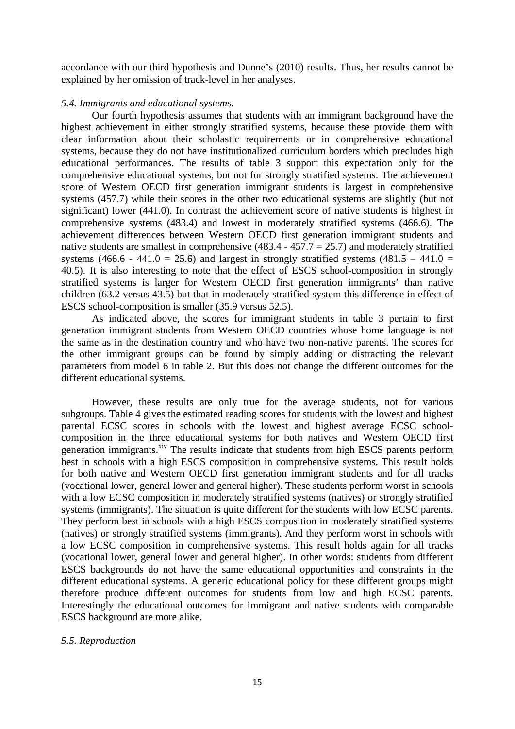accordance with our third hypothesis and Dunne's (2010) results. Thus, her results cannot be explained by her omission of track-level in her analyses.

## *5.4. Immigrants and educational systems.*

Our fourth hypothesis assumes that students with an immigrant background have the highest achievement in either strongly stratified systems, because these provide them with clear information about their scholastic requirements or in comprehensive educational systems, because they do not have institutionalized curriculum borders which precludes high educational performances. The results of table 3 support this expectation only for the comprehensive educational systems, but not for strongly stratified systems. The achievement score of Western OECD first generation immigrant students is largest in comprehensive systems (457.7) while their scores in the other two educational systems are slightly (but not significant) lower (441.0). In contrast the achievement score of native students is highest in comprehensive systems (483.4) and lowest in moderately stratified systems (466.6). The achievement differences between Western OECD first generation immigrant students and native students are smallest in comprehensive  $(483.4 - 457.7 = 25.7)$  and moderately stratified systems (466.6 - 441.0 = 25.6) and largest in strongly stratified systems (481.5 – 441.0 = 40.5). It is also interesting to note that the effect of ESCS school-composition in strongly stratified systems is larger for Western OECD first generation immigrants' than native children (63.2 versus 43.5) but that in moderately stratified system this difference in effect of ESCS school-composition is smaller (35.9 versus 52.5).

As indicated above, the scores for immigrant students in table 3 pertain to first generation immigrant students from Western OECD countries whose home language is not the same as in the destination country and who have two non-native parents. The scores for the other immigrant groups can be found by simply adding or distracting the relevant parameters from model 6 in table 2. But this does not change the different outcomes for the different educational systems.

However, these results are only true for the average students, not for various subgroups. Table 4 gives the estimated reading scores for students with the lowest and highest parental ECSC scores in schools with the lowest and highest average ECSC schoolcomposition in the three educational systems for both natives and Western OECD first generation immigrants.<sup>xiv</sup> The results indicate that students from high ESCS parents perform best in schools with a high ESCS composition in comprehensive systems. This result holds for both native and Western OECD first generation immigrant students and for all tracks (vocational lower, general lower and general higher). These students perform worst in schools with a low ECSC composition in moderately stratified systems (natives) or strongly stratified systems (immigrants). The situation is quite different for the students with low ECSC parents. They perform best in schools with a high ESCS composition in moderately stratified systems (natives) or strongly stratified systems (immigrants). And they perform worst in schools with a low ECSC composition in comprehensive systems. This result holds again for all tracks (vocational lower, general lower and general higher). In other words: students from different ESCS backgrounds do not have the same educational opportunities and constraints in the different educational systems. A generic educational policy for these different groups might therefore produce different outcomes for students from low and high ECSC parents. Interestingly the educational outcomes for immigrant and native students with comparable ESCS background are more alike.

## *5.5. Reproduction*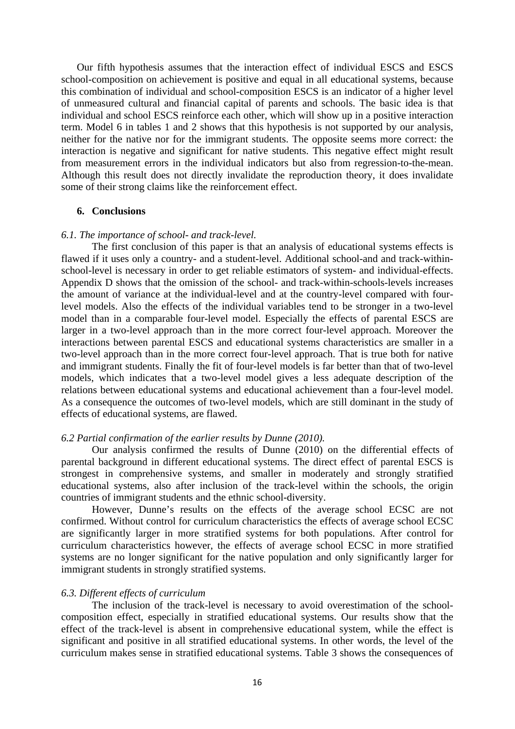Our fifth hypothesis assumes that the interaction effect of individual ESCS and ESCS school-composition on achievement is positive and equal in all educational systems, because this combination of individual and school-composition ESCS is an indicator of a higher level of unmeasured cultural and financial capital of parents and schools. The basic idea is that individual and school ESCS reinforce each other, which will show up in a positive interaction term. Model 6 in tables 1 and 2 shows that this hypothesis is not supported by our analysis, neither for the native nor for the immigrant students. The opposite seems more correct: the interaction is negative and significant for native students. This negative effect might result from measurement errors in the individual indicators but also from regression-to-the-mean. Although this result does not directly invalidate the reproduction theory, it does invalidate some of their strong claims like the reinforcement effect.

#### **6. Conclusions**

#### *6.1. The importance of school- and track-level.*

The first conclusion of this paper is that an analysis of educational systems effects is flawed if it uses only a country- and a student-level. Additional school-and and track-withinschool-level is necessary in order to get reliable estimators of system- and individual-effects. Appendix D shows that the omission of the school- and track-within-schools-levels increases the amount of variance at the individual-level and at the country-level compared with fourlevel models. Also the effects of the individual variables tend to be stronger in a two-level model than in a comparable four-level model. Especially the effects of parental ESCS are larger in a two-level approach than in the more correct four-level approach. Moreover the interactions between parental ESCS and educational systems characteristics are smaller in a two-level approach than in the more correct four-level approach. That is true both for native and immigrant students. Finally the fit of four-level models is far better than that of two-level models, which indicates that a two-level model gives a less adequate description of the relations between educational systems and educational achievement than a four-level model. As a consequence the outcomes of two-level models, which are still dominant in the study of effects of educational systems, are flawed.

#### *6.2 Partial confirmation of the earlier results by Dunne (2010).*

Our analysis confirmed the results of Dunne (2010) on the differential effects of parental background in different educational systems. The direct effect of parental ESCS is strongest in comprehensive systems, and smaller in moderately and strongly stratified educational systems, also after inclusion of the track-level within the schools, the origin countries of immigrant students and the ethnic school-diversity.

However, Dunne's results on the effects of the average school ECSC are not confirmed. Without control for curriculum characteristics the effects of average school ECSC are significantly larger in more stratified systems for both populations. After control for curriculum characteristics however, the effects of average school ECSC in more stratified systems are no longer significant for the native population and only significantly larger for immigrant students in strongly stratified systems.

## *6.3. Different effects of curriculum*

The inclusion of the track-level is necessary to avoid overestimation of the schoolcomposition effect, especially in stratified educational systems. Our results show that the effect of the track-level is absent in comprehensive educational system, while the effect is significant and positive in all stratified educational systems. In other words, the level of the curriculum makes sense in stratified educational systems. Table 3 shows the consequences of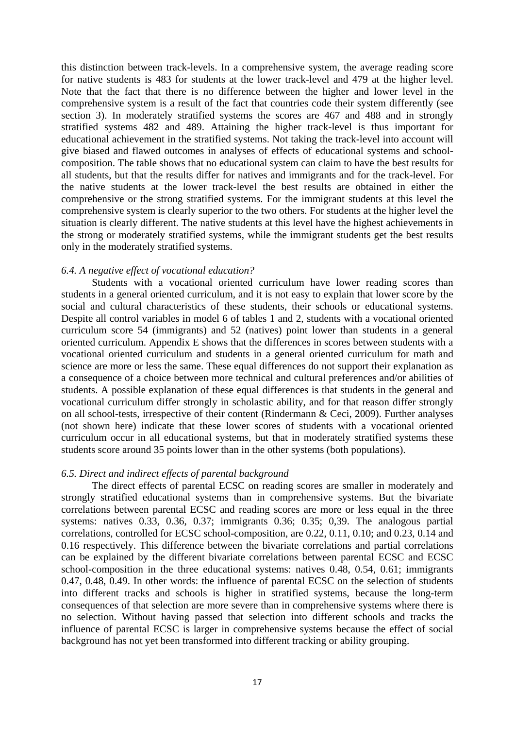this distinction between track-levels. In a comprehensive system, the average reading score for native students is 483 for students at the lower track-level and 479 at the higher level. Note that the fact that there is no difference between the higher and lower level in the comprehensive system is a result of the fact that countries code their system differently (see section 3). In moderately stratified systems the scores are 467 and 488 and in strongly stratified systems 482 and 489. Attaining the higher track-level is thus important for educational achievement in the stratified systems. Not taking the track-level into account will give biased and flawed outcomes in analyses of effects of educational systems and schoolcomposition. The table shows that no educational system can claim to have the best results for all students, but that the results differ for natives and immigrants and for the track-level. For the native students at the lower track-level the best results are obtained in either the comprehensive or the strong stratified systems. For the immigrant students at this level the comprehensive system is clearly superior to the two others. For students at the higher level the situation is clearly different. The native students at this level have the highest achievements in the strong or moderately stratified systems, while the immigrant students get the best results only in the moderately stratified systems.

## *6.4. A negative effect of vocational education?*

Students with a vocational oriented curriculum have lower reading scores than students in a general oriented curriculum, and it is not easy to explain that lower score by the social and cultural characteristics of these students, their schools or educational systems. Despite all control variables in model 6 of tables 1 and 2, students with a vocational oriented curriculum score 54 (immigrants) and 52 (natives) point lower than students in a general oriented curriculum. Appendix E shows that the differences in scores between students with a vocational oriented curriculum and students in a general oriented curriculum for math and science are more or less the same. These equal differences do not support their explanation as a consequence of a choice between more technical and cultural preferences and/or abilities of students. A possible explanation of these equal differences is that students in the general and vocational curriculum differ strongly in scholastic ability, and for that reason differ strongly on all school-tests, irrespective of their content (Rindermann & Ceci, 2009). Further analyses (not shown here) indicate that these lower scores of students with a vocational oriented curriculum occur in all educational systems, but that in moderately stratified systems these students score around 35 points lower than in the other systems (both populations).

#### *6.5. Direct and indirect effects of parental background*

The direct effects of parental ECSC on reading scores are smaller in moderately and strongly stratified educational systems than in comprehensive systems. But the bivariate correlations between parental ECSC and reading scores are more or less equal in the three systems: natives 0.33, 0.36, 0.37; immigrants 0.36; 0.35; 0,39. The analogous partial correlations, controlled for ECSC school-composition, are 0.22, 0.11, 0.10; and 0.23, 0.14 and 0.16 respectively. This difference between the bivariate correlations and partial correlations can be explained by the different bivariate correlations between parental ECSC and ECSC school-composition in the three educational systems: natives 0.48, 0.54, 0.61; immigrants 0.47, 0.48, 0.49. In other words: the influence of parental ECSC on the selection of students into different tracks and schools is higher in stratified systems, because the long-term consequences of that selection are more severe than in comprehensive systems where there is no selection. Without having passed that selection into different schools and tracks the influence of parental ECSC is larger in comprehensive systems because the effect of social background has not yet been transformed into different tracking or ability grouping.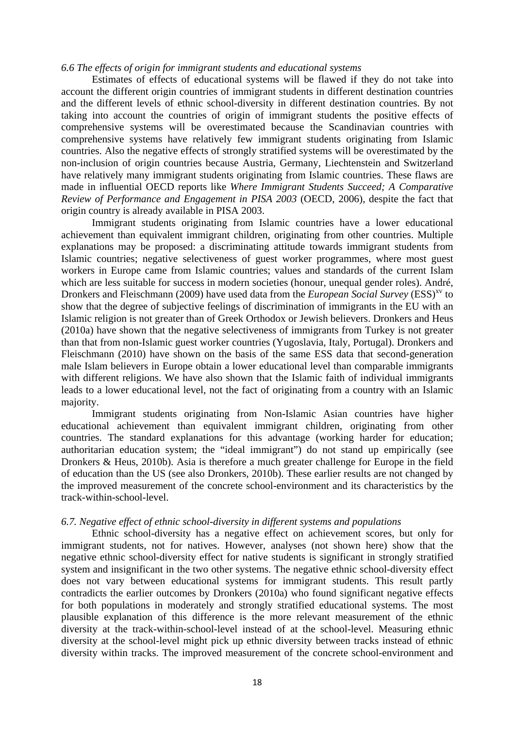#### *6.6 The effects of origin for immigrant students and educational systems*

Estimates of effects of educational systems will be flawed if they do not take into account the different origin countries of immigrant students in different destination countries and the different levels of ethnic school-diversity in different destination countries. By not taking into account the countries of origin of immigrant students the positive effects of comprehensive systems will be overestimated because the Scandinavian countries with comprehensive systems have relatively few immigrant students originating from Islamic countries. Also the negative effects of strongly stratified systems will be overestimated by the non-inclusion of origin countries because Austria, Germany, Liechtenstein and Switzerland have relatively many immigrant students originating from Islamic countries. These flaws are made in influential OECD reports like *Where Immigrant Students Succeed; A Comparative Review of Performance and Engagement in PISA 2003* (OECD, 2006), despite the fact that origin country is already available in PISA 2003.

Immigrant students originating from Islamic countries have a lower educational achievement than equivalent immigrant children, originating from other countries. Multiple explanations may be proposed: a discriminating attitude towards immigrant students from Islamic countries; negative selectiveness of guest worker programmes, where most guest workers in Europe came from Islamic countries; values and standards of the current Islam which are less suitable for success in modern societies (honour, unequal gender roles). André, Dronkers and Fleischmann (2009) have used data from the *European Social Survey* (ESS)<sup>xv</sup> to show that the degree of subjective feelings of discrimination of immigrants in the EU with an Islamic religion is not greater than of Greek Orthodox or Jewish believers. Dronkers and Heus (2010a) have shown that the negative selectiveness of immigrants from Turkey is not greater than that from non-Islamic guest worker countries (Yugoslavia, Italy, Portugal). Dronkers and Fleischmann (2010) have shown on the basis of the same ESS data that second-generation male Islam believers in Europe obtain a lower educational level than comparable immigrants with different religions. We have also shown that the Islamic faith of individual immigrants leads to a lower educational level, not the fact of originating from a country with an Islamic majority.

Immigrant students originating from Non-Islamic Asian countries have higher educational achievement than equivalent immigrant children, originating from other countries. The standard explanations for this advantage (working harder for education; authoritarian education system; the "ideal immigrant") do not stand up empirically (see Dronkers & Heus, 2010b). Asia is therefore a much greater challenge for Europe in the field of education than the US (see also Dronkers, 2010b). These earlier results are not changed by the improved measurement of the concrete school-environment and its characteristics by the track-within-school-level.

#### *6.7. Negative effect of ethnic school-diversity in different systems and populations*

Ethnic school-diversity has a negative effect on achievement scores, but only for immigrant students, not for natives. However, analyses (not shown here) show that the negative ethnic school-diversity effect for native students is significant in strongly stratified system and insignificant in the two other systems. The negative ethnic school-diversity effect does not vary between educational systems for immigrant students. This result partly contradicts the earlier outcomes by Dronkers (2010a) who found significant negative effects for both populations in moderately and strongly stratified educational systems. The most plausible explanation of this difference is the more relevant measurement of the ethnic diversity at the track-within-school-level instead of at the school-level. Measuring ethnic diversity at the school-level might pick up ethnic diversity between tracks instead of ethnic diversity within tracks. The improved measurement of the concrete school-environment and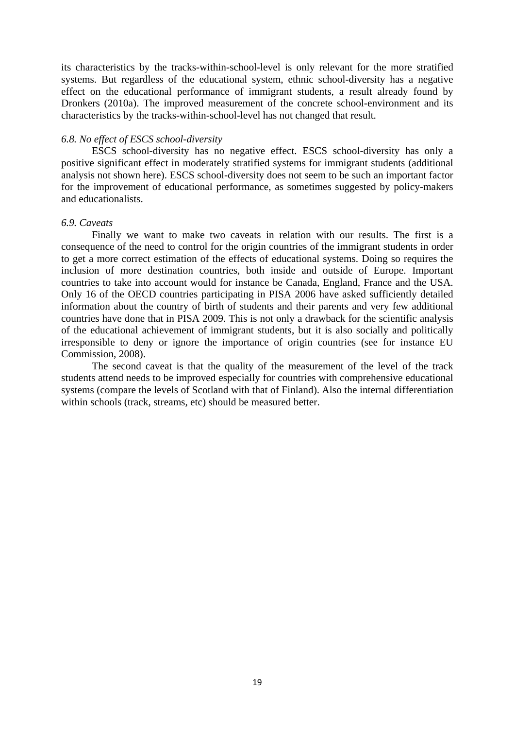its characteristics by the tracks-within-school-level is only relevant for the more stratified systems. But regardless of the educational system, ethnic school-diversity has a negative effect on the educational performance of immigrant students, a result already found by Dronkers (2010a). The improved measurement of the concrete school-environment and its characteristics by the tracks-within-school-level has not changed that result.

## *6.8. No effect of ESCS school-diversity*

ESCS school-diversity has no negative effect. ESCS school-diversity has only a positive significant effect in moderately stratified systems for immigrant students (additional analysis not shown here). ESCS school-diversity does not seem to be such an important factor for the improvement of educational performance, as sometimes suggested by policy-makers and educationalists.

## *6.9. Caveats*

Finally we want to make two caveats in relation with our results. The first is a consequence of the need to control for the origin countries of the immigrant students in order to get a more correct estimation of the effects of educational systems. Doing so requires the inclusion of more destination countries, both inside and outside of Europe. Important countries to take into account would for instance be Canada, England, France and the USA. Only 16 of the OECD countries participating in PISA 2006 have asked sufficiently detailed information about the country of birth of students and their parents and very few additional countries have done that in PISA 2009. This is not only a drawback for the scientific analysis of the educational achievement of immigrant students, but it is also socially and politically irresponsible to deny or ignore the importance of origin countries (see for instance EU Commission, 2008).

The second caveat is that the quality of the measurement of the level of the track students attend needs to be improved especially for countries with comprehensive educational systems (compare the levels of Scotland with that of Finland). Also the internal differentiation within schools (track, streams, etc) should be measured better.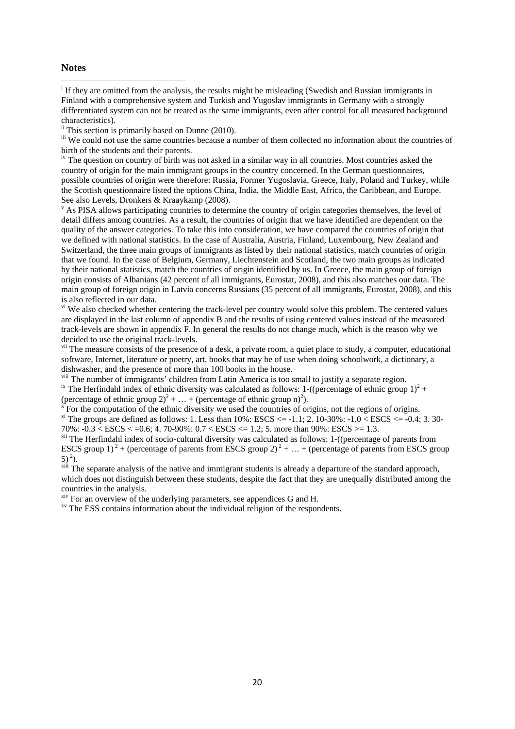#### **Notes**

<sup>i</sup> If they are omitted from the analysis, the results might be misleading (Swedish and Russian immigrants in Finland with a comprehensive system and Turkish and Yugoslav immigrants in Germany with a strongly differentiated system can not be treated as the same immigrants, even after control for all measured background characteristics).

 $\frac{1}{10}$  This section is primarily based on Dunne (2010).

<sup>iii</sup> We could not use the same countries because a number of them collected no information about the countries of birth of the students and their parents.

iv The question on country of birth was not asked in a similar way in all countries. Most countries asked the country of origin for the main immigrant groups in the country concerned. In the German questionnaires, possible countries of origin were therefore: Russia, Former Yugoslavia, Greece, Italy, Poland and Turkey, while the Scottish questionnaire listed the options China, India, the Middle East, Africa, the Caribbean, and Europe. See also Levels, Dronkers & Kraaykamp (2008).

<sup>v</sup> As PISA allows participating countries to determine the country of origin categories themselves, the level of detail differs among countries. As a result, the countries of origin that we have identified are dependent on the quality of the answer categories. To take this into consideration, we have compared the countries of origin that we defined with national statistics. In the case of Australia, Austria, Finland, Luxembourg, New Zealand and Switzerland, the three main groups of immigrants as listed by their national statistics, match countries of origin that we found. In the case of Belgium, Germany, Liechtenstein and Scotland, the two main groups as indicated by their national statistics, match the countries of origin identified by us. In Greece, the main group of foreign origin consists of Albanians (42 percent of all immigrants, Eurostat, 2008), and this also matches our data. The main group of foreign origin in Latvia concerns Russians (35 percent of all immigrants, Eurostat, 2008), and this is also reflected in our data.

<sup>vi</sup> We also checked whether centering the track-level per country would solve this problem. The centered values are displayed in the last column of appendix B and the results of using centered values instead of the measured track-levels are shown in appendix F. In general the results do not change much, which is the reason why we decided to use the original track-levels.

<sup>vii</sup> The measure consists of the presence of a desk, a private room, a quiet place to study, a computer, educational software, Internet, literature or poetry, art, books that may be of use when doing schoolwork, a dictionary, a dishwasher, and the presence of more than 100 books in the house.<br><sup>viii</sup> The number of immigrants' children from Latin America is too small to justify a separate region.

<sup>viii</sup> The number of immigrants' children from Latin America is too small to justify a separate region.<br><sup>ix</sup> The Herfindahl index of ethnic diversity was calculated as follows: 1-((percentage of ethnic group 1)<sup>2</sup> + (percentage of ethnic group  $2)^2 + ... +$  (percentage of ethnic group n)<sup>2</sup>).

 $\bar{f}$  For the computation of the ethnic diversity we used the countries of origins, not the regions of origins. <sup>xi</sup> The groups are defined as follows: 1. Less than 10%: ESCS <= -1.1; 2. 10-30%:  $-1.0 <$  ESCS <= -0.4; 3. 30-70%:  $-0.3 < ESCS < 0.6$ ; 4. 70-90%:  $0.7 < ESCS < 1.2$ ; 5. more than 90%:  $ESCS > 1.3$ .

<sup>xii</sup> The Herfindahl index of socio-cultural diversity was calculated as follows: 1-((percentage of parents from ESCS group 1)<sup>2</sup> + (percentage of parents from ESCS group 2)<sup>2</sup> + ... + (percentage of parents from ESCS group  $5)^2$ ).<br><sup>xiii</sup> The separate analysis of the native and immigrant students is already a departure of the standard approach,

which does not distinguish between these students, despite the fact that they are unequally distributed among the countries in the analysis.

 $x^{\text{inv}}$  For an overview of the underlying parameters, see appendices G and H.  $x^{\text{inv}}$  The ESS contains information about the individual religion of the respondents.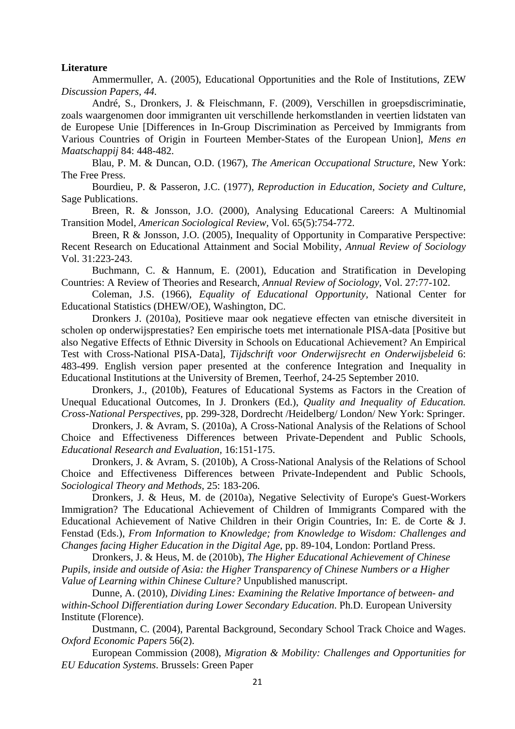## **Literature**

Ammermuller, A. (2005), Educational Opportunities and the Role of Institutions, ZEW *Discussion Papers, 44.* 

André, S., Dronkers, J. & Fleischmann, F. (2009), Verschillen in groepsdiscriminatie, zoals waargenomen door immigranten uit verschillende herkomstlanden in veertien lidstaten van de Europese Unie [Differences in In-Group Discrimination as Perceived by Immigrants from Various Countries of Origin in Fourteen Member-States of the European Union], *Mens en Maatschappij* 84: 448-482.

Blau, P. M. & Duncan, O.D. (1967), *The American Occupational Structure*, New York: The Free Press.

Bourdieu, P. & Passeron, J.C. (1977), *Reproduction in Education, Society and Culture,*  Sage Publications.

Breen, R. & Jonsson, J.O. (2000), Analysing Educational Careers: A Multinomial Transition Model, *American Sociological Review,* Vol. 65(5):754-772.

Breen, R & Jonsson, J.O. (2005), Inequality of Opportunity in Comparative Perspective: Recent Research on Educational Attainment and Social Mobility, *Annual Review of Sociology*  Vol. 31:223-243.

Buchmann, C. & Hannum, E. (2001), Education and Stratification in Developing Countries: A Review of Theories and Research, *Annual Review of Sociology,* Vol. 27:77-102.

Coleman, J.S. (1966), *Equality of Educational Opportunity,* National Center for Educational Statistics (DHEW/OE), Washington, DC.

Dronkers J. (2010a), Positieve maar ook negatieve effecten van etnische diversiteit in scholen op onderwijsprestaties? Een empirische toets met internationale PISA-data [Positive but also Negative Effects of Ethnic Diversity in Schools on Educational Achievement? An Empirical Test with Cross-National PISA-Data], *Tijdschrift voor Onderwijsrecht en Onderwijsbeleid* 6: 483-499. English version paper presented at the conference Integration and Inequality in Educational Institutions at the University of Bremen, Teerhof, 24-25 September 2010.

Dronkers, J., (2010b), Features of Educational Systems as Factors in the Creation of Unequal Educational Outcomes, In J. Dronkers (Ed.), *Quality and Inequality of Education. Cross-National Perspectives*, pp. 299-328, Dordrecht /Heidelberg/ London/ New York: Springer.

Dronkers, J. & Avram, S. (2010a), A Cross-National Analysis of the Relations of School Choice and Effectiveness Differences between Private-Dependent and Public Schools, *Educational Research and Evaluation,* 16:151-175.

Dronkers, J. & Avram, S. (2010b), A Cross-National Analysis of the Relations of School Choice and Effectiveness Differences between Private-Independent and Public Schools, *Sociological Theory and Methods,* 25: 183-206.

Dronkers, J. & Heus, M. de (2010a), Negative Selectivity of Europe's Guest-Workers Immigration? The Educational Achievement of Children of Immigrants Compared with the Educational Achievement of Native Children in their Origin Countries, In: E. de Corte & J. Fenstad (Eds.), *From Information to Knowledge; from Knowledge to Wisdom: Challenges and Changes facing Higher Education in the Digital Age*, pp. 89-104, London: Portland Press.

Dronkers, J. & Heus, M. de (2010b), *The Higher Educational Achievement of Chinese Pupils, inside and outside of Asia: the Higher Transparency of Chinese Numbers or a Higher Value of Learning within Chinese Culture?* Unpublished manuscript.

Dunne, A. (2010), *Dividing Lines: Examining the Relative Importance of between- and within-School Differentiation during Lower Secondary Education*. Ph.D. European University Institute (Florence).

Dustmann, C. (2004), Parental Background, Secondary School Track Choice and Wages. *Oxford Economic Papers* 56(2).

European Commission (2008), *Migration & Mobility: Challenges and Opportunities for EU Education Systems*. Brussels: Green Paper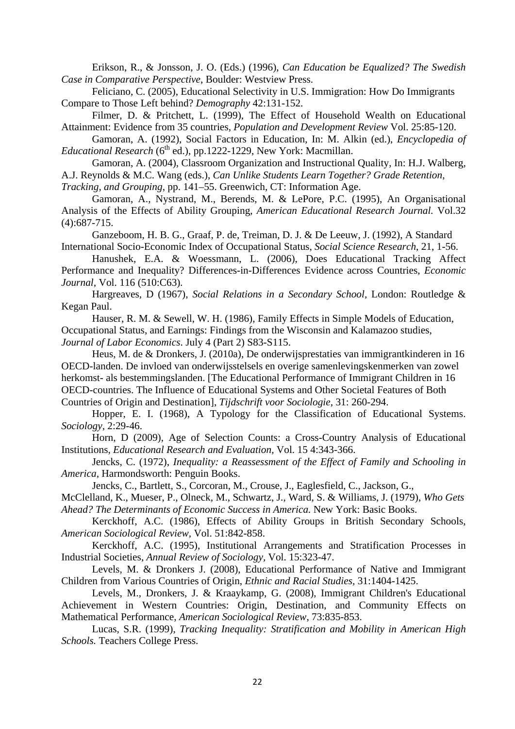Erikson, R., & Jonsson, J. O. (Eds.) (1996), *Can Education be Equalized? The Swedish Case in Comparative Perspective*, Boulder: Westview Press.

Feliciano, C. (2005), Educational Selectivity in U.S. Immigration: How Do Immigrants Compare to Those Left behind? *Demography* 42:131-152.

Filmer, D. & Pritchett, L. (1999), The Effect of Household Wealth on Educational Attainment: Evidence from 35 countries, *Population and Development Review* Vol. 25:85-120.

Gamoran, A. (1992), Social Factors in Education, In: M. Alkin (ed.), *Encyclopedia of Educational Research* ( $6<sup>th</sup>$  ed.), pp.1222-1229, New York: Macmillan.

Gamoran, A. (2004), Classroom Organization and Instructional Quality, In: H.J. Walberg, A.J. Reynolds & M.C. Wang (eds.), *Can Unlike Students Learn Together? Grade Retention,* 

*Tracking, and Grouping*, pp. 141–55. Greenwich, CT: Information Age.

Gamoran, A., Nystrand, M., Berends, M. & LePore, P.C. (1995), An Organisational Analysis of the Effects of Ability Grouping, *American Educational Research Journal.* Vol.32 (4):687-715.

Ganzeboom, H. B. G., Graaf, P. de, Treiman, D. J. & De Leeuw, J. (1992), A Standard International Socio-Economic Index of Occupational Status, *Social Science Research*, 21, 1-56.

Hanushek, E.A. & Woessmann, L. (2006), Does Educational Tracking Affect Performance and Inequality? Differences-in-Differences Evidence across Countries, *Economic Journal,* Vol. 116 (510:C63)*.* 

Hargreaves, D (1967), *Social Relations in a Secondary School,* London: Routledge & Kegan Paul.

Hauser, R. M. & Sewell, W. H. (1986), Family Effects in Simple Models of Education, Occupational Status, and Earnings: Findings from the Wisconsin and Kalamazoo studies, *Journal of Labor Economics*. July 4 (Part 2) S83-S115.

Heus, M. de & Dronkers, J. (2010a), De onderwijsprestaties van immigrantkinderen in 16 OECD-landen. De invloed van onderwijsstelsels en overige samenlevingskenmerken van zowel herkomst- als bestemmingslanden. [The Educational Performance of Immigrant Children in 16 OECD-countries. The Influence of Educational Systems and Other Societal Features of Both Countries of Origin and Destination], *Tijdschrift voor Sociologie,* 31: 260-294.

Hopper, E. I. (1968), A Typology for the Classification of Educational Systems. *Sociology,* 2:29-46.

Horn, D (2009), Age of Selection Counts: a Cross-Country Analysis of Educational Institutions, *Educational Research and Evaluation,* Vol. 15 4:343-366.

Jencks, C. (1972), *Inequality: a Reassessment of the Effect of Family and Schooling in America,* Harmondsworth: Penguin Books.

Jencks, C., Bartlett, S., Corcoran, M., Crouse, J., Eaglesfield, C., Jackson, G.,

McClelland, K., Mueser, P., Olneck, M., Schwartz, J., Ward, S. & Williams, J. (1979), *Who Gets Ahead? The Determinants of Economic Success in America.* New York: Basic Books.

Kerckhoff, A.C. (1986), Effects of Ability Groups in British Secondary Schools, *American Sociological Review,* Vol. 51:842-858.

Kerckhoff, A.C. (1995), Institutional Arrangements and Stratification Processes in Industrial Societies, *Annual Review of Sociology,* Vol. 15:323-47.

Levels, M. & Dronkers J. (2008), Educational Performance of Native and Immigrant Children from Various Countries of Origin, *Ethnic and Racial Studies,* 31:1404-1425.

Levels, M., Dronkers, J. & Kraaykamp, G. (2008), Immigrant Children's Educational Achievement in Western Countries: Origin, Destination, and Community Effects on Mathematical Performance, *American Sociological Review,* 73:835-853.

Lucas, S.R. (1999), *Tracking Inequality: Stratification and Mobility in American High Schools.* Teachers College Press.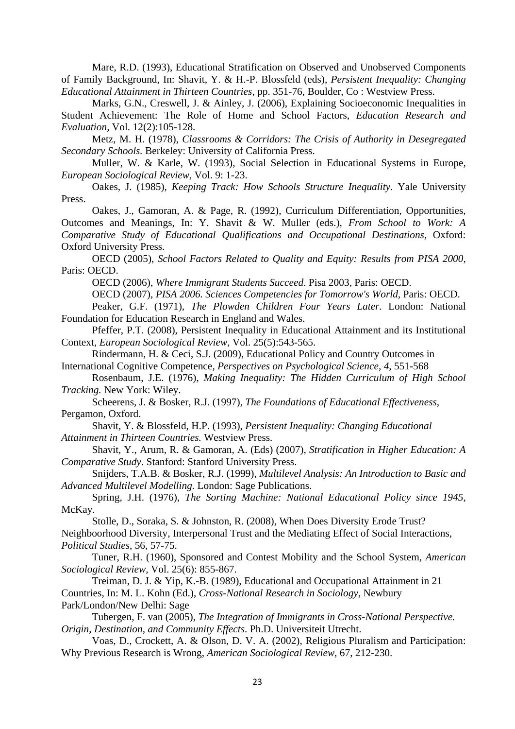Mare, R.D. (1993), Educational Stratification on Observed and Unobserved Components of Family Background, In: Shavit, Y. & H.-P. Blossfeld (eds), *Persistent Inequality: Changing Educational Attainment in Thirteen Countries*, pp. 351-76, Boulder, Co : Westview Press.

Marks, G.N., Creswell, J. & Ainley, J. (2006), Explaining Socioeconomic Inequalities in Student Achievement: The Role of Home and School Factors, *Education Research and Evaluation,* Vol. 12(2):105-128.

Metz, M. H. (1978), *Classrooms & Corridors: The Crisis of Authority in Desegregated Secondary Schools.* Berkeley: University of California Press.

Muller, W. & Karle, W. (1993), Social Selection in Educational Systems in Europe, *European Sociological Review*, Vol. 9: 1-23.

Oakes, J. (1985), *Keeping Track: How Schools Structure Inequality.* Yale University Press.

Oakes, J., Gamoran, A. & Page, R. (1992), Curriculum Differentiation, Opportunities, Outcomes and Meanings, In: Y. Shavit & W. Muller (eds.), *From School to Work: A Comparative Study of Educational Qualifications and Occupational Destinations,* Oxford: Oxford University Press.

OECD (2005), *School Factors Related to Quality and Equity: Results from PISA 2000,*  Paris: OECD.

OECD (2006), *Where Immigrant Students Succeed*. Pisa 2003, Paris: OECD.

OECD (2007), *PISA 2006. Sciences Competencies for Tomorrow's World,* Paris: OECD.

Peaker, G.F. (1971), *The Plowden Children Four Years Later.* London: National Foundation for Education Research in England and Wales.

Pfeffer, P.T. (2008), Persistent Inequality in Educational Attainment and its Institutional Context, *European Sociological Review,* Vol. 25(5):543-565.

Rindermann, H. & Ceci, S.J. (2009), Educational Policy and Country Outcomes in International Cognitive Competence, *Perspectives on Psychological Science, 4*, 551-568

Rosenbaum, J.E. (1976), *Making Inequality: The Hidden Curriculum of High School Tracking.* New York: Wiley.

Scheerens, J. & Bosker, R.J. (1997), *The Foundations of Educational Effectiveness,*  Pergamon, Oxford.

Shavit, Y. & Blossfeld, H.P. (1993), *Persistent Inequality: Changing Educational Attainment in Thirteen Countries.* Westview Press.

Shavit, Y., Arum, R. & Gamoran, A. (Eds) (2007), *Stratification in Higher Education: A Comparative Study*. Stanford: Stanford University Press.

Snijders, T.A.B. & Bosker, R.J. (1999), *Multilevel Analysis: An Introduction to Basic and Advanced Multilevel Modelling.* London: Sage Publications.

Spring, J.H. (1976), *The Sorting Machine: National Educational Policy since 1945,*  McKay.

Stolle, D., Soraka, S. & Johnston, R. (2008), When Does Diversity Erode Trust? Neighboorhood Diversity, Interpersonal Trust and the Mediating Effect of Social Interactions, *Political Studies*, 56, 57-75.

Tuner, R.H. (1960), Sponsored and Contest Mobility and the School System, *American Sociological Review,* Vol. 25(6): 855-867.

Treiman, D. J. & Yip, K.-B. (1989), Educational and Occupational Attainment in 21 Countries, In: M. L. Kohn (Ed.), *Cross-National Research in Sociology*, Newbury Park/London/New Delhi: Sage

Tubergen, F. van (2005), *The Integration of Immigrants in Cross-National Perspective. Origin, Destination, and Community Effects*. Ph.D. Universiteit Utrecht.

Voas, D., Crockett, A. & Olson, D. V. A. (2002), Religious Pluralism and Participation: Why Previous Research is Wrong, *American Sociological Review*, 67, 212-230.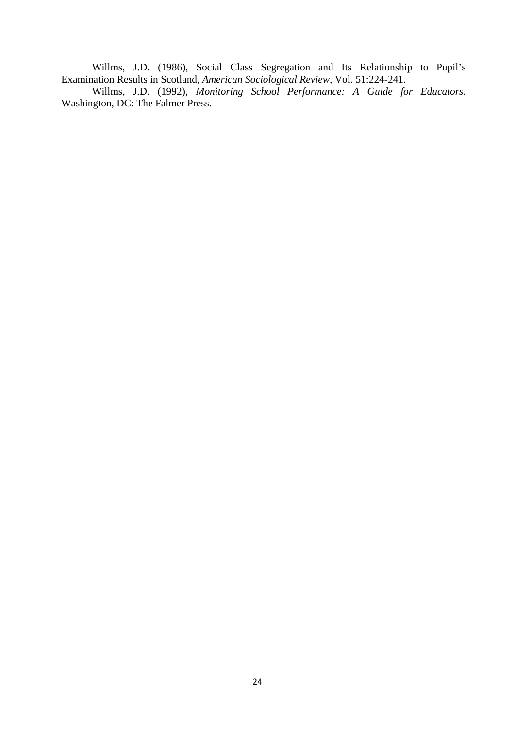Willms, J.D. (1986), Social Class Segregation and Its Relationship to Pupil's Examination Results in Scotland, *American Sociological Review,* Vol. 51:224-241.

Willms, J.D. (1992), *Monitoring School Performance: A Guide for Educators.*  Washington, DC: The Falmer Press.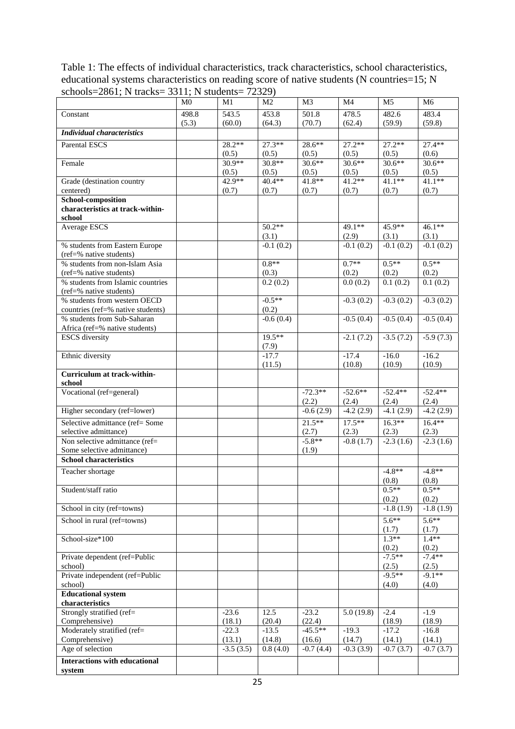Table 1: The effects of individual characteristics, track characteristics, school characteristics, educational systems characteristics on reading score of native students (N countries=15; N schools=2861; N tracks= 3311; N students= 72329)

|                                                              | M <sub>0</sub> | M1          | M <sub>2</sub>    | M <sub>3</sub> | M <sub>4</sub>    | M <sub>5</sub>    | M <sub>6</sub>    |
|--------------------------------------------------------------|----------------|-------------|-------------------|----------------|-------------------|-------------------|-------------------|
| Constant                                                     | 498.8          | 543.5       | 453.8             | 501.8          | 478.5             | 482.6             | 483.4             |
|                                                              | (5.3)          | (60.0)      | (64.3)            | (70.7)         | (62.4)            | (59.9)            | (59.8)            |
| <b>Individual characteristics</b>                            |                |             |                   |                |                   |                   |                   |
| <b>Parental ESCS</b>                                         |                | $28.2**$    | $27.3**$          | $28.6**$       | $27.2**$          | $27.2**$          | $27.4**$          |
|                                                              |                | (0.5)       | (0.5)             | (0.5)          | (0.5)             | (0.5)             | (0.6)             |
| Female                                                       |                | $30.9**$    | $30.8**$          | $30.6**$       | $30.6**$          | $30.6**$          | $30.6**$          |
|                                                              |                | (0.5)       | (0.5)             | (0.5)          | (0.5)             | (0.5)             | (0.5)             |
| Grade (destination country                                   |                | 42.9**      | 40.4**            | 41.8**         | $41.2**$          | $41.1**$          | $41.1**$          |
| centered)<br><b>School-composition</b>                       |                | (0.7)       | (0.7)             | (0.7)          | (0.7)             | (0.7)             | (0.7)             |
| characteristics at track-within-                             |                |             |                   |                |                   |                   |                   |
| school                                                       |                |             |                   |                |                   |                   |                   |
| Average ESCS                                                 |                |             | $50.2**$          |                | 49.1**            | 45.9**            | $46.1**$          |
|                                                              |                |             | (3.1)             |                | (2.9)             | (3.1)             | (3.1)             |
| % students from Eastern Europe                               |                |             | $-0.1(0.2)$       |                | $-0.1(0.2)$       | $-0.1(0.2)$       | $-0.1(0.2)$       |
| (ref=% native students)                                      |                |             |                   |                |                   |                   |                   |
| % students from non-Islam Asia                               |                |             | $0.8**$           |                | $0.7**$           | $0.5**$           | $0.5**$           |
| (ref=% native students)<br>% students from Islamic countries |                |             | (0.3)<br>0.2(0.2) |                | (0.2)<br>0.0(0.2) | (0.2)<br>0.1(0.2) | (0.2)<br>0.1(0.2) |
| (ref=% native students)                                      |                |             |                   |                |                   |                   |                   |
| % students from western OECD                                 |                |             | $-0.5**$          |                | $-0.3(0.2)$       | $-0.3(0.2)$       | $-0.3(0.2)$       |
| countries (ref=% native students)                            |                |             | (0.2)             |                |                   |                   |                   |
| % students from Sub-Saharan                                  |                |             | $-0.6(0.4)$       |                | $-0.5(0.4)$       | $-0.5(0.4)$       | $-0.5(0.4)$       |
| Africa (ref=% native students)                               |                |             |                   |                |                   |                   |                   |
| <b>ESCS</b> diversity                                        |                |             | $19.5***$         |                | $-2.1(7.2)$       | $-3.5(7.2)$       | $-5.9(7.3)$       |
|                                                              |                |             | (7.9)             |                |                   |                   |                   |
| Ethnic diversity                                             |                |             | $-17.7$           |                | $-17.4$           | $-16.0$           | $-16.2$           |
| Curriculum at track-within-                                  |                |             | (11.5)            |                | (10.8)            | (10.9)            | (10.9)            |
| school                                                       |                |             |                   |                |                   |                   |                   |
| Vocational (ref=general)                                     |                |             |                   | $-72.3**$      | $-52.6**$         | $-52.4**$         | $-52.4**$         |
|                                                              |                |             |                   | (2.2)          | (2.4)             | (2.4)             | (2.4)             |
| Higher secondary (ref=lower)                                 |                |             |                   | $-0.6(2.9)$    | $-4.2(2.9)$       | $-4.1(2.9)$       | $-4.2(2.9)$       |
| Selective admittance (ref= Some                              |                |             |                   | $21.5***$      | $17.5***$         | $16.3**$          | $16.4**$          |
| selective admittance)                                        |                |             |                   | (2.7)          | (2.3)             | (2.3)             | (2.3)             |
| Non selective admittance (ref=                               |                |             |                   | $-5.8**$       | $-0.8(1.7)$       | $-2.3(1.6)$       | $-2.3(1.6)$       |
| Some selective admittance)                                   |                |             |                   | (1.9)          |                   |                   |                   |
| <b>School characteristics</b>                                |                |             |                   |                |                   |                   |                   |
| Teacher shortage                                             |                |             |                   |                |                   | $-4.8**$          | $-4.8**$          |
|                                                              |                |             |                   |                |                   | (0.8)             | (0.8)             |
| Student/staff ratio                                          |                |             |                   |                |                   | $0.5**$<br>(0.2)  | $0.5**$<br>(0.2)  |
| School in city (ref=towns)                                   |                |             |                   |                |                   | $-1.8(1.9)$       | $-1.8(1.9)$       |
|                                                              |                |             |                   |                |                   | $5.6**$           | $5.6**$           |
| School in rural (ref=towns)                                  |                |             |                   |                |                   | (1.7)             | (1.7)             |
| School-size*100                                              |                |             |                   |                |                   | $1.3**$           | $1.4**$           |
|                                                              |                |             |                   |                |                   | (0.2)             | (0.2)             |
| Private dependent (ref=Public                                |                |             |                   |                |                   | $-7.5**$          | $-7.4**$          |
| school)                                                      |                |             |                   |                |                   | (2.5)             | (2.5)             |
| Private independent (ref=Public                              |                |             |                   |                |                   | $-9.5**$          | $-9.1**$          |
| school)                                                      |                |             |                   |                |                   | (4.0)             | (4.0)             |
| <b>Educational system</b>                                    |                |             |                   |                |                   |                   |                   |
| characteristics<br>Strongly stratified (ref=                 |                | $-23.6$     | 12.5              | $-23.2$        | 5.0(19.8)         | $-2.4$            | $-1.9$            |
| Comprehensive)                                               |                | (18.1)      | (20.4)            | (22.4)         |                   | (18.9)            | (18.9)            |
| Moderately stratified (ref=                                  |                | $-22.3$     | $-13.5$           | $-45.5**$      | $-19.3$           | $-17.2$           | $-16.8$           |
| Comprehensive)                                               |                | (13.1)      | (14.8)            | (16.6)         | (14.7)            | (14.1)            | (14.1)            |
| Age of selection                                             |                | $-3.5(3.5)$ | 0.8(4.0)          | $-0.7(4.4)$    | $-0.3(3.9)$       | $-0.7(3.7)$       | $-0.7(3.7)$       |
| <b>Interactions with educational</b>                         |                |             |                   |                |                   |                   |                   |
| system                                                       |                |             |                   |                |                   |                   |                   |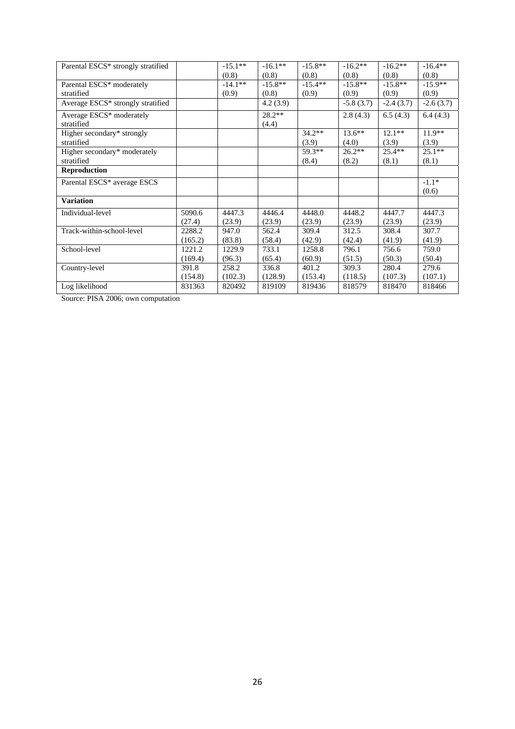| Parental ESCS* strongly stratified |         | $-15.1**$ | $-16.1**$ | $-15.8**$ | $-16.2**$   | $-16.2**$   | $-16.4**$   |
|------------------------------------|---------|-----------|-----------|-----------|-------------|-------------|-------------|
|                                    |         | (0.8)     | (0.8)     | (0.8)     | (0.8)       | (0.8)       | (0.8)       |
| Parental ESCS* moderately          |         | $-14.1**$ | $-15.8**$ | $-15.4**$ | $-15.8**$   | $-15.8**$   | $-15.9**$   |
| stratified                         |         | (0.9)     | (0.8)     | (0.9)     | (0.9)       | (0.9)       | (0.9)       |
| Average ESCS* strongly stratified  |         |           | 4.2(3.9)  |           | $-5.8(3.7)$ | $-2.4(3.7)$ | $-2.6(3.7)$ |
| Average ESCS* moderately           |         |           | $28.2**$  |           | 2.8(4.3)    | 6.5(4.3)    | 6.4(4.3)    |
| stratified                         |         |           | (4.4)     |           |             |             |             |
| Higher secondary* strongly         |         |           |           | $34.2**$  | $13.6**$    | $12.1**$    | $11.9**$    |
| stratified                         |         |           |           | (3.9)     | (4.0)       | (3.9)       | (3.9)       |
| Higher secondary* moderately       |         |           |           | 59.3**    | $26.2**$    | $25.4**$    | $25.1**$    |
| stratified                         |         |           |           | (8.4)     | (8.2)       | (8.1)       | (8.1)       |
| <b>Reproduction</b>                |         |           |           |           |             |             |             |
| Parental ESCS* average ESCS        |         |           |           |           |             |             | $-1.1*$     |
|                                    |         |           |           |           |             |             | (0.6)       |
| <b>Variation</b>                   |         |           |           |           |             |             |             |
| Individual-level                   | 5090.6  | 4447.3    | 4446.4    | 4448.0    | 4448.2      | 4447.7      | 4447.3      |
|                                    | (27.4)  | (23.9)    | (23.9)    | (23.9)    | (23.9)      | (23.9)      | (23.9)      |
| Track-within-school-level          | 2288.2  | 947.0     | 562.4     | 309.4     | 312.5       | 308.4       | 307.7       |
|                                    | (165.2) | (83.8)    | (58.4)    | (42.9)    | (42.4)      | (41.9)      | (41.9)      |
| School-level                       | 1221.2  | 1229.9    | 733.1     | 1258.8    | 796.1       | 756.6       | 759.0       |
|                                    | (169.4) | (96.3)    | (65.4)    | (60.9)    | (51.5)      | (50.3)      | (50.4)      |
| Country-level                      | 391.8   | 258.2     | 336.8     | 401.2     | 309.3       | 280.4       | 279.6       |
|                                    | (154.8) | (102.3)   | (128.9)   | (153.4)   | (118.5)     | (107.3)     | (107.1)     |
| Log likelihood                     | 831363  | 820492    | 819109    | 819436    | 818579      | 818470      | 818466      |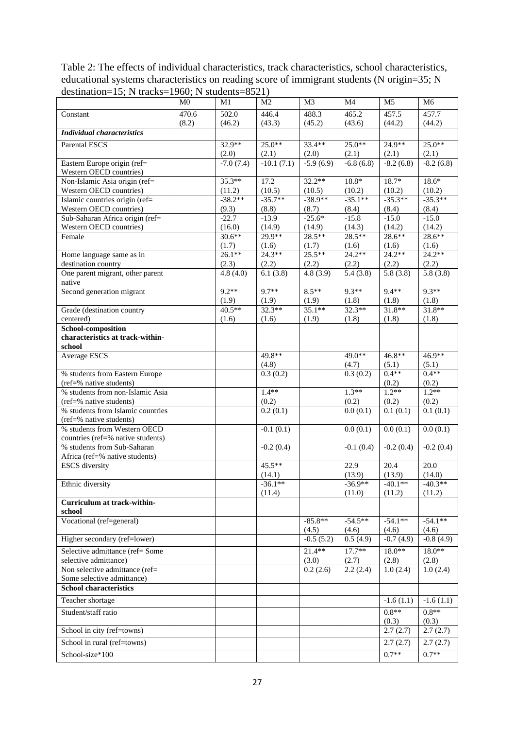Table 2: The effects of individual characteristics, track characteristics, school characteristics, educational systems characteristics on reading score of immigrant students (N origin=35; N destination=15; N tracks=1960; N students=8521)

|                                                               | M <sub>0</sub> | M1                  | M <sub>2</sub>      | M <sub>3</sub>      | M <sub>4</sub>         | M <sub>5</sub>      | M <sub>6</sub>      |
|---------------------------------------------------------------|----------------|---------------------|---------------------|---------------------|------------------------|---------------------|---------------------|
| Constant                                                      | 470.6          | 502.0               | 446.4               | 488.3               | 465.2                  | 457.5               | 457.7               |
| <b>Individual characteristics</b>                             | (8.2)          | (46.2)              | (43.3)              | (45.2)              | (43.6)                 | (44.2)              | (44.2)              |
| <b>Parental ESCS</b>                                          |                | 32.9**              | $25.0**$            | $33.4**$            | $25.0**$               | 24.9**              | $25.0**$            |
|                                                               |                | (2.0)               | (2.1)               | (2.0)               | (2.1)                  | (2.1)               | (2.1)               |
| Eastern Europe origin (ref=                                   |                | $-7.0(7.4)$         | $-10.1(7.1)$        | $-5.9(6.9)$         | $-6.8(6.8)$            | $-8.2(6.8)$         | $-8.2(6.8)$         |
| Western OECD countries)                                       |                |                     |                     |                     |                        |                     |                     |
| Non-Islamic Asia origin (ref=                                 |                | $35.3**$            | 17.2                | $32.2**$            | $18.8*$                | $18.7*$             | $18.6*$             |
| Western OECD countries)<br>Islamic countries origin (ref=     |                | (11.2)<br>$-38.2**$ | (10.5)<br>$-35.7**$ | (10.5)<br>$-38.9**$ | (10.2)<br>$-35.1**$    | (10.2)<br>$-35.3**$ | (10.2)<br>$-35.3**$ |
| Western OECD countries)                                       |                | (9.3)               | (8.8)               | (8.7)               | (8.4)                  | (8.4)               | (8.4)               |
| Sub-Saharan Africa origin (ref=                               |                | $-22.7$             | $-13.9$             | $-25.6*$            | $-15.8$                | $-15.0$             | $-15.0$             |
| Western OECD countries)                                       |                | (16.0)              | (14.9)              | (14.9)              | (14.3)                 | (14.2)              | (14.2)              |
| Female                                                        |                | $30.6**$            | 29.9**              | 28.5**              | $28.5**$               | $28.6**$            | $28.6**$            |
|                                                               |                | (1.7)<br>$26.1**$   | (1.6)<br>$24.3**$   | (1.7)<br>25.5**     | (1.6)<br>$24.2**$      | (1.6)<br>$24.2**$   | (1.6)<br>$24.2**$   |
| Home language same as in<br>destination country               |                | (2.3)               | (2.2)               | (2.2)               | (2.2)                  | (2.2)               | (2.2)               |
| One parent migrant, other parent                              |                | 4.8(4.0)            | 6.1(3.8)            | 4.8(3.9)            | 5.4(3.8)               | 5.8(3.8)            | 5.8(3.8)            |
| native                                                        |                |                     |                     |                     |                        |                     |                     |
| Second generation migrant                                     |                | $9.2**$             | $9.7**$             | $8.5**$             | $9.3**$                | $9.4**$             | $9.3**$             |
|                                                               |                | (1.9)               | (1.9)               | (1.9)               | (1.8)                  | (1.8)               | (1.8)               |
| Grade (destination country                                    |                | 40.5**              | $32.3**$            | $35.1**$            | $32.3**$               | $31.8**$            | $31.8**$            |
| centered)<br>School-composition                               |                | (1.6)               | (1.6)               | (1.9)               | (1.8)                  | (1.8)               | (1.8)               |
| characteristics at track-within-                              |                |                     |                     |                     |                        |                     |                     |
| school                                                        |                |                     |                     |                     |                        |                     |                     |
| Average ESCS                                                  |                |                     | 49.8**              |                     | 49.0**                 | 46.8**              | 46.9**              |
|                                                               |                |                     | (4.8)               |                     | (4.7)                  | (5.1)               | (5.1)               |
| % students from Eastern Europe                                |                |                     | 0.3(0.2)            |                     | 0.3(0.2)               | $0.4**$             | $0.4**$             |
| (ref=% native students)<br>% students from non-Islamic Asia   |                |                     | $1.4**$             |                     | $1.3**$                | (0.2)<br>$1.2**$    | (0.2)<br>$1.2**$    |
| (ref=% native students)                                       |                |                     | (0.2)               |                     | (0.2)                  | (0.2)               | (0.2)               |
| % students from Islamic countries                             |                |                     | 0.2(0.1)            |                     | 0.0(0.1)               | 0.1(0.1)            | 0.1(0.1)            |
| (ref=% native students)                                       |                |                     |                     |                     |                        |                     |                     |
| % students from Western OECD                                  |                |                     | $-0.1(0.1)$         |                     | 0.0(0.1)               | 0.0(0.1)            | 0.0(0.1)            |
| countries (ref=% native students)                             |                |                     |                     |                     |                        |                     |                     |
| % students from Sub-Saharan<br>Africa (ref=% native students) |                |                     | $-0.2(0.4)$         |                     | $-0.1(0.4)$            | $-0.2(0.4)$         | $-0.2(0.4)$         |
| <b>ESCS</b> diversity                                         |                |                     | 45.5**              |                     | 22.9                   | 20.4                | $\overline{20.0}$   |
|                                                               |                |                     | (14.1)              |                     | (13.9)                 | (13.9)              | (14.0)              |
| Ethnic diversity                                              |                |                     | $-36.1**$           |                     | $-36.9**$              | $-40.1**$           | $-40.3**$           |
|                                                               |                |                     | (11.4)              |                     | (11.0)                 | (11.2)              | (11.2)              |
| Curriculum at track-within-<br>school                         |                |                     |                     |                     |                        |                     |                     |
| Vocational (ref=general)                                      |                |                     |                     | $-85.8**$           | $-54.5**$              | $-54.1**$           | $-54.1**$           |
|                                                               |                |                     |                     | (4.5)               | (4.6)                  | (4.6)               | (4.6)               |
| Higher secondary (ref=lower)                                  |                |                     |                     | $-0.5(5.2)$         | $\overline{0.5}$ (4.9) | $-0.7(4.9)$         | $-0.8(4.9)$         |
| Selective admittance (ref= Some                               |                |                     |                     | $21.4**$            | $17.7**$               | $18.0**$            | $18.0**$            |
| selective admittance)                                         |                |                     |                     | (3.0)               | (2.7)                  | (2.8)               | (2.8)               |
| Non selective admittance (ref=                                |                |                     |                     | 0.2(2.6)            | 2.2(2.4)               | 1.0(2.4)            | 1.0(2.4)            |
| Some selective admittance)<br><b>School characteristics</b>   |                |                     |                     |                     |                        |                     |                     |
|                                                               |                |                     |                     |                     |                        |                     |                     |
| Teacher shortage                                              |                |                     |                     |                     |                        | $-1.6(1.1)$         | $-1.6(1.1)$         |
| Student/staff ratio                                           |                |                     |                     |                     |                        | $0.8**$<br>(0.3)    | $0.8**$<br>(0.3)    |
| School in city (ref=towns)                                    |                |                     |                     |                     |                        | 2.7(2.7)            | 2.7(2.7)            |
| School in rural (ref=towns)                                   |                |                     |                     |                     |                        | 2.7(2.7)            | 2.7(2.7)            |
|                                                               |                |                     |                     |                     |                        |                     | $0.7**$             |
| School-size*100                                               |                |                     |                     |                     |                        | $0.7**$             |                     |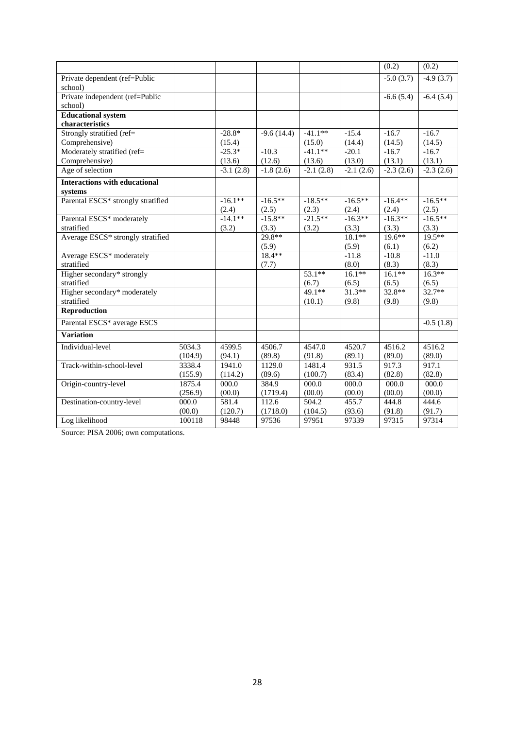|                                          |         |             |              |             |             | (0.2)       | (0.2)               |
|------------------------------------------|---------|-------------|--------------|-------------|-------------|-------------|---------------------|
| Private dependent (ref=Public<br>school) |         |             |              |             |             | $-5.0(3.7)$ | $-4.9(3.7)$         |
| Private independent (ref=Public          |         |             |              |             |             | $-6.6(5.4)$ | $-6.4(5.4)$         |
| school)                                  |         |             |              |             |             |             |                     |
| <b>Educational system</b>                |         |             |              |             |             |             |                     |
| characteristics                          |         |             |              |             |             |             |                     |
| Strongly stratified (ref=                |         | $-28.8*$    | $-9.6(14.4)$ | $-41.1**$   | $-15.4$     | $-16.7$     | $-16.7$             |
| Comprehensive)                           |         | (15.4)      |              | (15.0)      | (14.4)      | (14.5)      | (14.5)              |
| Moderately stratified (ref=              |         | $-25.3*$    | $-10.3$      | $-41.1**$   | $-20.1$     | $-16.7$     | $-16.7$             |
| Comprehensive)                           |         | (13.6)      | (12.6)       | (13.6)      | (13.0)      | (13.1)      | (13.1)              |
| Age of selection                         |         | $-3.1(2.8)$ | $-1.8(2.6)$  | $-2.1(2.8)$ | $-2.1(2.6)$ | $-2.3(2.6)$ | $-2.3(2.6)$         |
| <b>Interactions with educational</b>     |         |             |              |             |             |             |                     |
| systems                                  |         |             |              |             |             |             |                     |
| Parental ESCS* strongly stratified       |         | $-16.1**$   | $-16.5***$   | $-18.5**$   | $-16.5**$   | $-16.4**$   | $-16.5**$           |
|                                          |         | (2.4)       | (2.5)        | (2.3)       | (2.4)       | (2.4)       | (2.5)               |
| Parental ESCS* moderately                |         | $-14.1**$   | $-15.8**$    | $-21.5**$   | $-16.3**$   | $-16.3**$   | $-16.5**$           |
| stratified                               |         | (3.2)       | (3.3)        | (3.2)       | (3.3)       | (3.3)       | (3.3)               |
| Average ESCS* strongly stratified        |         |             | 29.8**       |             | $18.1**$    | $19.6***$   | $19.5***$           |
|                                          |         |             | (5.9)        |             | (5.9)       | (6.1)       | (6.2)               |
| Average ESCS* moderately                 |         |             | $18.4**$     |             | $-11.8$     | $-10.8$     | $-11.0$             |
| stratified                               |         |             | (7.7)        |             | (8.0)       | (8.3)       | (8.3)               |
| Higher secondary* strongly               |         |             |              | $53.1**$    | $16.1**$    | $16.1**$    | $16.3**$            |
| stratified                               |         |             |              | (6.7)       | (6.5)       | (6.5)       | (6.5)               |
| Higher secondary* moderately             |         |             |              | 49.1**      | $31.3**$    | $32.8**$    | $32.7**$            |
| stratified                               |         |             |              | (10.1)      | (9.8)       | (9.8)       | (9.8)               |
| Reproduction                             |         |             |              |             |             |             |                     |
| Parental ESCS* average ESCS              |         |             |              |             |             |             | $-0.5(1.8)$         |
| <b>Variation</b>                         |         |             |              |             |             |             |                     |
| Individual-level                         | 5034.3  | 4599.5      | 4506.7       | 4547.0      | 4520.7      | 4516.2      | $\overline{451}6.2$ |
|                                          | (104.9) | (94.1)      | (89.8)       | (91.8)      | (89.1)      | (89.0)      | (89.0)              |
| Track-within-school-level                | 3338.4  | 1941.0      | 1129.0       | 1481.4      | 931.5       | 917.3       | 917.1               |
|                                          | (155.9) | (114.2)     | (89.6)       | (100.7)     | (83.4)      | (82.8)      | (82.8)              |
| Origin-country-level                     | 1875.4  | 000.0       | 384.9        | 000.0       | 000.0       | 000.0       | 000.0               |
|                                          | (256.9) | (00.0)      | (1719.4)     | (00.0)      | (00.0)      | (00.0)      | (00.0)              |
| Destination-country-level                | 000.0   | 581.4       | 112.6        | 504.2       | 455.7       | 444.8       | 444.6               |
|                                          | (00.0)  | (120.7)     | (1718.0)     | (104.5)     | (93.6)      | (91.8)      | (91.7)              |
| Log likelihood                           | 100118  | 98448       | 97536        | 97951       | 97339       | 97315       | 97314               |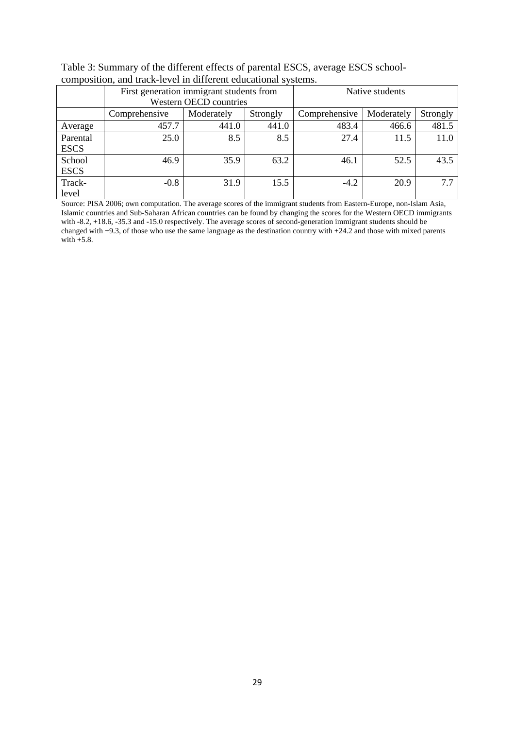|             | composition, and track for or in unforche caucational systems. |                        |                 |               |            |          |  |  |  |  |  |
|-------------|----------------------------------------------------------------|------------------------|-----------------|---------------|------------|----------|--|--|--|--|--|
|             | First generation immigrant students from                       |                        | Native students |               |            |          |  |  |  |  |  |
|             |                                                                | Western OECD countries |                 |               |            |          |  |  |  |  |  |
|             | Comprehensive                                                  | Moderately             | Strongly        | Comprehensive | Moderately | Strongly |  |  |  |  |  |
| Average     | 457.7                                                          | 441.0                  | 441.0           | 483.4         | 466.6      | 481.5    |  |  |  |  |  |
| Parental    | 25.0                                                           | 8.5                    | 8.5             | 27.4          | 11.5       | 11.0     |  |  |  |  |  |
| <b>ESCS</b> |                                                                |                        |                 |               |            |          |  |  |  |  |  |
| School      | 46.9                                                           | 35.9                   | 63.2            | 46.1          | 52.5       | 43.5     |  |  |  |  |  |
| <b>ESCS</b> |                                                                |                        |                 |               |            |          |  |  |  |  |  |
| Track-      | $-0.8$                                                         | 31.9                   | 15.5            | $-4.2$        | 20.9       | 7.7      |  |  |  |  |  |
| level       |                                                                |                        |                 |               |            |          |  |  |  |  |  |

Table 3: Summary of the different effects of parental ESCS, average ESCS schoolcomposition, and track-level in different educational systems.

Source: PISA 2006; own computation. The average scores of the immigrant students from Eastern-Europe, non-Islam Asia, Islamic countries and Sub-Saharan African countries can be found by changing the scores for the Western OECD immigrants with -8.2, +18.6, -35.3 and -15.0 respectively. The average scores of second-generation immigrant students should be changed with +9.3, of those who use the same language as the destination country with +24.2 and those with mixed parents with  $+5.8$ .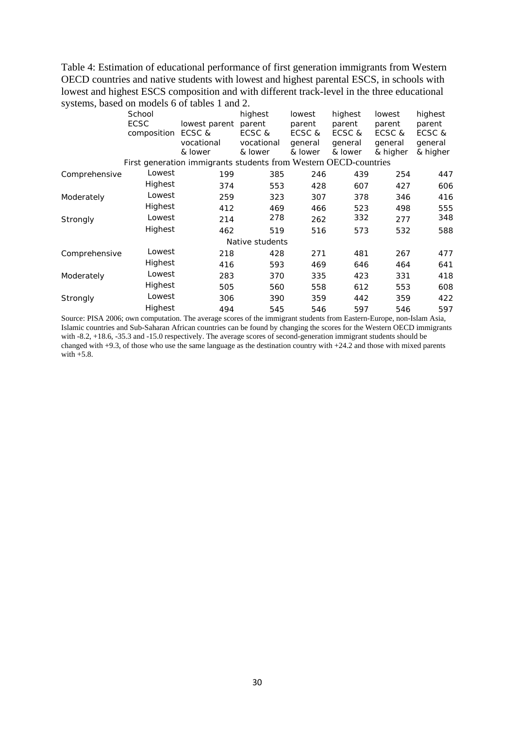Table 4: Estimation of educational performance of first generation immigrants from Western OECD countries and native students with lowest and highest parental ESCS, in schools with lowest and highest ESCS composition and with different track-level in the three educational systems, based on models 6 of tables 1 and 2.

|               | School                     |                                                                  | highest                                   | lowest                                 | highest                                | lowest                                  | highest                                 |
|---------------|----------------------------|------------------------------------------------------------------|-------------------------------------------|----------------------------------------|----------------------------------------|-----------------------------------------|-----------------------------------------|
|               | <b>ECSC</b><br>composition | lowest parent<br>ECSC &<br>vocational<br>& lower                 | parent<br>ECSC &<br>vocational<br>& lower | parent<br>ECSC &<br>general<br>& lower | parent<br>ECSC &<br>general<br>& lower | parent<br>ECSC &<br>general<br>& higher | parent<br>ECSC &<br>general<br>& higher |
|               |                            | First generation immigrants students from Western OECD-countries |                                           |                                        |                                        |                                         |                                         |
| Comprehensive | Lowest                     | 199                                                              | 385                                       | 246                                    | 439                                    | 254                                     | 447                                     |
|               | Highest                    | 374                                                              | 553                                       | 428                                    | 607                                    | 427                                     | 606                                     |
| Moderately    | Lowest                     | 259                                                              | 323                                       | 307                                    | 378                                    | 346                                     | 416                                     |
|               | Highest                    | 412                                                              | 469                                       | 466                                    | 523                                    | 498                                     | 555                                     |
| Strongly      | Lowest                     | 214                                                              | 278                                       | 262                                    | 332                                    | 277                                     | 348                                     |
|               | Highest                    | 462                                                              | 519                                       | 516                                    | 573                                    | 532                                     | 588                                     |
|               |                            |                                                                  | Native students                           |                                        |                                        |                                         |                                         |
| Comprehensive | Lowest                     | 218                                                              | 428                                       | 271                                    | 481                                    | 267                                     | 477                                     |
|               | Highest                    | 416                                                              | 593                                       | 469                                    | 646                                    | 464                                     | 641                                     |
| Moderately    | Lowest                     | 283                                                              | 370                                       | 335                                    | 423                                    | 331                                     | 418                                     |
|               | Highest                    | 505                                                              | 560                                       | 558                                    | 612                                    | 553                                     | 608                                     |
| Strongly      | Lowest                     | 306                                                              | 390                                       | 359                                    | 442                                    | 359                                     | 422                                     |
|               | Highest                    | 494                                                              | 545                                       | 546                                    | 597                                    | 546                                     | 597                                     |

Source: PISA 2006; own computation. The average scores of the immigrant students from Eastern-Europe, non-Islam Asia, Islamic countries and Sub-Saharan African countries can be found by changing the scores for the Western OECD immigrants with -8.2, +18.6, -35.3 and -15.0 respectively. The average scores of second-generation immigrant students should be changed with  $+9.3$ , of those who use the same language as the destination country with  $+24.2$  and those with mixed parents with +5.8.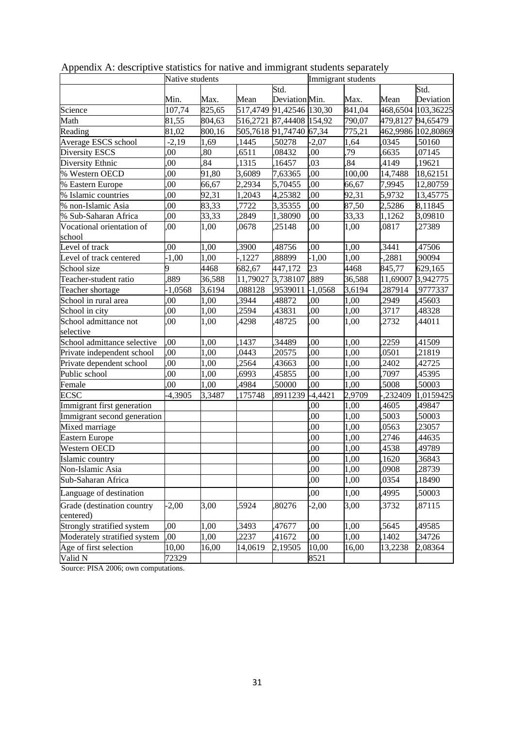|                                         | Native students |        |          |                          | Immigrant students |        |                   |                    |  |
|-----------------------------------------|-----------------|--------|----------|--------------------------|--------------------|--------|-------------------|--------------------|--|
|                                         |                 |        |          | Std.                     |                    |        |                   | Std.               |  |
|                                         | Min.            | Max.   | Mean     | Deviation Min.           |                    | Max.   | Mean              | Deviation          |  |
| Science                                 | 107,74          | 825,65 |          | 517,4749 91,42546 130,30 |                    | 841,04 |                   | 468,6504 103,36225 |  |
| Math                                    | 81,55           | 804,63 |          | 516,2721 87,44408 154,92 |                    | 790,07 | 479,8127 94,65479 |                    |  |
| Reading                                 | 81,02           | 800,16 |          | 505,7618 91,74740 67,34  |                    | 775,21 |                   | 462,9986 102,80869 |  |
| Average ESCS school                     | $-2,19$         | 1,69   | 1445     | 50278                    | $-2,07$            | 1,64   | ,0345             | ,50160             |  |
| Diversity ESCS                          | ,00             | ,80    | 6511     | ,08432                   | ,00                | 79     | ,6635             | ,07145             |  |
| Diversity Ethnic                        | ,00             | ,84    | 1315     | 16457                    | ,03                | 84,    | ,4149             | ,19621             |  |
| % Western OECD                          | ,00             | 91,80  | 3,6089   | 7,63365                  | ,00                | 100,00 | 14,7488           | 18,62151           |  |
| % Eastern Europe                        | .00             | 66,67  | 2,2934   | 5,70455                  | ,00                | 66,67  | 7,9945            | 12,80759           |  |
| % Islamic countries                     | .00             | 92,31  | 1,2043   | 4,25382                  | ,00                | 92,31  | 5,9732            | 13,45775           |  |
| % non-Islamic Asia                      | .00             | 83,33  | ,7722    | 3,35355                  | ,00                | 87,50  | 2,5286            | 8,11845            |  |
| % Sub-Saharan Africa                    | ,00             | 33,33  | 2849     | 1,38090                  | ,00                | 33,33  | 1,1262            | 3,09810            |  |
| Vocational orientation of<br>school     | ,00             | 1,00   | ,0678    | ,25148                   | ,00                | 1,00   | ,0817             | ,27389             |  |
| Level of track                          | .00             | 1,00   | ,3900    | 48756                    | ,00                | 1,00   | $\overline{3}441$ | ,47506             |  |
| Level of track centered                 | $-1,00$         | 1,00   | $-1227$  | ,88899                   | $-1,00$            | 1,00   | $-2881$           | ,90094             |  |
| School size                             | 9               | 4468   | 682,67   | 447,172                  | 23                 | 4468   | 845,77            | 629,165            |  |
| Teacher-student ratio                   | ,889            | 36,588 | 11,79027 | 3,738107                 | ,889               | 36,588 | 11,69007          | 3,942775           |  |
| Teacher shortage                        | $-1,0568$       | 3,6194 | ,088128  | ,9539011                 | $-1,0568$          | 3,6194 | ,287914           | ,9777337           |  |
| School in rural area                    | .00             | 1,00   | 3944     | 48872                    | ,00                | 1,00   | ,2949             | ,45603             |  |
| School in city                          | 00,             | 1,00   | 2594     | 43831                    | ,00                | 1,00   | 3717              | ,48328             |  |
| School admittance not<br>selective      | ,00             | 1,00   | ,4298    | ,48725                   | ,00                | 1,00   | ,2732             | ,44011             |  |
| School admittance selective             | ,00             | 1,00   | 1437     | 34489                    | ,00                | 1,00   | ,2259             | ,41509             |  |
| Private independent school              | ,00             | 1,00   | ,0443    | ,20575                   | ,00                | 1,00   | ,0501             | ,21819             |  |
| Private dependent school                | 00,             | 1,00   | 2564     | 43663                    | ,00                | 1,00   | ,2402             | 42725              |  |
| Public school                           | 00              | 1,00   | 6993     | 45855                    | ,00                | 1,00   | 7097              | ,45395             |  |
| Female                                  | 00              | 1,00   | 4984     | ,50000                   | ,00                | 1,00   | 5008              | ,50003             |  |
| <b>ECSC</b>                             | -4,3905         | 3,3487 | 175748   | ,8911239                 | $-4,4421$          | 2,9709 | $\sqrt{232409}$   | 1,0159425          |  |
| Immigrant first generation              |                 |        |          |                          | ,00                | 1,00   | ,4605             | ,49847             |  |
| Immigrant second generation             |                 |        |          |                          | ,00                | 1,00   | ,5003             | ,50003             |  |
| Mixed marriage                          |                 |        |          |                          | ,00                | 1,00   | ,0563             | ,23057             |  |
| <b>Eastern Europe</b>                   |                 |        |          |                          | ,00                | 1,00   | 2746              | 44635              |  |
| Western OECD                            |                 |        |          |                          | ,00                | 1,00   | 4538              | ,49789             |  |
| Islamic country                         |                 |        |          |                          | ,00                | 1,00   | ,1620             | ,36843             |  |
| Non-Islamic Asia                        |                 |        |          |                          | ,00                | 1,00   | ,0908             | ,28739             |  |
| Sub-Saharan Africa                      |                 |        |          |                          | ,00                | 1,00   | ,0354             | ,18490             |  |
| Language of destination                 |                 |        |          |                          | ,00                | 1,00   | ,4995             | ,50003             |  |
| Grade (destination country<br>centered) | $-2,00$         | 3,00   | ,5924    | 80276                    | $-2,00$            | 3,00   | ,3732             | ,87115             |  |
| Strongly stratified system              | .00             | 1,00   | 3493     | 47677                    | ,00                | 1,00   | 5645              | ,49585             |  |
| Moderately stratified system            | ,00             | 1,00   | 2237     | 41672                    | ,00                | 1,00   | 1402              | 34726              |  |
| Age of first selection                  | 10,00           | 16,00  | 14,0619  | 2,19505                  | 10,00              | 16,00  | 13,2238           | 2,08364            |  |
| Valid N                                 | 72329           |        |          |                          | 8521               |        |                   |                    |  |

Appendix A: descriptive statistics for native and immigrant students separately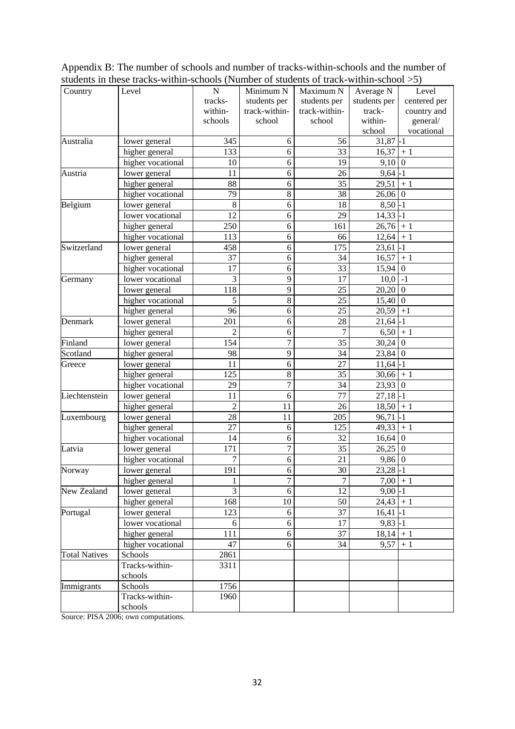|                      | $\frac{1}{2}$ of the contracted within sensons (Funnoce of students of track within sensor $\frac{1}{2}$ ) |                  |                  |                 |                        |                |
|----------------------|------------------------------------------------------------------------------------------------------------|------------------|------------------|-----------------|------------------------|----------------|
| Country              | Level                                                                                                      | ${\bf N}$        | Minimum N        | Maximum N       | Average N              | Level          |
|                      |                                                                                                            | tracks-          | students per     | students per    | students per           | centered per   |
|                      |                                                                                                            | within-          | track-within-    | track-within-   | track-                 | country and    |
|                      |                                                                                                            | schools          | school           | school          | within-                | general/       |
|                      |                                                                                                            |                  |                  |                 | school                 | vocational     |
| Australia            | lower general                                                                                              | 345              | 6                | 56              | $31,87 - 1$            |                |
|                      | higher general                                                                                             | 133              | 6                | 33              | $16,37 + 1$            |                |
|                      | higher vocational                                                                                          | 10               | 6                | 19              | $9,10$ 0               |                |
| Austria              | lower general                                                                                              | 11               | 6                | 26              | $9,64 - 1$             |                |
|                      | higher general                                                                                             | 88               | 6                | 35              | $29,51$ + 1            |                |
|                      | higher vocational                                                                                          | 79               | $\,8\,$          | 38              | $26,06$ 0              |                |
| Belgium              | lower general                                                                                              | 8                | 6                | 18              | $8,50 - 1$             |                |
|                      | lower vocational                                                                                           | $\overline{12}$  | 6                | $\overline{29}$ | $14,33$ -1             |                |
|                      | higher general                                                                                             | 250              | 6                | 161             | $26,76$ + 1            |                |
|                      | higher vocational                                                                                          | 113              | 6                | 66              | $12,64$ + 1            |                |
| Switzerland          | lower general                                                                                              | 458              | 6                | 175             | $23,61$ -1             |                |
|                      | higher general                                                                                             | 37               | 6                | 34              | $16,57 + 1$            |                |
|                      | higher vocational                                                                                          | 17               | 6                | 33              | $15,94$ 0              |                |
| Germany              | lower vocational                                                                                           | $\overline{3}$   | 9                | $\overline{17}$ | $10,0$ $\overline{-1}$ |                |
|                      | lower general                                                                                              | 118              | 9                | 25              | $20,20$ 0              |                |
|                      | higher vocational                                                                                          | 5                | 8                | 25              | $15,40$ 0              |                |
|                      | higher general                                                                                             | 96               | 6                | $\overline{25}$ | $20,59$ +1             |                |
| Denmark              | lower general                                                                                              | 201              | 6                | 28              | $21,64 - 1$            |                |
|                      | higher general                                                                                             | $\overline{2}$   | 6                | $\overline{7}$  | $6,50 + 1$             |                |
| Finland              | lower general                                                                                              | 154              | $\overline{7}$   | $\overline{35}$ | $30,24$ 0              |                |
| Scotland             | higher general                                                                                             | 98               | 9                | 34              | $23,84$ 0              |                |
| Greece               | lower general                                                                                              | 11               | 6                | 27              | $11,64 - 1$            |                |
|                      | higher general                                                                                             | 125              | $\,8\,$          | 35              | $30,66 + 1$            |                |
|                      | higher vocational                                                                                          | 29               | $\overline{7}$   | 34              | $23,93$ 0              |                |
| Liechtenstein        | lower general                                                                                              | 11               | 6                | 77              | $27,18$ -1             |                |
|                      | higher general                                                                                             | $\overline{c}$   | 11               | 26              | $18,50 + 1$            |                |
| Luxembourg           | lower general                                                                                              | 28               | 11               | 205             | $96,71$ -1             |                |
|                      | higher general                                                                                             | 27               | 6                | 125             | $49,33 + 1$            |                |
|                      | higher vocational                                                                                          | 14               | 6                | 32              | $16,64$ 0              |                |
| Latvia               | lower general                                                                                              | 171              | $\boldsymbol{7}$ | 35              | 26,25                  | $\overline{0}$ |
|                      | higher vocational                                                                                          | $\boldsymbol{7}$ | 6                | 21              | $9,86$ 0               |                |
| Norway               | lower general                                                                                              | 191              | $\overline{6}$   | $30\,$          | $23,28 - 1$            |                |
|                      | higher general                                                                                             | 1                | $\overline{7}$   | $\overline{7}$  | $7,00$ + 1             |                |
| New Zealand          | lower general                                                                                              | 3                | 6                | 12              | $9,00 - 1$             |                |
|                      | higher general                                                                                             | 168              | 10               | 50              | $24,43$ + 1            |                |
| Portugal             | lower general                                                                                              | 123              | 6                | $\overline{37}$ | $16,41$ -1             |                |
|                      | lower vocational                                                                                           | 6                | $\sqrt{6}$       | $17\,$          | $9,83 - 1$             |                |
|                      | higher general                                                                                             | 111              | 6                | $\overline{37}$ | $18,14$ + 1            |                |
|                      | higher vocational                                                                                          | 47               | 6                | 34              | $9,57 + 1$             |                |
| <b>Total Natives</b> | Schools                                                                                                    | 2861             |                  |                 |                        |                |
|                      | Tracks-within-                                                                                             | 3311             |                  |                 |                        |                |
|                      | schools                                                                                                    |                  |                  |                 |                        |                |
| Immigrants           | Schools                                                                                                    | 1756             |                  |                 |                        |                |
|                      | Tracks-within-                                                                                             | 1960             |                  |                 |                        |                |
|                      | schools                                                                                                    |                  |                  |                 |                        |                |

Appendix B: The number of schools and number of tracks-within-schools and the number of students in these tracks-within-schools (Number of students of track-within-school >5)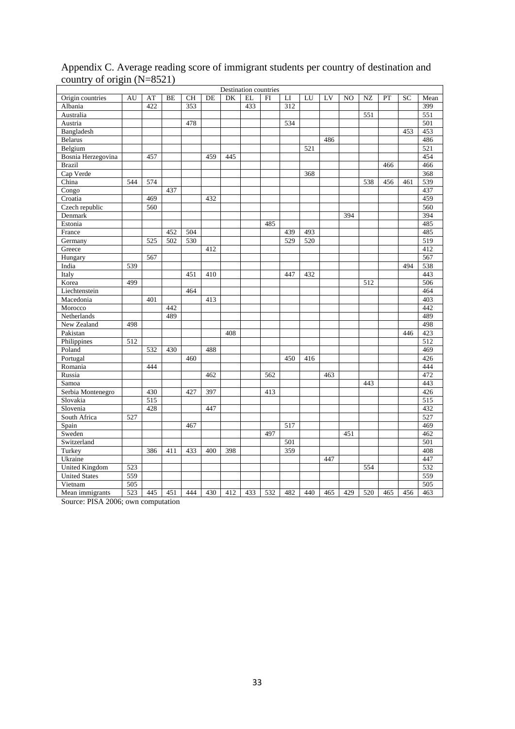| Destination countries |     |     |     |     |     |     |     |     |     |     |     |     |     |     |     |                  |
|-----------------------|-----|-----|-----|-----|-----|-----|-----|-----|-----|-----|-----|-----|-----|-----|-----|------------------|
| Origin countries      | AU  | AT  | BE  | СH  | DE  | DK  | EL  | FI  | LI  | LU  | LV  | NO  | NZ  | PT  | SC  | Mean             |
| Albania               |     | 422 |     | 353 |     |     | 433 |     | 312 |     |     |     |     |     |     | 399              |
| Australia             |     |     |     |     |     |     |     |     |     |     |     |     | 551 |     |     | 551              |
| Austria               |     |     |     | 478 |     |     |     |     | 534 |     |     |     |     |     |     | 501              |
| Bangladesh            |     |     |     |     |     |     |     |     |     |     |     |     |     |     | 453 | 453              |
| <b>Belarus</b>        |     |     |     |     |     |     |     |     |     |     | 486 |     |     |     |     | 486              |
| Belgium               |     |     |     |     |     |     |     |     |     | 521 |     |     |     |     |     | 521              |
| Bosnia Herzegovina    |     | 457 |     |     | 459 | 445 |     |     |     |     |     |     |     |     |     | 454              |
| <b>Brazil</b>         |     |     |     |     |     |     |     |     |     |     |     |     |     | 466 |     | 466              |
| Cap Verde             |     |     |     |     |     |     |     |     |     | 368 |     |     |     |     |     | 368              |
| China                 | 544 | 574 |     |     |     |     |     |     |     |     |     |     | 538 | 456 | 461 | 539              |
| Congo                 |     |     | 437 |     |     |     |     |     |     |     |     |     |     |     |     | 437              |
| Croatia               |     | 469 |     |     | 432 |     |     |     |     |     |     |     |     |     |     | 459              |
| Czech republic        |     | 560 |     |     |     |     |     |     |     |     |     |     |     |     |     | 560              |
| Denmark               |     |     |     |     |     |     |     |     |     |     |     | 394 |     |     |     | 394              |
| Estonia               |     |     |     |     |     |     |     | 485 |     |     |     |     |     |     |     | 485              |
| France                |     |     | 452 | 504 |     |     |     |     | 439 | 493 |     |     |     |     |     | 485              |
| Germany               |     | 525 | 502 | 530 |     |     |     |     | 529 | 520 |     |     |     |     |     | $\overline{519}$ |
| Greece                |     |     |     |     | 412 |     |     |     |     |     |     |     |     |     |     | 412              |
| Hungary               |     | 567 |     |     |     |     |     |     |     |     |     |     |     |     |     | 567              |
| India                 | 539 |     |     |     |     |     |     |     |     |     |     |     |     |     | 494 | 538              |
| Italy                 |     |     |     | 451 | 410 |     |     |     | 447 | 432 |     |     |     |     |     | 443              |
| Korea                 | 499 |     |     |     |     |     |     |     |     |     |     |     | 512 |     |     | 506              |
| Liechtenstein         |     |     |     | 464 |     |     |     |     |     |     |     |     |     |     |     | 464              |
| Macedonia             |     | 401 |     |     | 413 |     |     |     |     |     |     |     |     |     |     | 403              |
| Morocco               |     |     | 442 |     |     |     |     |     |     |     |     |     |     |     |     | 442              |
| Netherlands           |     |     | 489 |     |     |     |     |     |     |     |     |     |     |     |     | 489              |
| New Zealand           | 498 |     |     |     |     |     |     |     |     |     |     |     |     |     |     | 498              |
| Pakistan              |     |     |     |     |     | 408 |     |     |     |     |     |     |     |     | 446 | 423              |
| Philippines           | 512 |     |     |     |     |     |     |     |     |     |     |     |     |     |     | 512              |
| Poland                |     | 532 | 430 |     | 488 |     |     |     |     |     |     |     |     |     |     | 469              |
| Portugal              |     |     |     | 460 |     |     |     |     | 450 | 416 |     |     |     |     |     | 426              |
| Romania               |     | 444 |     |     |     |     |     |     |     |     |     |     |     |     |     | 444              |
| Russia                |     |     |     |     | 462 |     |     | 562 |     |     | 463 |     |     |     |     | 472              |
| Samoa                 |     |     |     |     |     |     |     |     |     |     |     |     | 443 |     |     | 443              |
| Serbia Montenegro     |     | 430 |     | 427 | 397 |     |     | 413 |     |     |     |     |     |     |     | 426              |
| Slovakia              |     | 515 |     |     |     |     |     |     |     |     |     |     |     |     |     | 515              |
| Slovenia              |     | 428 |     |     | 447 |     |     |     |     |     |     |     |     |     |     | 432              |
| South Africa          | 527 |     |     |     |     |     |     |     |     |     |     |     |     |     |     | 527              |
| Spain                 |     |     |     | 467 |     |     |     |     | 517 |     |     |     |     |     |     | 469              |
| Sweden                |     |     |     |     |     |     |     | 497 |     |     |     | 451 |     |     |     | 462              |
| Switzerland           |     |     |     |     |     |     |     |     | 501 |     |     |     |     |     |     | 501              |
| Turkey                |     | 386 | 411 | 433 | 400 | 398 |     |     | 359 |     |     |     |     |     |     | 408              |
| Ukraine               |     |     |     |     |     |     |     |     |     |     | 447 |     |     |     |     | 447              |
| United Kingdom        | 523 |     |     |     |     |     |     |     |     |     |     |     | 554 |     |     | 532              |
| <b>United States</b>  | 559 |     |     |     |     |     |     |     |     |     |     |     |     |     |     | 559              |
| Vietnam               | 505 |     |     |     |     |     |     |     |     |     |     |     |     |     |     | 505              |
| Mean immigrants       | 523 | 445 | 451 | 444 | 430 | 412 | 433 | 532 | 482 | 440 | 465 | 429 | 520 | 465 | 456 | 463              |

## Appendix C. Average reading score of immigrant students per country of destination and country of origin (N=8521)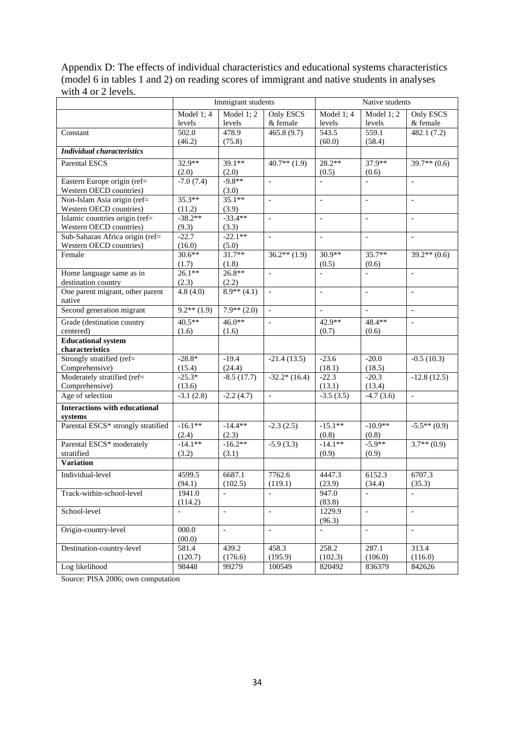Appendix D: The effects of individual characteristics and educational systems characteristics (model 6 in tables 1 and 2) on reading scores of immigrant and native students in analyses with 4 or 2 levels.

|                                            |                            | Immigrant students       |                          | Native students          |                          |                            |  |
|--------------------------------------------|----------------------------|--------------------------|--------------------------|--------------------------|--------------------------|----------------------------|--|
|                                            | Model $1; 4$               | Model $1; 2$             | Only ESCS                | Model $1; 4$             | Model $1; 2$             | <b>Only ESCS</b>           |  |
|                                            | levels                     | levels                   | & female                 | levels                   | levels                   | & female                   |  |
| Constant                                   | 502.0                      | 478.9                    | 465.8(9.7)               | 543.5                    | 559.1                    | 482.1(7.2)                 |  |
|                                            | (46.2)                     | (75.8)                   |                          | (60.0)                   | (58.4)                   |                            |  |
| <b>Individual characteristics</b>          |                            |                          |                          |                          |                          |                            |  |
| <b>Parental ESCS</b>                       | $32.9**$                   | $39.1**$                 | $40.7**$ (1.9)           | $28.2**$                 | 37.9**                   | $39.7**$ (0.6)             |  |
|                                            | (2.0)                      | (2.0)                    |                          | (0.5)                    | (0.6)                    |                            |  |
| Eastern Europe origin (ref=                | $-7.0(7.4)$                | $-9.8**$                 | $\overline{\phantom{a}}$ | $\qquad \qquad \Box$     | $\overline{\phantom{a}}$ | $\overline{\phantom{0}}$   |  |
| Western OECD countries)                    |                            | (3.0)                    |                          |                          |                          |                            |  |
| Non-Islam Asia origin (ref=                | $35.3**$                   | $35.1**$                 |                          | $\overline{\phantom{a}}$ | $\blacksquare$           | $\blacksquare$             |  |
| Western OECD countries)                    | (11.2)                     | (3.9)                    |                          |                          |                          |                            |  |
| Islamic countries origin (ref=             | $-38.2**$                  | $-33.4**$                | $\overline{\phantom{a}}$ | $\overline{\phantom{a}}$ | $\blacksquare$           | $\overline{\phantom{a}}$   |  |
| Western OECD countries)                    | (9.3)                      | (3.3)                    |                          |                          |                          |                            |  |
| Sub-Saharan Africa origin (ref=            | $-22.7$                    | $-22.1**$                |                          | $\overline{a}$           | $\overline{a}$           | $\overline{a}$             |  |
| Western OECD countries)                    | (16.0)                     | (5.0)                    |                          |                          |                          |                            |  |
| Female                                     | $30.6**$                   | $31.7**$                 | $36.2**$ (1.9)           | $30.9**$                 | $35.7**$                 | $39.2**$ (0.6)             |  |
|                                            | (1.7)                      | (1.8)                    |                          | (0.5)                    | (0.6)                    |                            |  |
| Home language same as in                   | $26.1**$                   | $26.8**$                 |                          |                          | $\overline{a}$           | $\overline{a}$             |  |
| destination country                        | (2.3)                      | (2.2)                    |                          |                          |                          |                            |  |
| One parent migrant, other parent<br>native | 4.8(4.0)                   | $8.9**$ (4.1)            | $\mathcal{L}$            | $\frac{1}{2}$            | $\equiv$                 | $\overline{\phantom{0}}$   |  |
| Second generation migrant                  | $\overline{9.2^{**}(1.9)}$ | $7.9**$ (2.0)            | $\bar{\phantom{a}}$      | $\overline{a}$           | $\equiv$                 | $\frac{1}{2}$              |  |
| Grade (destination country                 | $40.5**$                   | $46.0**$                 | $\overline{\phantom{a}}$ | 42.9**                   | 48.4**                   | $\frac{1}{2}$              |  |
| centered)                                  | (1.6)                      | (1.6)                    |                          | (0.7)                    | (0.6)                    |                            |  |
| <b>Educational system</b>                  |                            |                          |                          |                          |                          |                            |  |
| characteristics                            |                            |                          |                          |                          |                          |                            |  |
| Strongly stratified (ref=                  | $-28.8*$                   | $-19.4$                  | $-21.4(13.5)$            | $-23.6$                  | $-20.0$                  | $-0.5(10.3)$               |  |
| Comprehensive)                             | (15.4)                     | (24.4)                   |                          | (18.1)                   | (18.5)                   |                            |  |
| Moderately stratified (ref=                | $-25.3*$                   | $-8.5(17.7)$             | $-32.2*(16.4)$           | $-22.3$                  | $-20.3$                  | $-12.8(12.5)$              |  |
| Comprehensive)                             | (13.6)                     |                          |                          | (13.1)                   | (13.4)                   |                            |  |
| Age of selection                           | $-3.1(2.8)$                | $-2.2(4.7)$              | $\blacksquare$           | $-3.5(3.5)$              | $-4.7(3.6)$              | $\mathbb{L}$               |  |
| <b>Interactions with educational</b>       |                            |                          |                          |                          |                          |                            |  |
| systems                                    |                            |                          |                          |                          |                          |                            |  |
| Parental ESCS* strongly stratified         | $-16.1**$                  | $-14.4**$                | $-2.3(2.5)$              | $-15.1**$                | $-10.9**$                | $-5.5**(0.9)$              |  |
|                                            | (2.4)                      | (2.3)                    |                          | (0.8)                    | (0.8)                    |                            |  |
| Parental ESCS* moderately                  | $-14.1**$                  | $-16.2**$                | $-5.9(3.3)$              | $-14.1**$                | $-5.9**$                 | $\overline{3.7^{**}(0.9)}$ |  |
| stratified                                 | (3.2)                      | (3.1)                    |                          | (0.9)                    | (0.9)                    |                            |  |
| <b>Variation</b>                           |                            |                          |                          |                          |                          |                            |  |
| Individual-level                           | 4599.5                     | 6687.1                   | 7762.6                   | 4447.3                   | 6152.3                   | 6707.3                     |  |
|                                            | (94.1)                     | (102.5)                  | (119.1)                  | (23.9)                   | (34.4)                   | (35.3)                     |  |
| Track-within-school-level                  | 1941.0                     | $\qquad \qquad \Box$     |                          | 947.0                    |                          |                            |  |
|                                            | (114.2)                    |                          |                          | (83.8)                   |                          |                            |  |
| School-level                               |                            | $\overline{\phantom{m}}$ | $\overline{\phantom{a}}$ | 1229.9                   | $\bar{\phantom{a}}$      | $\overline{a}$             |  |
|                                            |                            |                          |                          | (96.3)                   |                          |                            |  |
| Origin-country-level                       | 000.0                      | $\overline{\phantom{a}}$ | $\blacksquare$           | $\overline{a}$           | $\blacksquare$           | $\overline{a}$             |  |
|                                            | (00.0)                     |                          |                          |                          |                          |                            |  |
| Destination-country-level                  | 581.4                      | 439.2                    | 458.3                    | 258.2                    | 287.1                    | 313.4                      |  |
|                                            | (120.7)                    | (176.6)                  | (195.9)                  | (102.3)                  | (106.0)                  | (116.0)                    |  |
| Log likelihood                             | 98448                      | 99279                    | 100549                   | 820492                   | 836379                   | 842626                     |  |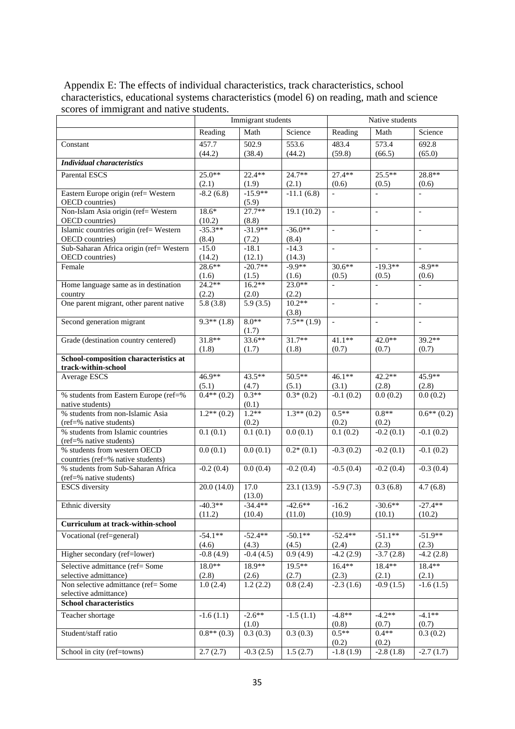| Appendix E: The effects of individual characteristics, track characteristics, school        |  |  |  |  |  |  |  |  |
|---------------------------------------------------------------------------------------------|--|--|--|--|--|--|--|--|
| characteristics, educational systems characteristics (model 6) on reading, math and science |  |  |  |  |  |  |  |  |
| scores of immigrant and native students.                                                    |  |  |  |  |  |  |  |  |
| Immigrant students<br>Native students                                                       |  |  |  |  |  |  |  |  |

|                                                                   |                        | Immigrant students     |                   | Native students          |                          |                          |  |
|-------------------------------------------------------------------|------------------------|------------------------|-------------------|--------------------------|--------------------------|--------------------------|--|
|                                                                   | Reading                | Math                   | Science           | Reading                  | Math                     | Science                  |  |
| Constant                                                          | 457.7                  | 502.9                  | 553.6             | 483.4                    | 573.4                    | $\overline{692.8}$       |  |
|                                                                   | (44.2)                 | (38.4)                 | (44.2)            | (59.8)                   | (66.5)                   | (65.0)                   |  |
| <b>Individual characteristics</b>                                 |                        |                        |                   |                          |                          |                          |  |
| <b>Parental ESCS</b>                                              | $25.0**$               | $22.4**$               | $24.7**$          | $27.4**$                 | $25.5***$                | 28.8**                   |  |
|                                                                   | (2.1)                  | (1.9)                  | (2.1)             | (0.6)                    | (0.5)                    | (0.6)                    |  |
| Eastern Europe origin (ref= Western<br>OECD countries)            | $-8.2(6.\overline{8})$ | $-15.9**$<br>(5.9)     | $-11.1(6.8)$      | $\overline{a}$           | $\overline{\phantom{a}}$ | $\overline{a}$           |  |
| Non-Islam Asia origin (ref= Western                               | $18.6*$                | $27.7**$               | 19.1(10.2)        | $\overline{\phantom{a}}$ | $\overline{\phantom{a}}$ | $\overline{\phantom{a}}$ |  |
| OECD countries)                                                   | (10.2)                 | (8.8)                  |                   |                          |                          |                          |  |
| Islamic countries origin (ref= Western)                           | $-35.3**$              | $-31.9**$              | $-36.0**$         | $\mathbb{L}$             | $\blacksquare$           | $\equiv$                 |  |
| OECD countries)<br>Sub-Saharan Africa origin (ref= Western        | (8.4)                  | (7.2)                  | (8.4)<br>$-14.3$  | $\mathbb{L}$             |                          | $\mathbf{r}$             |  |
| OECD countries)                                                   | $-15.0$<br>(14.2)      | $-18.1$<br>(12.1)      | (14.3)            |                          | $\sim$                   |                          |  |
| Female                                                            | $28.6**$               | $-20.7**$              | $-9.9**$          | $30.6**$                 | $-19.3**$                | $-8.9**$                 |  |
|                                                                   | (1.6)                  | (1.5)                  | (1.6)             | (0.5)                    | (0.5)                    | (0.6)                    |  |
| Home language same as in destination                              | $24.2**$               | $16.2**$               | $23.0**$          | $\equiv$                 | $\equiv$                 | $\overline{a}$           |  |
| country                                                           | (2.2)                  | (2.0)                  | (2.2)             |                          |                          |                          |  |
| One parent migrant, other parent native                           | 5.8(3.8)               | 5.9(3.5)               | $10.2**$<br>(3.8) | $\overline{\phantom{a}}$ | $\overline{a}$           | $\overline{a}$           |  |
| Second generation migrant                                         | $9.3**$ (1.8)          | $8.0**$                | $7.5**$ (1.9)     | $\overline{\phantom{a}}$ | $\blacksquare$           | $\equiv$                 |  |
|                                                                   |                        | (1.7)                  |                   |                          |                          |                          |  |
| Grade (destination country centered)                              | $31.8**$               | $33.6**$               | $31.7**$          | $41.1**$                 | 42.0**                   | 39.2**                   |  |
|                                                                   | (1.8)                  | (1.7)                  | (1.8)             | (0.7)                    | (0.7)                    | (0.7)                    |  |
| School-composition characteristics at<br>track-within-school      |                        |                        |                   |                          |                          |                          |  |
| <b>Average ESCS</b>                                               | 46.9**                 | $43.5***$              | $50.5**$          | $46.1**$                 | $42.2**$                 | 45.9**                   |  |
|                                                                   | (5.1)                  | (4.7)                  | (5.1)             | (3.1)                    | (2.8)                    | (2.8)                    |  |
| % students from Eastern Europe (ref=%<br>native students)         | $0.4**$ (0.2)          | $0.3**$<br>(0.1)       | $0.3*(0.2)$       | $-0.1(0.2)$              | 0.0(0.2)                 | 0.0(0.2)                 |  |
| % students from non-Islamic Asia                                  | $1.2**$ (0.2)          | $1.2**$                | $1.3**$ (0.2)     | $0.5**$                  | $0.8**$                  | $0.6**$ (0.2)            |  |
| (ref=% native students)                                           |                        | (0.2)                  |                   | (0.2)                    | (0.2)                    |                          |  |
| % students from Islamic countries<br>(ref=% native students)      | 0.1(0.1)               | 0.1(0.1)               | 0.0(0.1)          | 0.1(0.2)                 | $-0.2(0.1)$              | $-0.1(0.2)$              |  |
| % students from western OECD<br>countries (ref=% native students) | 0.0(0.1)               | 0.0(0.1)               | $0.2*(0.1)$       | $-0.3(0.2)$              | $-0.2(0.1)$              | $-0.1(0.2)$              |  |
| % students from Sub-Saharan Africa<br>(ref=% native students)     | $-0.2(0.4)$            | $\overline{0.0}$ (0.4) | $-0.2(0.4)$       | $-0.5(0.4)$              | $-0.2(0.4)$              | $-0.3(0.4)$              |  |
| <b>ESCS</b> diversity                                             | 20.0(14.0)             | 17.0<br>(13.0)         | 23.1(13.9)        | $-5.9(7.3)$              | 0.3(6.8)                 | $\overline{4.7}$ (6.8)   |  |
| Ethnic diversity                                                  | $-40.3**$              | $-34.4**$              | $-42.6**$         | $-16.2$                  | $-30.6**$                | $-27.4**$                |  |
|                                                                   | (11.2)                 | (10.4)                 | (11.0)            | (10.9)                   | (10.1)                   | (10.2)                   |  |
| <b>Curriculum at track-within-school</b>                          |                        |                        |                   |                          |                          |                          |  |
| Vocational (ref=general)                                          | $-54.1**$              | $-52.4**$              | $-50.1**$         | $-52.4**$                | $-51.1**$                | $-51.9**$                |  |
|                                                                   | (4.6)                  | (4.3)                  | (4.5)             | (2.4)                    | (2.3)                    | (2.3)                    |  |
| Higher secondary (ref=lower)                                      | $-0.8(4.9)$            | $-0.4(4.5)$            | 0.9(4.9)          | $-4.2(2.9)$              | $-3.7(2.8)$              | $-4.2(2.8)$              |  |
| Selective admittance (ref= Some                                   | $18.0**$               | 18.9**                 | $19.5**$          | $16.4**$                 | 18.4**                   | 18.4**                   |  |
| selective admittance)                                             | (2.8)                  | (2.6)                  | (2.7)             | (2.3)                    | (2.1)                    | (2.1)                    |  |
| Non selective admittance (ref= Some                               | 1.0(2.4)               | 1.2(2.2)               | 0.8(2.4)          | $-2.3(1.6)$              | $-0.9(1.5)$              | $-1.6(1.5)$              |  |
| selective admittance)                                             |                        |                        |                   |                          |                          |                          |  |
| <b>School characteristics</b>                                     |                        |                        |                   |                          |                          |                          |  |
| Teacher shortage                                                  | $-1.6(1.1)$            | $-2.6**$<br>(1.0)      | $-1.5(1.1)$       | $-4.8**$<br>(0.8)        | $-4.2**$<br>(0.7)        | $-4.1**$<br>(0.7)        |  |
| Student/staff ratio                                               | $0.8**$ (0.3)          | 0.3(0.3)               | 0.3(0.3)          | $0.5**$<br>(0.2)         | $0.4**$<br>(0.2)         | 0.3(0.2)                 |  |
| School in city (ref=towns)                                        | 2.7(2.7)               | $-0.3(2.5)$            | 1.5(2.7)          | $-1.8(1.9)$              | $-2.8(1.8)$              | $-2.7(1.7)$              |  |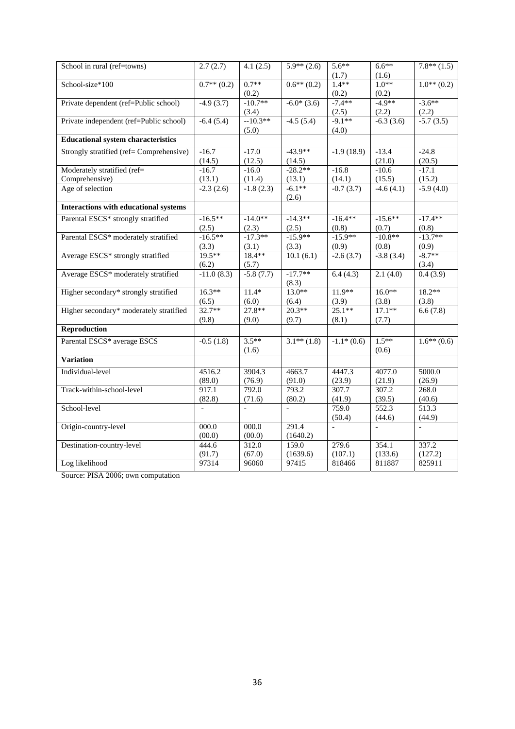| School in rural (ref=towns)                  | 2.7(2.7)      | 4.1(2.5)       | $\overline{5.9^{**}(2.6)}$ | $5.6***$     | $6.6**$     | $7.8**$ (1.5) |
|----------------------------------------------|---------------|----------------|----------------------------|--------------|-------------|---------------|
|                                              |               |                |                            | (1.7)        | (1.6)       |               |
| School-size*100                              | $0.7**$ (0.2) | $0.7**$        | $0.6**$ (0.2)              | $1.4**$      | $1.0**$     | $1.0**$ (0.2) |
|                                              |               | (0.2)          |                            | (0.2)        | (0.2)       |               |
| Private dependent (ref=Public school)        | $-4.9(3.7)$   | $-10.7**$      | $-6.0*(3.6)$               | $-7.4**$     | $-4.9**$    | $-3.6**$      |
|                                              |               | (3.4)          |                            | (2.5)        | (2.2)       | (2.2)         |
| Private independent (ref=Public school)      | $-6.4(5.4)$   | $-10.3**$      | $-4.5(5.4)$                | $-9.1**$     | $-6.3(3.6)$ | $-5.7(3.5)$   |
|                                              |               | (5.0)          |                            | (4.0)        |             |               |
| <b>Educational system characteristics</b>    |               |                |                            |              |             |               |
| Strongly stratified (ref= Comprehensive)     | $-16.7$       | $-17.0$        | $-43.9**$                  | $-1.9(18.9)$ | $-13.4$     | $-24.8$       |
|                                              | (14.5)        | (12.5)         | (14.5)                     |              | (21.0)      | (20.5)        |
| Moderately stratified (ref=                  | $-16.7$       | $-16.0$        | $-28.2**$                  | $-16.8$      | $-10.6$     | $-17.1$       |
| Comprehensive)                               | (13.1)        | (11.4)         | (13.1)                     | (14.1)       | (15.5)      | (15.2)        |
| Age of selection                             | $-2.3(2.6)$   | $-1.8(2.3)$    | $-6.1**$                   | $-0.7(3.7)$  | $-4.6(4.1)$ | $-5.9(4.0)$   |
|                                              |               |                | (2.6)                      |              |             |               |
| <b>Interactions with educational systems</b> |               |                |                            |              |             |               |
| Parental ESCS* strongly stratified           | $-16.5**$     | $-14.0**$      | $-14.3**$                  | $-16.4**$    | $-15.6**$   | $-17.4**$     |
|                                              | (2.5)         | (2.3)          | (2.5)                      | (0.8)        | (0.7)       | (0.8)         |
| Parental ESCS* moderately stratified         | $-16.5**$     | $-17.3**$      | $-15.9**$                  | $-15.9**$    | $-10.8**$   | $-13.7**$     |
|                                              | (3.3)         | (3.1)          | (3.3)                      | (0.9)        | (0.8)       | (0.9)         |
| Average ESCS* strongly stratified            | $19.5**$      | 18.4**         | 10.1(6.1)                  | $-2.6(3.7)$  | $-3.8(3.4)$ | $-8.7**$      |
|                                              | (6.2)         | (5.7)          |                            |              |             | (3.4)         |
| Average ESCS* moderately stratified          | $-11.0(8.3)$  | $-5.8(7.7)$    | $-17.7**$                  | 6.4(4.3)     | 2.1(4.0)    | 0.4(3.9)      |
|                                              |               |                | (8.3)                      |              |             |               |
| Higher secondary* strongly stratified        | $16.3**$      | $11.4*$        | $13.0**$                   | $11.9**$     | $16.0**$    | $18.2**$      |
|                                              | (6.5)         | (6.0)          | (6.4)                      | (3.9)        | (3.8)       | (3.8)         |
| Higher secondary* moderately stratified      | $32.7**$      | $27.8**$       | $20.3**$                   | $25.1**$     | $17.1**$    | 6.6(7.8)      |
|                                              | (9.8)         | (9.0)          | (9.7)                      | (8.1)        | (7.7)       |               |
| Reproduction                                 |               |                |                            |              |             |               |
| Parental ESCS* average ESCS                  | $-0.5(1.8)$   | $3.5***$       | $3.1**$ (1.8)              | $-1.1*(0.6)$ | $1.5**$     | $1.6**$ (0.6) |
|                                              |               | (1.6)          |                            |              | (0.6)       |               |
| <b>Variation</b>                             |               |                |                            |              |             |               |
| Individual-level                             | 4516.2        | 3904.3         | 4663.7                     | 4447.3       | 4077.0      | 5000.0        |
|                                              | (89.0)        | (76.9)         | (91.0)                     | (23.9)       | (21.9)      | (26.9)        |
| Track-within-school-level                    | 917.1         | 792.0          | 793.2                      | 307.7        | 307.2       | 268.0         |
|                                              | (82.8)        | (71.6)         | (80.2)                     | (41.9)       | (39.5)      | (40.6)        |
| School-level                                 | $\frac{1}{2}$ | $\overline{a}$ | $\overline{\phantom{a}}$   | 759.0        | 552.3       | 513.3         |
|                                              |               |                |                            | (50.4)       | (44.6)      | (44.9)        |
| Origin-country-level                         | 000.0         | 000.0          | 291.4                      |              |             |               |
|                                              | (00.0)        | (00.0)         | (1640.2)                   |              |             |               |
| Destination-country-level                    | 444.6         | 312.0          | 159.0                      | 279.6        | 354.1       | 337.2         |
|                                              | (91.7)        | (67.0)         | (1639.6)                   | (107.1)      | (133.6)     | (127.2)       |
| Log likelihood                               | 97314         | 96060          | 97415                      | 818466       | 811887      | 825911        |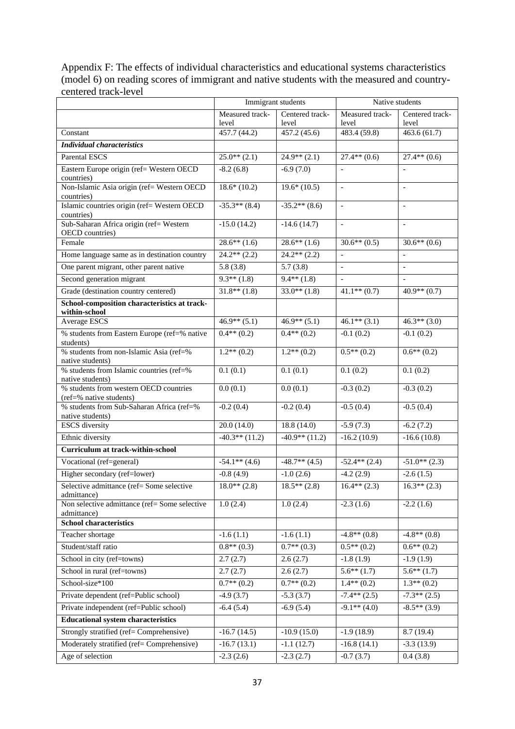Appendix F: The effects of individual characteristics and educational systems characteristics (model 6) on reading scores of immigrant and native students with the measured and countrycentered track-level

|                                                                   |                       | Immigrant students    |                                    | Native students          |
|-------------------------------------------------------------------|-----------------------|-----------------------|------------------------------------|--------------------------|
|                                                                   | Measured track-       | Centered track-       | Measured track-                    | Centered track-          |
| Constant                                                          | level<br>457.7 (44.2) | level<br>457.2 (45.6) | level<br>$483.4 \overline{(59.8)}$ | level<br>463.6(61.7)     |
| <b>Individual characteristics</b>                                 |                       |                       |                                    |                          |
| <b>Parental ESCS</b>                                              | $25.0**$ (2.1)        | $24.9**$ (2.1)        | $27.4**$ (0.6)                     | $27.4**$ (0.6)           |
| Eastern Europe origin (ref= Western OECD                          | $-8.2(6.8)$           | $-6.9(7.0)$           |                                    |                          |
| countries)                                                        |                       |                       |                                    |                          |
| Non-Islamic Asia origin (ref= Western OECD                        | $18.6*(10.2)$         | $19.6*(10.5)$         | $\overline{\phantom{a}}$           | $\overline{\phantom{a}}$ |
| countries)<br>Islamic countries origin (ref= Western OECD         | $-35.3**$ (8.4)       | $-35.2**$ (8.6)       | $\blacksquare$                     |                          |
| countries)                                                        |                       |                       |                                    |                          |
| Sub-Saharan Africa origin (ref= Western<br>OECD countries)        | $-15.0(14.2)$         | $-14.6(14.7)$         | $\Box$                             | $\overline{\phantom{a}}$ |
| Female                                                            | $28.6**$ (1.6)        | $28.6**$ (1.6)        | $30.6**$ (0.5)                     | $30.6**$ (0.6)           |
| Home language same as in destination country                      | $24.2**$ (2.2)        | $24.2**$ (2.2)        | $\overline{\phantom{a}}$           | $\overline{\phantom{a}}$ |
| One parent migrant, other parent native                           | 5.8(3.8)              | 5.7(3.8)              | $\frac{1}{2}$                      | $\blacksquare$           |
| Second generation migrant                                         | $9.3**$ (1.8)         | $9.4**$ (1.8)         |                                    |                          |
| Grade (destination country centered)                              | $31.8**$ (1.8)        | $33.0**$ (1.8)        | $41.1**$ (0.7)                     | $40.9**$ (0.7)           |
| School-composition characteristics at track-                      |                       |                       |                                    |                          |
| within-school<br><b>Average ESCS</b>                              | $46.9**$ (5.1)        | $46.9**$ (5.1)        | $46.1**$ (3.1)                     | $46.3**$ (3.0)           |
| % students from Eastern Europe (ref=% native                      | $0.4**$ (0.2)         | $0.4**$ (0.2)         | $-0.1(0.2)$                        | $-0.1(0.2)$              |
| students)                                                         |                       |                       |                                    |                          |
| % students from non-Islamic Asia (ref=%                           | $1.2**$ (0.2)         | $1.2**$ (0.2)         | $0.5**$ (0.2)                      | $0.6**$ (0.2)            |
| native students)<br>% students from Islamic countries (ref=%      | 0.1(0.1)              | 0.1(0.1)              | 0.1(0.2)                           | 0.1(0.2)                 |
| native students)                                                  |                       |                       |                                    |                          |
| % students from western OECD countries<br>(ref=% native students) | 0.0(0.1)              | 0.0(0.1)              | $-0.3(0.2)$                        | $-0.3(0.2)$              |
| % students from Sub-Saharan Africa (ref=%<br>native students)     | $-0.2(0.4)$           | $-0.2(0.4)$           | $-0.5(0.4)$                        | $-0.5(0.4)$              |
| <b>ESCS</b> diversity                                             | 20.0(14.0)            | 18.8(14.0)            | $-5.9(7.3)$                        | $-6.2(7.2)$              |
| Ethnic diversity                                                  | $-40.3**$ (11.2)      | $-40.9**$ (11.2)      | $-16.2(10.9)$                      | $-16.6(10.8)$            |
| Curriculum at track-within-school                                 |                       |                       |                                    |                          |
| Vocational (ref=general)                                          | $-54.1**$ (4.6)       | $-48.7**$ (4.5)       | $-52.4**$ (2.4)                    | $-51.0**$ (2.3)          |
| Higher secondary (ref=lower)                                      | $-0.8(4.9)$           | $-1.0(2.6)$           | $-4.2(2.9)$                        | $-2.6(1.5)$              |
| Selective admittance (ref= Some selective<br>admittance)          | $18.0**$ (2.8)        | $18.5**$ (2.8)        | $16.4** (2.3)$                     | $16.3**$ (2.3)           |
| Non selective admittance (ref= Some selective                     | 1.0(2.4)              | 1.0(2.4)              | $-2.3(1.6)$                        | $-2.2(1.6)$              |
| admittance)<br><b>School characteristics</b>                      |                       |                       |                                    |                          |
| Teacher shortage                                                  | $-1.6(1.1)$           | $-1.6(1.1)$           | $-4.8**$ (0.8)                     | $-4.8**$ (0.8)           |
| Student/staff ratio                                               | $0.8**$ (0.3)         | $0.7**$ (0.3)         | $0.5**$ $(0.2)$                    | $0.6**$ (0.2)            |
| School in city (ref=towns)                                        | 2.7(2.7)              | 2.6(2.7)              | $-1.8(1.9)$                        | $-1.9(1.9)$              |
| School in rural (ref=towns)                                       | 2.7(2.7)              | 2.6(2.7)              | $5.6***(1.7)$                      | $5.6**$ (1.7)            |
| School-size*100                                                   | $0.7**$ (0.2)         | $0.7**$ (0.2)         | $1.4**$ (0.2)                      | $1.3**$ (0.2)            |
| Private dependent (ref=Public school)                             | $-4.9(3.7)$           | $-5.3(3.7)$           | $-7.4**$ (2.5)                     | $-7.3**$ (2.5)           |
| Private independent (ref=Public school)                           | $-6.4(5.4)$           | $-6.9(5.4)$           | $-9.1**$ (4.0)                     | $-8.5**$ (3.9)           |
| <b>Educational system characteristics</b>                         |                       |                       |                                    |                          |
| Strongly stratified (ref= Comprehensive)                          | $-16.7(14.5)$         | $-10.9(15.0)$         | $-1.9(18.9)$                       | 8.7(19.4)                |
| Moderately stratified (ref= Comprehensive)                        | $-16.7(13.1)$         | $-1.1(12.7)$          | $-16.8(14.1)$                      | $-3.3(13.9)$             |
| Age of selection                                                  | $-2.3(2.6)$           | $-2.3(2.7)$           | $-0.7(3.7)$                        | 0.4(3.8)                 |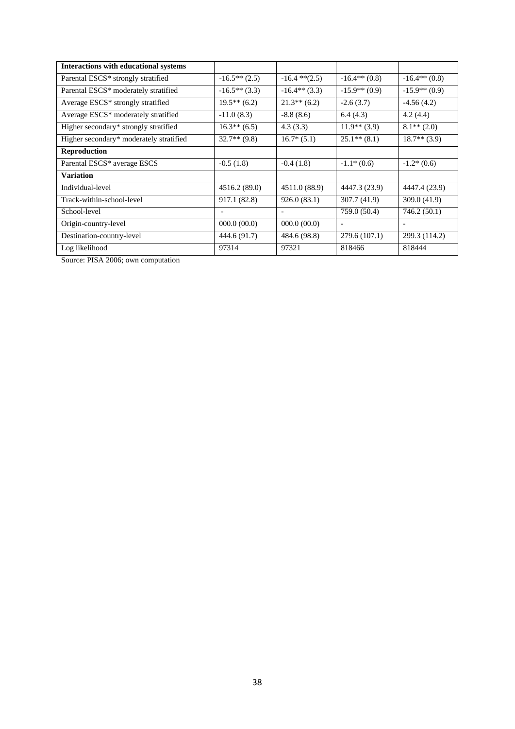| <b>Interactions with educational systems</b>   |                 |                    |                 |                 |
|------------------------------------------------|-----------------|--------------------|-----------------|-----------------|
| Parental ESCS <sup>*</sup> strongly stratified | $-16.5**(2.5)$  | $-16.4$ ** $(2.5)$ | $-16.4**$ (0.8) | $-16.4**$ (0.8) |
| Parental ESCS* moderately stratified           | $-16.5**$ (3.3) | $-16.4**$ (3.3)    | $-15.9**$ (0.9) | $-15.9**$ (0.9) |
| Average ESCS <sup>*</sup> strongly stratified  | $19.5**$ (6.2)  | $21.3**$ (6.2)     | $-2.6(3.7)$     | $-4.56(4.2)$    |
| Average ESCS* moderately stratified            | $-11.0(8.3)$    | $-8.8(8.6)$        | 6.4(4.3)        | 4.2(4.4)        |
| Higher secondary* strongly stratified          | $16.3**$ (6.5)  | 4.3(3.3)           | $11.9**$ (3.9)  | $8.1**$ (2.0)   |
| Higher secondary* moderately stratified        | $32.7**$ (9.8)  | $16.7*(5.1)$       | $25.1**$ (8.1)  | $18.7**$ (3.9)  |
| <b>Reproduction</b>                            |                 |                    |                 |                 |
| Parental ESCS* average ESCS                    | $-0.5(1.8)$     | $-0.4(1.8)$        | $-1.1*(0.6)$    | $-1.2*(0.6)$    |
| <b>Variation</b>                               |                 |                    |                 |                 |
| Individual-level                               | 4516.2 (89.0)   | 4511.0 (88.9)      | 4447.3 (23.9)   | 4447.4 (23.9)   |
| Track-within-school-level                      | 917.1 (82.8)    | 926.0(83.1)        | 307.7 (41.9)    | 309.0 (41.9)    |
| School-level                                   |                 |                    | 759.0 (50.4)    | 746.2 (50.1)    |
| Origin-country-level                           | 000.0(00.0)     | 000.0(00.0)        |                 |                 |
| Destination-country-level                      | 444.6 (91.7)    | 484.6 (98.8)       | 279.6 (107.1)   | 299.3 (114.2)   |
| Log likelihood                                 | 97314           | 97321              | 818466          | 818444          |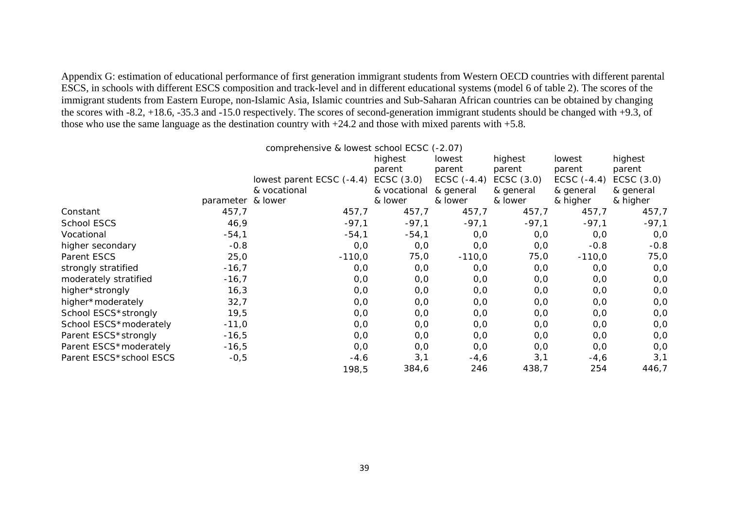Appendix G: estimation of educational performance of first generation immigrant students from Western OECD countries with different parental ESCS, in schools with different ESCS composition and track-level and in different educational systems (model 6 of table 2). The scores of the immigrant students from Eastern Europe, non-Islamic Asia, Islamic countries and Sub-Saharan African countries can be obtained by changing the scores with -8.2, +18.6, -35.3 and -15.0 respectively. The scores of second-generation immigrant students should be changed with +9.3, of those who use the same language as the destination country with  $+24.2$  and those with mixed parents with  $+5.8$ .

|                         |                   | comprehensive & lowest school ECSC (-2.07) |              |               |              |               |              |
|-------------------------|-------------------|--------------------------------------------|--------------|---------------|--------------|---------------|--------------|
|                         |                   |                                            | highest      | lowest        | highest      | lowest        | highest      |
|                         |                   |                                            | parent       | parent        | parent       | parent        | parent       |
|                         |                   | lowest parent ECSC (-4.4)                  | ECSC $(3.0)$ | ECSC $(-4.4)$ | ECSC $(3.0)$ | ECSC $(-4.4)$ | ECSC $(3.0)$ |
|                         |                   | & vocational                               | & vocational | & general     | & general    | & general     | & general    |
|                         | parameter & lower |                                            | & lower      | & lower       | & lower      | & higher      | & higher     |
| Constant                | 457,7             | 457,7                                      | 457,7        | 457,7         | 457,7        | 457,7         | 457,7        |
| School ESCS             | 46,9              | $-97,1$                                    | $-97,1$      | $-97,1$       | $-97,1$      | $-97,1$       | $-97,1$      |
| Vocational              | $-54,1$           | $-54,1$                                    | $-54,1$      | 0,0           | O, O         | 0,0           | 0,0          |
| higher secondary        | $-0.8$            | 0,0                                        | 0,0          | O, O          | O, O         | $-0.8$        | $-0.8$       |
| Parent ESCS             | 25,0              | $-110,0$                                   | 75,0         | $-110,0$      | 75,0         | $-110,0$      | 75,0         |
| strongly stratified     | $-16,7$           | 0,0                                        | 0,0          | 0,0           | 0,0          | 0, 0          | 0,0          |
| moderately stratified   | $-16,7$           | 0,0                                        | O, O         | O, O          | O, O         | 0,0           | 0,0          |
| higher*strongly         | 16,3              | 0,0                                        | 0,0          | O, O          | O, O         | 0,0           | 0,0          |
| higher*moderately       | 32,7              | 0,0                                        | 0, 0         | 0,0           | 0, 0         | 0, 0          | 0,0          |
| School ESCS*strongly    | 19,5              | 0,0                                        | 0, 0         | 0,0           | O, O         | 0,0           | 0,0          |
| School ESCS*moderately  | $-11,0$           | 0,0                                        | 0, 0         | 0, 0          | 0, 0         | 0,0           | 0,0          |
| Parent ESCS*strongly    | $-16,5$           | 0,0                                        | 0, 0         | 0,0           | 0,0          | 0, 0          | 0,0          |
| Parent ESCS*moderately  | $-16,5$           | 0,0                                        | 0, 0         | 0,0           | 0, 0         | 0,0           | 0,0          |
| Parent ESCS*school ESCS | $-0,5$            | $-4.6$                                     | 3,1          | $-4,6$        | 3,1          | $-4,6$        | 3,1          |
|                         |                   | 198,5                                      | 384,6        | 246           | 438,7        | 254           | 446,7        |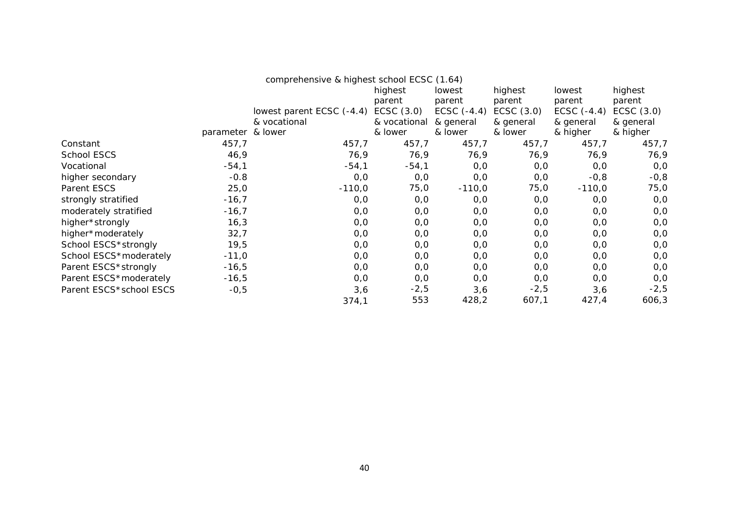|                         | comprehensive & highest school ECSC (1.64) |                           |              |               |              |               |              |
|-------------------------|--------------------------------------------|---------------------------|--------------|---------------|--------------|---------------|--------------|
|                         |                                            |                           | highest      | lowest        | highest      | lowest        | highest      |
|                         |                                            |                           | parent       | parent        | parent       | parent        | parent       |
|                         |                                            | lowest parent ECSC (-4.4) | ECSC $(3.0)$ | ECSC $(-4.4)$ | ECSC $(3.0)$ | ECSC $(-4.4)$ | ECSC $(3.0)$ |
|                         |                                            | & vocational              | & vocational | & general     | & general    | & general     | & general    |
|                         | parameter & lower                          |                           | & lower      | & lower       | & lower      | & higher      | & higher     |
| Constant                | 457,7                                      | 457,7                     | 457,7        | 457,7         | 457,7        | 457,7         | 457,7        |
| School ESCS             | 46,9                                       | 76,9                      | 76,9         | 76,9          | 76,9         | 76,9          | 76,9         |
| Vocational              | $-54,1$                                    | $-54,1$                   | $-54,1$      | O, O          | 0, 0         | 0,0           | 0,0          |
| higher secondary        | $-0.8$                                     | 0,0                       | 0,0          | 0,0           | O, O         | $-0,8$        | $-0,8$       |
| Parent ESCS             | 25,0                                       | $-110,0$                  | 75,0         | $-110,0$      | 75,0         | $-110,0$      | 75,0         |
| strongly stratified     | $-16,7$                                    | 0,0                       | 0,0          | 0,0           | O, O         | 0,0           | 0,0          |
| moderately stratified   | $-16,7$                                    | 0,0                       | 0, 0         | 0,0           | O, O         | 0,0           | 0,0          |
| higher*strongly         | 16,3                                       | 0,0                       | 0, 0         | O, O          | O, O         | 0,0           | 0,0          |
| higher*moderately       | 32,7                                       | 0,0                       | 0, 0         | O, O          | 0, 0         | 0,0           | 0,0          |
| School ESCS*strongly    | 19,5                                       | 0,0                       | O, O         | 0,0           | O, O         | 0,0           | 0, 0         |
| School ESCS*moderately  | $-11,0$                                    | 0,0                       | 0, 0         | 0, 0          | O, O         | 0, 0          | 0,0          |
| Parent ESCS*strongly    | $-16,5$                                    | 0,0                       | 0, 0         | 0,0           | 0,0          | 0, 0          | 0,0          |
| Parent ESCS*moderately  | $-16,5$                                    | 0,0                       | 0,0          | O, O          | 0, 0         | 0,0           | 0,0          |
| Parent ESCS*school ESCS | $-0,5$                                     | 3,6                       | $-2,5$       | 3,6           | $-2,5$       | 3,6           | $-2,5$       |
|                         |                                            | 374,1                     | 553          | 428,2         | 607,1        | 427,4         | 606,3        |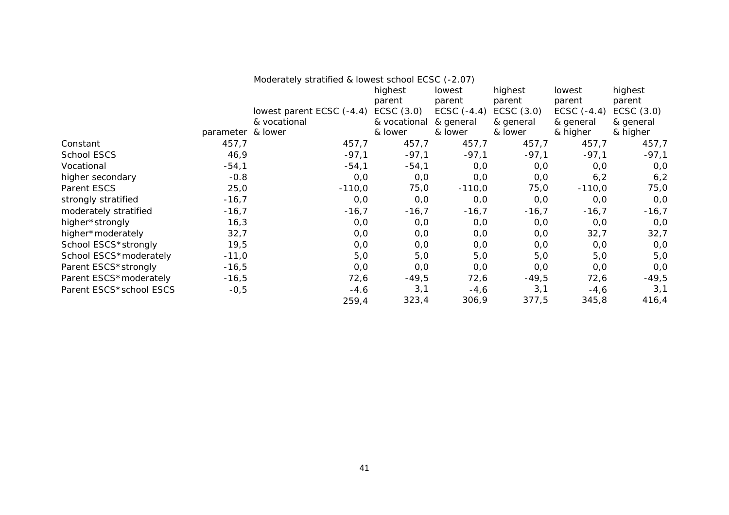|                         | Moderately stratified & lowest school ECSC (-2.07) |                           |              |               |              |               |           |
|-------------------------|----------------------------------------------------|---------------------------|--------------|---------------|--------------|---------------|-----------|
|                         |                                                    |                           | highest      | lowest        | highest      | lowest        | highest   |
|                         |                                                    |                           | parent       | parent        | parent       | parent        | parent    |
|                         |                                                    | lowest parent ECSC (-4.4) | ECSC $(3.0)$ | ECSC $(-4.4)$ | ECSC $(3.0)$ | ECSC $(-4.4)$ | ECSC(3.0) |
|                         |                                                    | & vocational              | & vocational | & general     | & general    | & general     | & general |
|                         | parameter & lower                                  |                           | & lower      | & lower       | & lower      | & higher      | & higher  |
| Constant                | 457,7                                              | 457,7                     | 457,7        | 457,7         | 457,7        | 457,7         | 457,7     |
| School ESCS             | 46,9                                               | $-97,1$                   | $-97,1$      | $-97,1$       | $-97,1$      | $-97,1$       | $-97,1$   |
| Vocational              | $-54,1$                                            | $-54,1$                   | $-54,1$      | 0,0           | 0,0          | 0,0           | 0,0       |
| higher secondary        | $-0.8$                                             | 0, 0                      | 0, 0         | 0,0           | 0,0          | 6,2           | 6, 2      |
| Parent ESCS             | 25,0                                               | $-110,0$                  | 75,0         | $-110,0$      | 75,0         | $-110,0$      | 75,0      |
| strongly stratified     | $-16,7$                                            | 0, 0                      | 0, 0         | 0,0           | 0,0          | 0,0           | O, O      |
| moderately stratified   | $-16,7$                                            | $-16,7$                   | $-16,7$      | $-16,7$       | $-16,7$      | $-16,7$       | $-16,7$   |
| higher*strongly         | 16,3                                               | 0, 0                      | O, O         | 0,0           | O, O         | O, O          | O, O      |
| higher*moderately       | 32,7                                               | 0, 0                      | 0, 0         | 0,0           | 0,0          | 32,7          | 32,7      |
| School ESCS*strongly    | 19,5                                               | O, O                      | 0,0          | 0,0           | O, O         | 0,0           | 0, 0      |
| School ESCS*moderately  | $-11,0$                                            | 5,0                       | 5,0          | 5,0           | 5,0          | 5,0           | 5,0       |
| Parent ESCS*strongly    | $-16,5$                                            | 0, 0                      | 0, 0         | 0,0           | 0,0          | O, O          | 0,0       |
| Parent ESCS*moderately  | $-16,5$                                            | 72,6                      | $-49,5$      | 72,6          | $-49,5$      | 72,6          | $-49,5$   |
| Parent ESCS*school ESCS | $-0,5$                                             | $-4.6$                    | 3,1          | $-4,6$        | 3,1          | $-4,6$        | 3,1       |
|                         |                                                    | 259,4                     | 323,4        | 306,9         | 377,5        | 345,8         | 416,4     |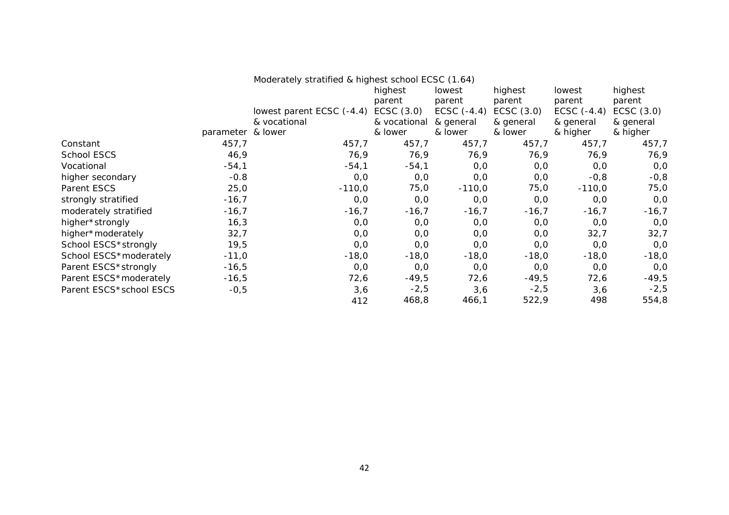|                         | Moderately stratified & highest school ECSC (1.64) |                           |              |               |              |               |              |
|-------------------------|----------------------------------------------------|---------------------------|--------------|---------------|--------------|---------------|--------------|
|                         |                                                    |                           | highest      | lowest        | highest      | lowest        | highest      |
|                         |                                                    |                           | parent       | parent        | parent       | parent        | parent       |
|                         |                                                    | lowest parent ECSC (-4.4) | ECSC $(3.0)$ | ECSC $(-4.4)$ | ECSC $(3.0)$ | ECSC $(-4.4)$ | ECSC $(3.0)$ |
|                         |                                                    | & vocational              | & vocational | & general     | & general    | & general     | & general    |
|                         | parameter & lower                                  |                           | & lower      | & lower       | & lower      | & higher      | & higher     |
| Constant                | 457,7                                              | 457,7                     | 457,7        | 457,7         | 457,7        | 457,7         | 457,7        |
| School ESCS             | 46,9                                               | 76,9                      | 76,9         | 76,9          | 76,9         | 76,9          | 76,9         |
| Vocational              | $-54,1$                                            | $-54,1$                   | $-54,1$      | O, O          | 0,0          | 0,0           | 0,0          |
| higher secondary        | $-0.8$                                             | 0, 0                      | 0, 0         | 0, 0          | 0,0          | $-0,8$        | $-0,8$       |
| Parent ESCS             | 25,0                                               | $-110,0$                  | 75,0         | $-110,0$      | 75,0         | $-110,0$      | 75,0         |
| strongly stratified     | $-16,7$                                            | 0, 0                      | 0,0          | 0, 0          | 0,0          | 0,0           | 0, 0         |
| moderately stratified   | $-16,7$                                            | $-16,7$                   | $-16,7$      | $-16,7$       | $-16,7$      | $-16,7$       | $-16,7$      |
| higher*strongly         | 16,3                                               | 0, 0                      | 0,0          | O, O          | 0,0          | O, O          | 0,0          |
| higher*moderately       | 32,7                                               | 0, 0                      | 0,0          | 0,0           | O, O         | 32,7          | 32,7         |
| School ESCS*strongly    | 19,5                                               | 0, 0                      | 0, 0         | 0, 0          | 0,0          | 0,0           | 0, 0         |
| School ESCS*moderately  | $-11,0$                                            | $-18,0$                   | $-18,0$      | $-18,0$       | $-18,0$      | $-18,0$       | $-18,0$      |
| Parent ESCS*strongly    | $-16,5$                                            | 0, 0                      | 0,0          | O, O          | 0,0          | O, O          | 0,0          |
| Parent ESCS*moderately  | $-16,5$                                            | 72,6                      | -49,5        | 72,6          | $-49,5$      | 72,6          | $-49,5$      |
| Parent ESCS*school ESCS | $-0,5$                                             | 3,6                       | $-2,5$       | 3,6           | $-2,5$       | 3,6           | $-2,5$       |
|                         |                                                    | 412                       | 468,8        | 466,1         | 522,9        | 498           | 554,8        |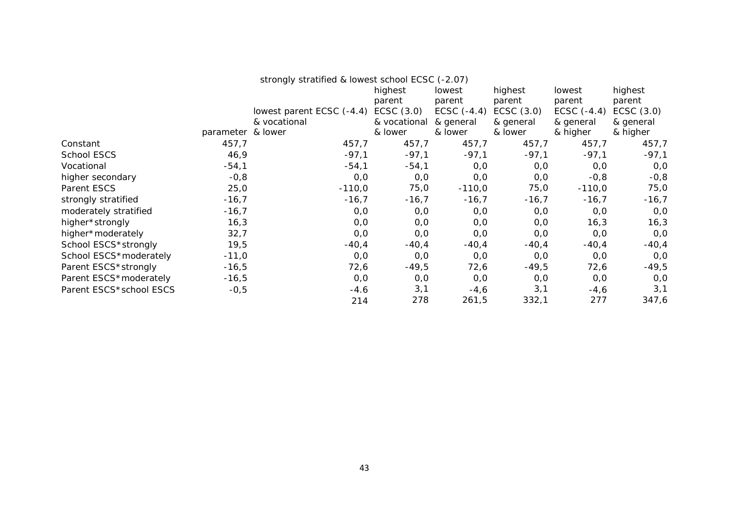|                         | strongly stratified & lowest school ECSC (-2.07) |                           |              |               |              |               |              |
|-------------------------|--------------------------------------------------|---------------------------|--------------|---------------|--------------|---------------|--------------|
|                         |                                                  |                           | highest      | lowest        | highest      | lowest        | highest      |
|                         |                                                  |                           | parent       | parent        | parent       | parent        | parent       |
|                         |                                                  | lowest parent ECSC (-4.4) | ECSC(3.0)    | ECSC $(-4.4)$ | ECSC $(3.0)$ | ECSC $(-4.4)$ | ECSC $(3.0)$ |
|                         |                                                  | & vocational              | & vocational | & general     | & general    | & general     | & general    |
|                         | parameter & lower                                |                           | & lower      | & lower       | & lower      | & higher      | & higher     |
| Constant                | 457,7                                            | 457,7                     | 457,7        | 457,7         | 457,7        | 457,7         | 457,7        |
| School ESCS             | 46,9                                             | $-97,1$                   | $-97,1$      | $-97,1$       | $-97,1$      | $-97,1$       | $-97,1$      |
| Vocational              | $-54,1$                                          | $-54,1$                   | $-54,1$      | 0,0           | O, O         | O, O          | 0,0          |
| higher secondary        | $-0,8$                                           | 0,0                       | 0, 0         | O, O          | O, O         | $-0,8$        | $-0,8$       |
| Parent ESCS             | 25,0                                             | $-110,0$                  | 75,0         | $-110,0$      | 75,0         | $-110,0$      | 75,0         |
| strongly stratified     | $-16,7$                                          | $-16,7$                   | $-16,7$      | $-16,7$       | $-16,7$      | $-16,7$       | $-16,7$      |
| moderately stratified   | $-16,7$                                          | 0,0                       | 0, 0         | 0,0           | 0,0          | 0,0           | 0, 0         |
| higher*strongly         | 16,3                                             | 0,0                       | 0,0          | O, O          | O, O         | 16,3          | 16,3         |
| higher*moderately       | 32,7                                             | 0,0                       | O, O         | O, O          | O, O         | O, O          | 0, 0         |
| School ESCS*strongly    | 19,5                                             | $-40,4$                   | $-40,4$      | $-40,4$       | $-40,4$      | $-40,4$       | $-40,4$      |
| School ESCS*moderately  | $-11,0$                                          | 0,0                       | 0,0          | 0,0           | 0,0          | O, O          | 0,0          |
| Parent ESCS*strongly    | $-16,5$                                          | 72,6                      | $-49,5$      | 72,6          | $-49,5$      | 72,6          | $-49,5$      |
| Parent ESCS*moderately  | $-16,5$                                          | 0, 0                      | O, O         | 0,0           | 0, 0         | O, O          | 0,0          |
| Parent ESCS*school ESCS | $-0,5$                                           | $-4.6$                    | 3,1          | $-4,6$        | 3,1          | $-4,6$        | 3,1          |
|                         |                                                  | 214                       | 278          | 261,5         | 332,1        | 277           | 347,6        |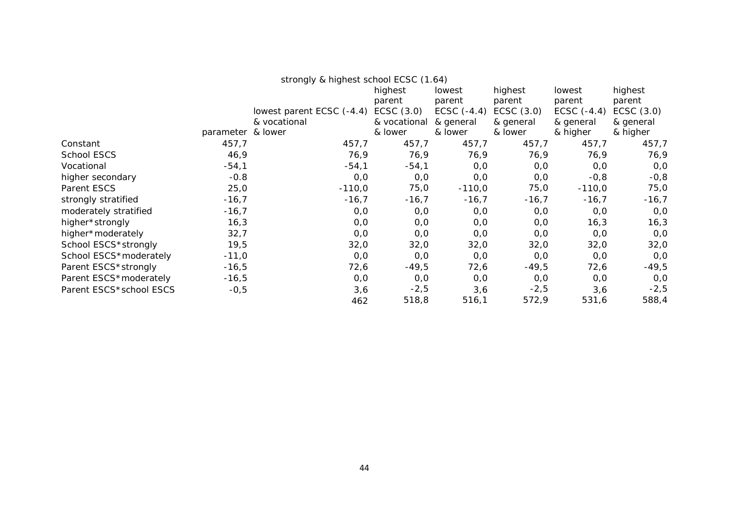|                         | strongly & highest school ECSC (1.64) |                           |              |               |              |               |              |
|-------------------------|---------------------------------------|---------------------------|--------------|---------------|--------------|---------------|--------------|
|                         |                                       |                           | highest      | lowest        | highest      | lowest        | highest      |
|                         |                                       |                           | parent       | parent        | parent       | parent        | parent       |
|                         |                                       | lowest parent ECSC (-4.4) | ECSC $(3.0)$ | ECSC $(-4.4)$ | ECSC $(3.0)$ | ECSC $(-4.4)$ | ECSC $(3.0)$ |
|                         |                                       | & vocational              | & vocational | & general     | & general    | & general     | & general    |
|                         | parameter & lower                     |                           | & lower      | & lower       | & lower      | & higher      | & higher     |
| Constant                | 457,7                                 | 457,7                     | 457,7        | 457,7         | 457,7        | 457,7         | 457,7        |
| School ESCS             | 46,9                                  | 76,9                      | 76,9         | 76,9          | 76,9         | 76,9          | 76,9         |
| Vocational              | $-54,1$                               | $-54,1$                   | $-54,1$      | 0,0           | 0, 0         | 0, 0          | 0,0          |
| higher secondary        | $-0.8$                                | 0,0                       | 0,0          | O, O          | O, O         | $-0,8$        | $-0,8$       |
| Parent ESCS             | 25,0                                  | $-110,0$                  | 75,0         | $-110,0$      | 75,0         | $-110,0$      | 75,0         |
| strongly stratified     | $-16,7$                               | $-16,7$                   | $-16,7$      | $-16,7$       | $-16,7$      | $-16,7$       | $-16,7$      |
| moderately stratified   | $-16,7$                               | 0,0                       | 0,0          | O, O          | 0, 0         | 0, 0          | 0,0          |
| higher*strongly         | 16,3                                  | 0,0                       | 0,0          | O, O          | 0,0          | 16,3          | 16,3         |
| higher*moderately       | 32,7                                  | 0,0                       | 0,0          | 0,0           | 0,0          | 0, 0          | 0,0          |
| School ESCS*strongly    | 19,5                                  | 32,0                      | 32,0         | 32,0          | 32,0         | 32,0          | 32,0         |
| School ESCS*moderately  | $-11,0$                               | 0,0                       | 0,0          | 0,0           | 0,0          | O, O          | 0,0          |
| Parent ESCS*strongly    | $-16,5$                               | 72,6                      | $-49,5$      | 72,6          | $-49,5$      | 72,6          | $-49,5$      |
| Parent ESCS*moderately  | $-16,5$                               | 0,0                       | 0,0          | O, O          | 0, 0         | 0, 0          | 0, 0         |
| Parent ESCS*school ESCS | $-0,5$                                | 3,6                       | $-2,5$       | 3,6           | $-2,5$       | 3,6           | $-2,5$       |
|                         |                                       | 462                       | 518,8        | 516,1         | 572,9        | 531,6         | 588,4        |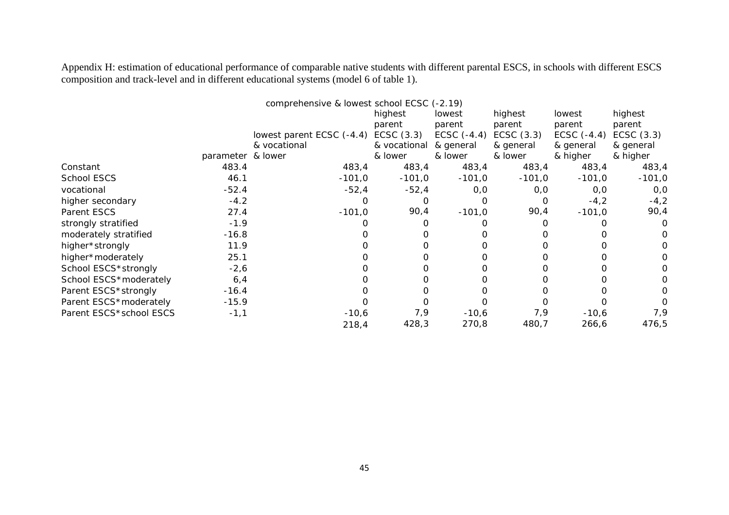Appendix H: estimation of educational performance of comparable native students with different parental ESCS, in schools with different ESCS composition and track-level and in different educational systems (model 6 of table 1).

|                         |                   | comprehensive & lowest school ECSC (-2.19) |              |               |              |               |              |
|-------------------------|-------------------|--------------------------------------------|--------------|---------------|--------------|---------------|--------------|
|                         |                   |                                            | highest      | lowest        | highest      | lowest        | highest      |
|                         |                   |                                            | parent       | parent        | parent       | parent        | parent       |
|                         |                   | lowest parent ECSC (-4.4)                  | ECSC $(3.3)$ | ECSC $(-4.4)$ | ECSC $(3.3)$ | ECSC $(-4.4)$ | ECSC $(3.3)$ |
|                         |                   | & vocational                               | & vocational | & general     | & general    | & general     | & general    |
|                         | parameter & lower |                                            | & lower      | & lower       | & lower      | & higher      | & higher     |
| Constant                | 483.4             | 483,4                                      | 483,4        | 483,4         | 483,4        | 483,4         | 483,4        |
| School ESCS             | 46.1              | $-101,0$                                   | $-101,0$     | $-101,0$      | $-101,0$     | $-101,0$      | $-101,0$     |
| vocational              | $-52.4$           | $-52,4$                                    | $-52,4$      | 0, 0          | 0, 0         | 0,0           | 0,0          |
| higher secondary        | $-4.2$            |                                            |              |               |              | $-4,2$        | $-4,2$       |
| Parent ESCS             | 27.4              | $-101,0$                                   | 90,4         | $-101,0$      | 90,4         | $-101,0$      | 90,4         |
| strongly stratified     | $-1.9$            |                                            |              |               |              |               | 0            |
| moderately stratified   | $-16.8$           |                                            |              |               |              |               | O            |
| higher*strongly         | 11.9              |                                            |              |               |              |               | 0            |
| higher*moderately       | 25.1              |                                            |              |               |              |               | 0            |
| School ESCS*strongly    | $-2,6$            |                                            |              |               |              |               | 0            |
| School ESCS*moderately  | 6,4               |                                            |              |               |              |               | 0.           |
| Parent ESCS*strongly    | $-16.4$           |                                            |              |               |              |               | 0            |
| Parent ESCS*moderately  | $-15.9$           |                                            |              |               |              |               | $\Omega$     |
| Parent ESCS*school ESCS | $-1,1$            | $-10,6$                                    | 7,9          | $-10,6$       | 7,9          | $-10,6$       | 7,9          |
|                         |                   | 218,4                                      | 428,3        | 270,8         | 480,7        | 266,6         | 476,5        |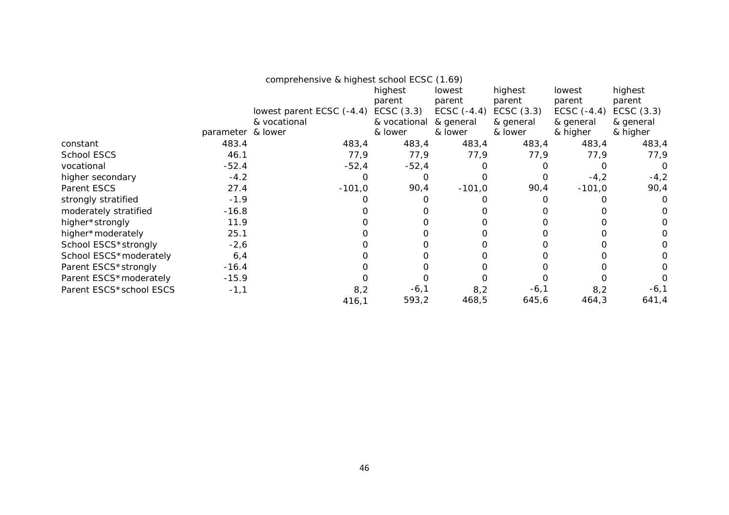|                         |                   | comprehensive & highest school ECSC (1.69) |              |               |              |               |              |
|-------------------------|-------------------|--------------------------------------------|--------------|---------------|--------------|---------------|--------------|
|                         |                   |                                            | highest      | lowest        | highest      | lowest        | highest      |
|                         |                   |                                            | parent       | parent        | parent       | parent        | parent       |
|                         |                   | lowest parent ECSC (-4.4)                  | ECSC $(3.3)$ | ECSC $(-4.4)$ | ECSC $(3.3)$ | ECSC $(-4.4)$ | ECSC $(3.3)$ |
|                         |                   | & vocational                               | & vocational | & general     | & general    | & general     | & general    |
|                         | parameter & lower |                                            | & lower      | & lower       | & lower      | & higher      | & higher     |
| constant                | 483.4             | 483,4                                      | 483,4        | 483,4         | 483,4        | 483,4         | 483,4        |
| <b>School ESCS</b>      | 46.1              | 77,9                                       | 77,9         | 77,9          | 77,9         | 77,9          | 77,9         |
| vocational              | $-52.4$           | $-52,4$                                    | $-52,4$      |               |              |               | O            |
| higher secondary        | $-4.2$            |                                            |              |               |              | $-4,2$        | $-4,2$       |
| Parent ESCS             | 27.4              | $-101,0$                                   | 90,4         | $-101,0$      | 90,4         | $-101,0$      | 90,4         |
| strongly stratified     | $-1.9$            |                                            |              |               |              |               | 0            |
| moderately stratified   | $-16.8$           |                                            |              |               |              |               | 0            |
| higher*strongly         | 11.9              |                                            |              |               |              |               |              |
| higher*moderately       | 25.1              |                                            |              |               |              |               | 0            |
| School ESCS*strongly    | $-2,6$            |                                            |              |               |              |               | O.           |
| School ESCS*moderately  | 6,4               |                                            |              |               |              |               |              |
| Parent ESCS*strongly    | $-16.4$           |                                            |              |               |              |               |              |
| Parent ESCS*moderately  | $-15.9$           |                                            |              |               |              |               |              |
| Parent ESCS*school ESCS | $-1,1$            | 8,2                                        | $-6,1$       | 8,2           | $-6,1$       | 8,2           | $-6,1$       |
|                         |                   | 416,1                                      | 593,2        | 468,5         | 645,6        | 464,3         | 641,4        |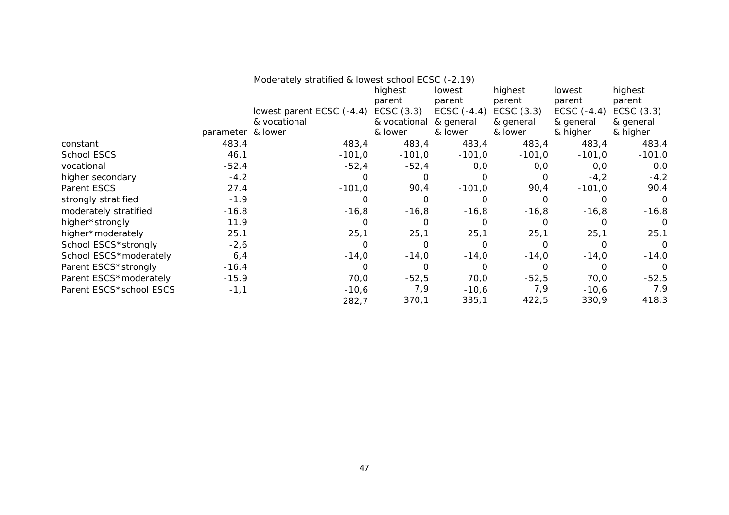|                         |                   | Moderately stratified & lowest school ECSC (-2.19) |                   |                  |                   |                  |                   |
|-------------------------|-------------------|----------------------------------------------------|-------------------|------------------|-------------------|------------------|-------------------|
|                         |                   |                                                    | highest<br>parent | lowest<br>parent | highest<br>parent | lowest<br>parent | highest<br>parent |
|                         |                   | lowest parent ECSC (-4.4)                          | ECSC $(3.3)$      | ECSC $(-4.4)$    | ECSC $(3.3)$      | ECSC $(-4.4)$    | ECSC $(3.3)$      |
|                         |                   | & vocational                                       | & vocational      | & general        | & general         | & general        | & general         |
|                         | parameter & lower |                                                    | & lower           | & lower          | & lower           | & higher         | & higher          |
| constant                | 483.4             | 483,4                                              | 483,4             | 483,4            | 483,4             | 483,4            | 483,4             |
| School ESCS             | 46.1              | $-101,0$                                           | $-101,0$          | $-101,0$         | $-101,0$          | $-101,0$         | $-101,0$          |
| vocational              | $-52.4$           | $-52,4$                                            | $-52,4$           | 0,0              | 0,0               | O, O             | 0,0               |
| higher secondary        | $-4.2$            | 0                                                  | $\Omega$          | $\Omega$         | O                 | $-4,2$           | $-4,2$            |
| Parent ESCS             | 27.4              | $-101,0$                                           | 90,4              | $-101,0$         | 90,4              | $-101,0$         | 90,4              |
| strongly stratified     | $-1.9$            | 0                                                  | $\Omega$          | O                | $\Omega$          | $\Omega$         | $\circ$           |
| moderately stratified   | $-16.8$           | $-16,8$                                            | $-16,8$           | $-16,8$          | $-16,8$           | $-16,8$          | $-16,8$           |
| higher*strongly         | 11.9              | 0                                                  | 0                 |                  | $\Omega$          | 0                | $\Omega$          |
| higher*moderately       | 25.1              | 25,1                                               | 25,1              | 25,1             | 25,1              | 25,1             | 25,1              |
| School ESCS*strongly    | $-2,6$            | 0                                                  | $\Omega$          | 0                | O                 | O                | $\Omega$          |
| School ESCS*moderately  | 6,4               | $-14,0$                                            | $-14,0$           | $-14,0$          | $-14,0$           | $-14,0$          | $-14,0$           |
| Parent ESCS*strongly    | $-16.4$           | 0                                                  | $\Omega$          | O                | $\Omega$          | $\Omega$         | $\Omega$          |
| Parent ESCS*moderately  | $-15.9$           | 70,0                                               | $-52,5$           | 70,0             | $-52,5$           | 70,0             | $-52,5$           |
| Parent ESCS*school ESCS | $-1,1$            | $-10,6$                                            | 7,9               | $-10,6$          | 7,9               | $-10,6$          | 7,9               |
|                         |                   | 282,7                                              | 370,1             | 335,1            | 422,5             | 330,9            | 418,3             |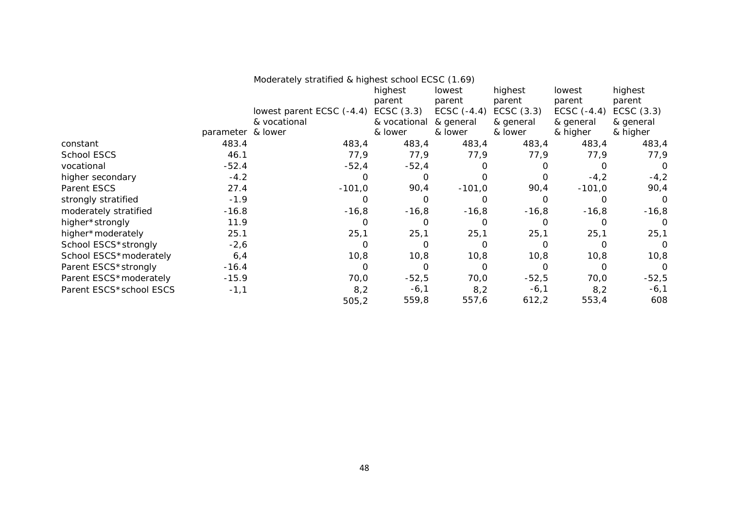|                         | Moderately stratified & highest school ECSC (1.69) |                                      |              |               |           |               |              |
|-------------------------|----------------------------------------------------|--------------------------------------|--------------|---------------|-----------|---------------|--------------|
|                         |                                                    |                                      | highest      | lowest        | highest   | lowest        | highest      |
|                         |                                                    |                                      | parent       | parent        | parent    | parent        | parent       |
|                         |                                                    | lowest parent ECSC (-4.4) ECSC (3.3) |              | ECSC $(-4.4)$ | ECSC(3.3) | ECSC $(-4.4)$ | ECSC $(3.3)$ |
|                         |                                                    | & vocational                         | & vocational | & general     | & general | & general     | & general    |
|                         | parameter & lower                                  |                                      | & lower      | & lower       | & lower   | & higher      | & higher     |
| constant                | 483.4                                              | 483,4                                | 483,4        | 483,4         | 483,4     | 483,4         | 483,4        |
| School ESCS             | 46.1                                               | 77,9                                 | 77,9         | 77,9          | 77,9      | 77,9          | 77,9         |
| vocational              | $-52.4$                                            | $-52,4$                              | $-52,4$      | O             |           |               | 0            |
| higher secondary        | $-4.2$                                             | 0                                    | 0            | $\Omega$      |           | $-4,2$        | $-4,2$       |
| Parent ESCS             | 27.4                                               | $-101,0$                             | 90,4         | $-101,0$      | 90,4      | $-101,0$      | 90,4         |
| strongly stratified     | $-1.9$                                             | 0                                    | 0            | O             |           |               | O            |
| moderately stratified   | $-16.8$                                            | $-16,8$                              | $-16,8$      | $-16,8$       | $-16,8$   | $-16,8$       | $-16,8$      |
| higher*strongly         | 11.9                                               | 0                                    |              | 0             |           |               | 0            |
| higher*moderately       | 25.1                                               | 25,1                                 | 25,1         | 25,1          | 25,1      | 25,1          | 25,1         |
| School ESCS*strongly    | $-2,6$                                             | $\Omega$                             | O            | $\Omega$      | ∩         |               | $\Omega$     |
| School ESCS*moderately  | 6,4                                                | 10,8                                 | 10,8         | 10,8          | 10,8      | 10,8          | 10,8         |
| Parent ESCS*strongly    | $-16.4$                                            | 0                                    | Ω            | $\Omega$      |           |               | O            |
| Parent ESCS*moderately  | $-15.9$                                            | 70,0                                 | $-52,5$      | 70,0          | $-52,5$   | 70,0          | $-52,5$      |
| Parent ESCS*school ESCS | $-1,1$                                             | 8,2                                  | $-6,1$       | 8,2           | $-6,1$    | 8,2           | $-6,1$       |
|                         |                                                    | 505,2                                | 559,8        | 557,6         | 612,2     | 553,4         | 608          |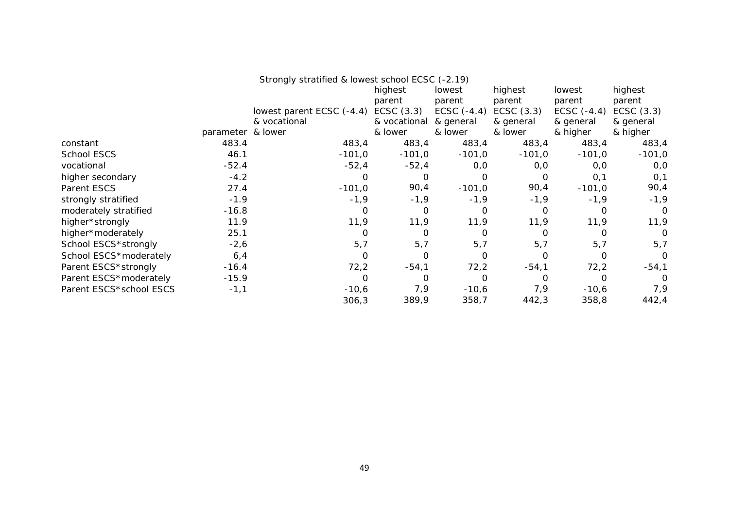| Strongly stratified & lowest school ECSC (-2.19) |  |
|--------------------------------------------------|--|
|                                                  |  |

|                         |                   |                           | highest      | lowest        | highest      | lowest        | highest      |
|-------------------------|-------------------|---------------------------|--------------|---------------|--------------|---------------|--------------|
|                         |                   |                           | parent       | parent        | parent       | parent        | parent       |
|                         |                   | lowest parent ECSC (-4.4) | ECSC $(3.3)$ | ECSC $(-4.4)$ | ECSC $(3.3)$ | ECSC $(-4.4)$ | ECSC $(3.3)$ |
|                         |                   | & vocational              | & vocational | & general     | & general    | & general     | & general    |
|                         | parameter & lower |                           | & lower      | & lower       | & lower      | & higher      | & higher     |
| constant                | 483.4             | 483,4                     | 483,4        | 483,4         | 483,4        | 483,4         | 483,4        |
| <b>School ESCS</b>      | 46.1              | $-101,0$                  | $-101,0$     | $-101,0$      | $-101,0$     | $-101,0$      | $-101,0$     |
| vocational              | $-52.4$           | $-52,4$                   | $-52,4$      | 0,0           | 0,0          | 0,0           | 0,0          |
| higher secondary        | $-4.2$            | O                         | $\Omega$     | 0             | $\Omega$     | 0,1           | 0,1          |
| Parent ESCS             | 27.4              | $-101,0$                  | 90,4         | $-101,0$      | 90,4         | $-101,0$      | 90,4         |
| strongly stratified     | $-1.9$            | $-1,9$                    | $-1,9$       | $-1,9$        | $-1,9$       | $-1,9$        | $-1,9$       |
| moderately stratified   | $-16.8$           | 0                         | $\Omega$     | 0             | O            | 0             | $\Omega$     |
| higher*strongly         | 11.9              | 11,9                      | 11,9         | 11,9          | 11,9         | 11,9          | 11,9         |
| higher*moderately       | 25.1              |                           |              | O             |              |               | 0            |
| School ESCS*strongly    | $-2,6$            | 5,7                       | 5,7          | 5,7           | 5,7          | 5,7           | 5,7          |
| School ESCS*moderately  | 6,4               | Ω                         | $\Omega$     | 0             | O            | Ω             | 0            |
| Parent ESCS*strongly    | $-16.4$           | 72,2                      | $-54,1$      | 72,2          | $-54,1$      | 72,2          | $-54,1$      |
| Parent ESCS*moderately  | $-15.9$           | 0                         | $\Omega$     | $\Omega$      | O            | O             | 0            |
| Parent ESCS*school ESCS | $-1,1$            | $-10,6$                   | 7,9          | $-10,6$       | 7,9          | $-10,6$       | 7,9          |
|                         |                   | 306,3                     | 389,9        | 358,7         | 442,3        | 358,8         | 442,4        |